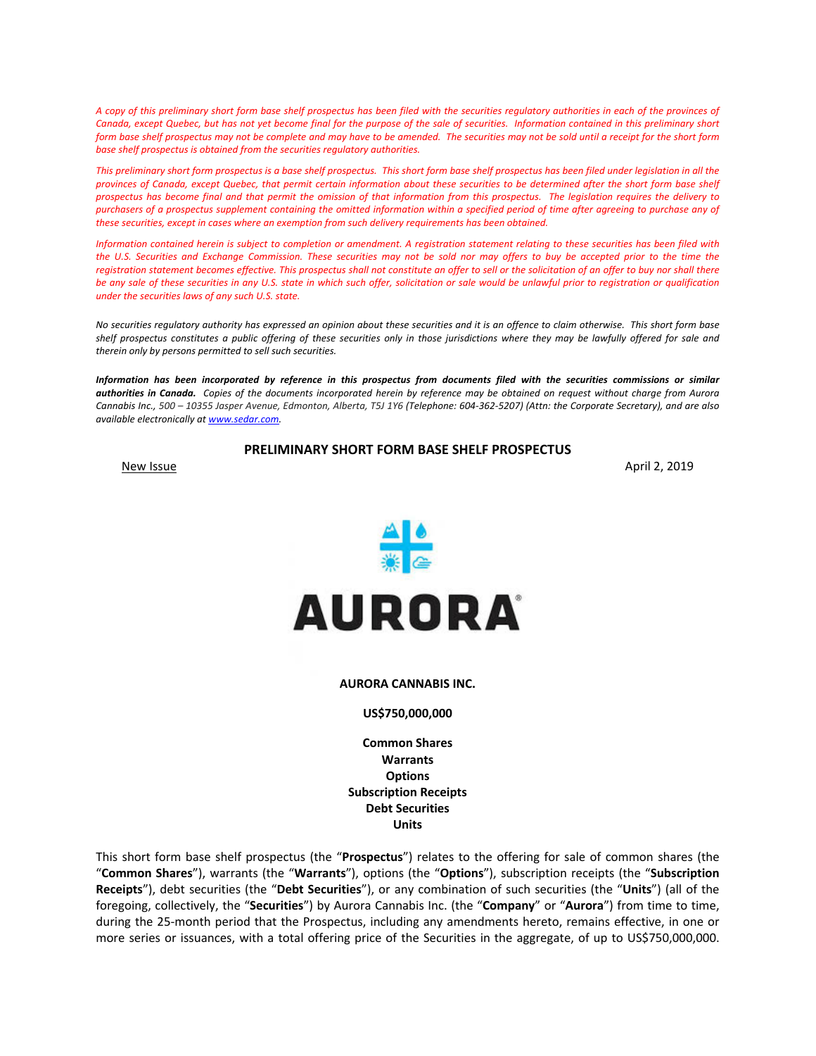*A copy of this preliminary short form base shelf prospectus has been filed with the securities regulatory authorities in each of the provinces of Canada, except Quebec, but has not yet become final for the purpose of the sale of securities. Information contained in this preliminary short form base shelf prospectus may not be complete and may have to be amended. The securities may not be sold until a receipt for the short form base shelf prospectus is obtained from the securities regulatory authorities.* 

*This preliminary short form prospectus is a base shelf prospectus. This short form base shelf prospectus has been filed under legislation in all the provinces of Canada, except Quebec, that permit certain information about these securities to be determined after the short form base shelf prospectus has become final and that permit the omission of that information from this prospectus. The legislation requires the delivery to purchasers of a prospectus supplement containing the omitted information within a specified period of time after agreeing to purchase any of these securities, except in cases where an exemption from such delivery requirements has been obtained.*

*Information contained herein is subject to completion or amendment. A registration statement relating to these securities has been filed with the U.S. Securities and Exchange Commission. These securities may not be sold nor may offers to buy be accepted prior to the time the registration statement becomes effective. This prospectus shall not constitute an offer to sell or the solicitation of an offer to buy nor shall there be any sale of these securities in any U.S. state in which such offer, solicitation or sale would be unlawful prior to registration or qualification under the securities laws of any such U.S. state.* 

*No securities regulatory authority has expressed an opinion about these securities and it is an offence to claim otherwise. This short form base shelf prospectus constitutes a public offering of these securities only in those jurisdictions where they may be lawfully offered for sale and therein only by persons permitted to sell such securities.* 

*Information has been incorporated by reference in this prospectus from documents filed with the securities commissions or similar authorities in Canada. Copies of the documents incorporated herein by reference may be obtained on request without charge from Aurora Cannabis Inc., 500 – 10355 Jasper Avenue, Edmonton, Alberta, T5J 1Y6 (Telephone: 604‐362‐5207) (Attn: the Corporate Secretary), and are also available electronically at www.sedar.com.* 

**PRELIMINARY SHORT FORM BASE SHELF PROSPECTUS** 

New Issue **April 2, 2019** 



#### **AURORA CANNABIS INC.**

#### **US\$750,000,000**

**Common Shares Warrants Options Subscription Receipts Debt Securities Units** 

This short form base shelf prospectus (the "**Prospectus**") relates to the offering for sale of common shares (the "**Common Shares**"), warrants (the "**Warrants**"), options (the "**Options**"), subscription receipts (the "**Subscription Receipts**"), debt securities (the "**Debt Securities**"), or any combination of such securities (the "**Units**") (all of the foregoing, collectively, the "**Securities**") by Aurora Cannabis Inc. (the "**Company**" or "**Aurora**") from time to time, during the 25‐month period that the Prospectus, including any amendments hereto, remains effective, in one or more series or issuances, with a total offering price of the Securities in the aggregate, of up to US\$750,000,000.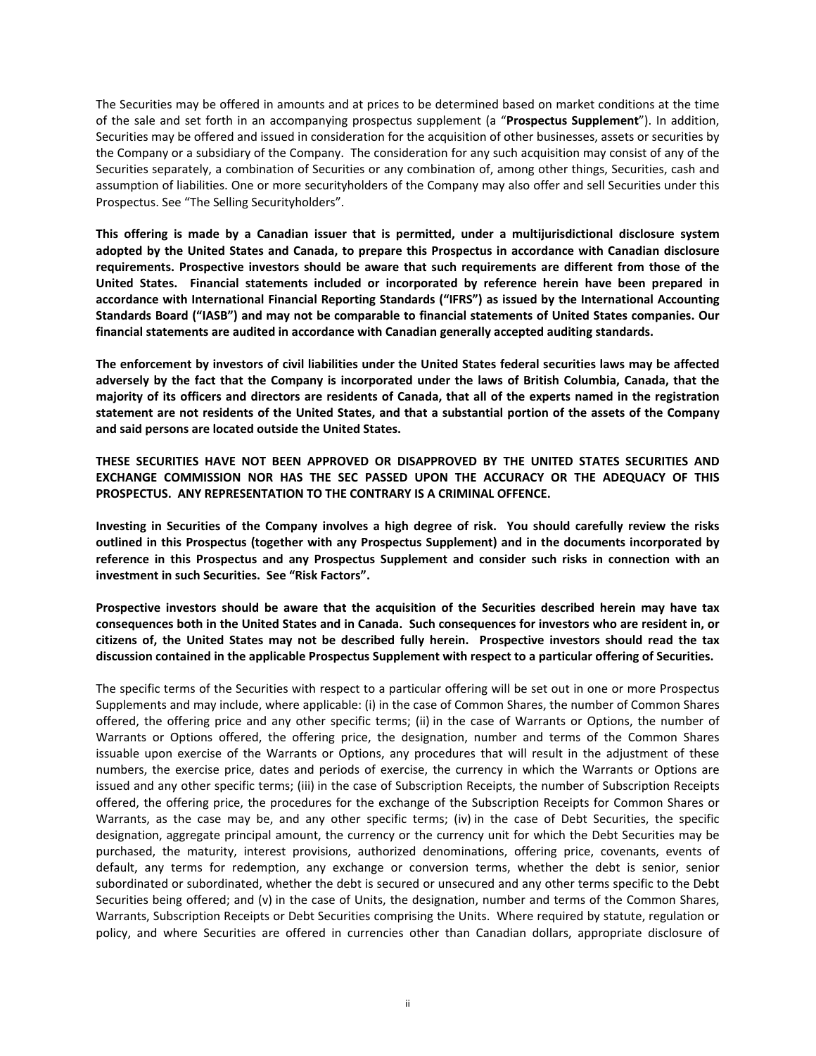The Securities may be offered in amounts and at prices to be determined based on market conditions at the time of the sale and set forth in an accompanying prospectus supplement (a "**Prospectus Supplement**"). In addition, Securities may be offered and issued in consideration for the acquisition of other businesses, assets or securities by the Company or a subsidiary of the Company. The consideration for any such acquisition may consist of any of the Securities separately, a combination of Securities or any combination of, among other things, Securities, cash and assumption of liabilities. One or more securityholders of the Company may also offer and sell Securities under this Prospectus. See "The Selling Securityholders".

**This offering is made by a Canadian issuer that is permitted, under a multijurisdictional disclosure system adopted by the United States and Canada, to prepare this Prospectus in accordance with Canadian disclosure requirements. Prospective investors should be aware that such requirements are different from those of the United States. Financial statements included or incorporated by reference herein have been prepared in accordance with International Financial Reporting Standards ("IFRS") as issued by the International Accounting Standards Board ("IASB") and may not be comparable to financial statements of United States companies. Our financial statements are audited in accordance with Canadian generally accepted auditing standards.** 

**The enforcement by investors of civil liabilities under the United States federal securities laws may be affected adversely by the fact that the Company is incorporated under the laws of British Columbia, Canada, that the majority of its officers and directors are residents of Canada, that all of the experts named in the registration statement are not residents of the United States, and that a substantial portion of the assets of the Company and said persons are located outside the United States.** 

**THESE SECURITIES HAVE NOT BEEN APPROVED OR DISAPPROVED BY THE UNITED STATES SECURITIES AND EXCHANGE COMMISSION NOR HAS THE SEC PASSED UPON THE ACCURACY OR THE ADEQUACY OF THIS PROSPECTUS. ANY REPRESENTATION TO THE CONTRARY IS A CRIMINAL OFFENCE.** 

**Investing in Securities of the Company involves a high degree of risk. You should carefully review the risks outlined in this Prospectus (together with any Prospectus Supplement) and in the documents incorporated by reference in this Prospectus and any Prospectus Supplement and consider such risks in connection with an investment in such Securities. See "Risk Factors".** 

**Prospective investors should be aware that the acquisition of the Securities described herein may have tax consequences both in the United States and in Canada. Such consequences for investors who are resident in, or citizens of, the United States may not be described fully herein. Prospective investors should read the tax discussion contained in the applicable Prospectus Supplement with respect to a particular offering of Securities.** 

The specific terms of the Securities with respect to a particular offering will be set out in one or more Prospectus Supplements and may include, where applicable: (i) in the case of Common Shares, the number of Common Shares offered, the offering price and any other specific terms; (ii) in the case of Warrants or Options, the number of Warrants or Options offered, the offering price, the designation, number and terms of the Common Shares issuable upon exercise of the Warrants or Options, any procedures that will result in the adjustment of these numbers, the exercise price, dates and periods of exercise, the currency in which the Warrants or Options are issued and any other specific terms; (iii) in the case of Subscription Receipts, the number of Subscription Receipts offered, the offering price, the procedures for the exchange of the Subscription Receipts for Common Shares or Warrants, as the case may be, and any other specific terms; (iv) in the case of Debt Securities, the specific designation, aggregate principal amount, the currency or the currency unit for which the Debt Securities may be purchased, the maturity, interest provisions, authorized denominations, offering price, covenants, events of default, any terms for redemption, any exchange or conversion terms, whether the debt is senior, senior subordinated or subordinated, whether the debt is secured or unsecured and any other terms specific to the Debt Securities being offered; and (v) in the case of Units, the designation, number and terms of the Common Shares, Warrants, Subscription Receipts or Debt Securities comprising the Units. Where required by statute, regulation or policy, and where Securities are offered in currencies other than Canadian dollars, appropriate disclosure of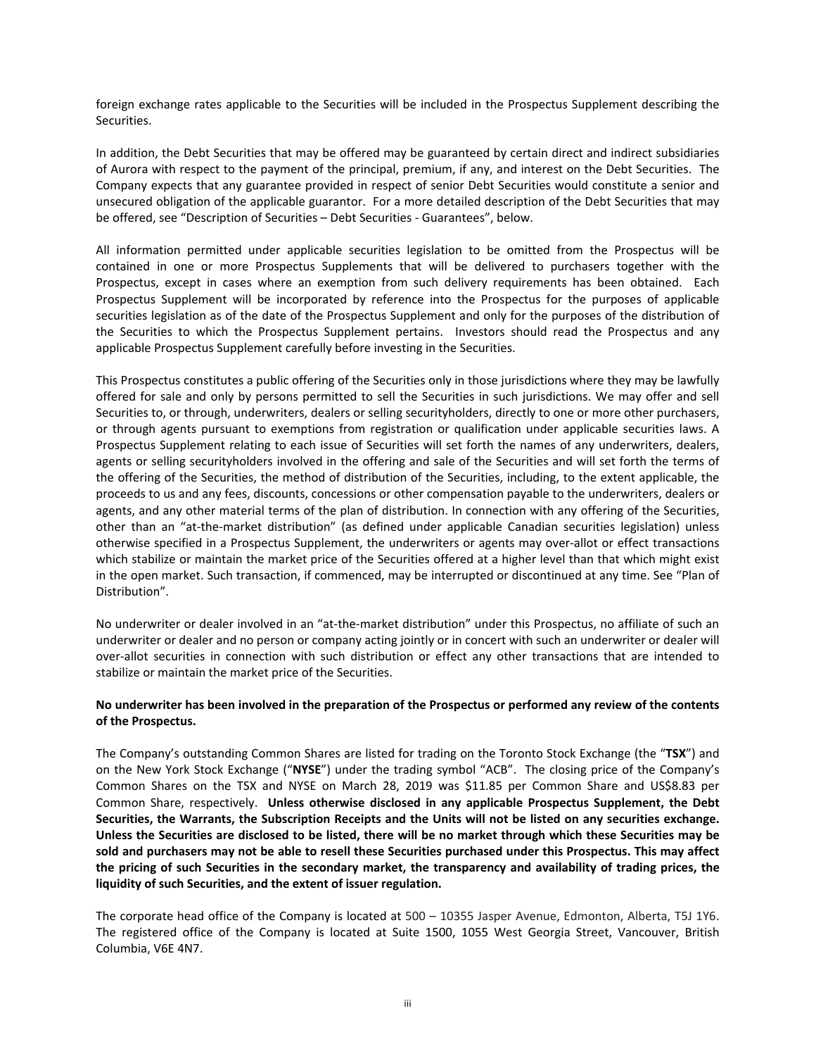foreign exchange rates applicable to the Securities will be included in the Prospectus Supplement describing the Securities.

In addition, the Debt Securities that may be offered may be guaranteed by certain direct and indirect subsidiaries of Aurora with respect to the payment of the principal, premium, if any, and interest on the Debt Securities. The Company expects that any guarantee provided in respect of senior Debt Securities would constitute a senior and unsecured obligation of the applicable guarantor. For a more detailed description of the Debt Securities that may be offered, see "Description of Securities – Debt Securities ‐ Guarantees", below.

All information permitted under applicable securities legislation to be omitted from the Prospectus will be contained in one or more Prospectus Supplements that will be delivered to purchasers together with the Prospectus, except in cases where an exemption from such delivery requirements has been obtained. Each Prospectus Supplement will be incorporated by reference into the Prospectus for the purposes of applicable securities legislation as of the date of the Prospectus Supplement and only for the purposes of the distribution of the Securities to which the Prospectus Supplement pertains. Investors should read the Prospectus and any applicable Prospectus Supplement carefully before investing in the Securities.

This Prospectus constitutes a public offering of the Securities only in those jurisdictions where they may be lawfully offered for sale and only by persons permitted to sell the Securities in such jurisdictions. We may offer and sell Securities to, or through, underwriters, dealers or selling securityholders, directly to one or more other purchasers, or through agents pursuant to exemptions from registration or qualification under applicable securities laws. A Prospectus Supplement relating to each issue of Securities will set forth the names of any underwriters, dealers, agents or selling securityholders involved in the offering and sale of the Securities and will set forth the terms of the offering of the Securities, the method of distribution of the Securities, including, to the extent applicable, the proceeds to us and any fees, discounts, concessions or other compensation payable to the underwriters, dealers or agents, and any other material terms of the plan of distribution. In connection with any offering of the Securities, other than an "at-the-market distribution" (as defined under applicable Canadian securities legislation) unless otherwise specified in a Prospectus Supplement, the underwriters or agents may over‐allot or effect transactions which stabilize or maintain the market price of the Securities offered at a higher level than that which might exist in the open market. Such transaction, if commenced, may be interrupted or discontinued at any time. See "Plan of Distribution".

No underwriter or dealer involved in an "at‐the‐market distribution" under this Prospectus, no affiliate of such an underwriter or dealer and no person or company acting jointly or in concert with such an underwriter or dealer will over‐allot securities in connection with such distribution or effect any other transactions that are intended to stabilize or maintain the market price of the Securities.

# **No underwriter has been involved in the preparation of the Prospectus or performed any review of the contents of the Prospectus.**

The Company's outstanding Common Shares are listed for trading on the Toronto Stock Exchange (the "**TSX**") and on the New York Stock Exchange ("**NYSE**") under the trading symbol "ACB". The closing price of the Company's Common Shares on the TSX and NYSE on March 28, 2019 was \$11.85 per Common Share and US\$8.83 per Common Share, respectively. **Unless otherwise disclosed in any applicable Prospectus Supplement, the Debt Securities, the Warrants, the Subscription Receipts and the Units will not be listed on any securities exchange. Unless the Securities are disclosed to be listed, there will be no market through which these Securities may be sold and purchasers may not be able to resell these Securities purchased under this Prospectus. This may affect the pricing of such Securities in the secondary market, the transparency and availability of trading prices, the liquidity of such Securities, and the extent of issuer regulation.** 

The corporate head office of the Company is located at 500 – 10355 Jasper Avenue, Edmonton, Alberta, T5J 1Y6. The registered office of the Company is located at Suite 1500, 1055 West Georgia Street, Vancouver, British Columbia, V6E 4N7.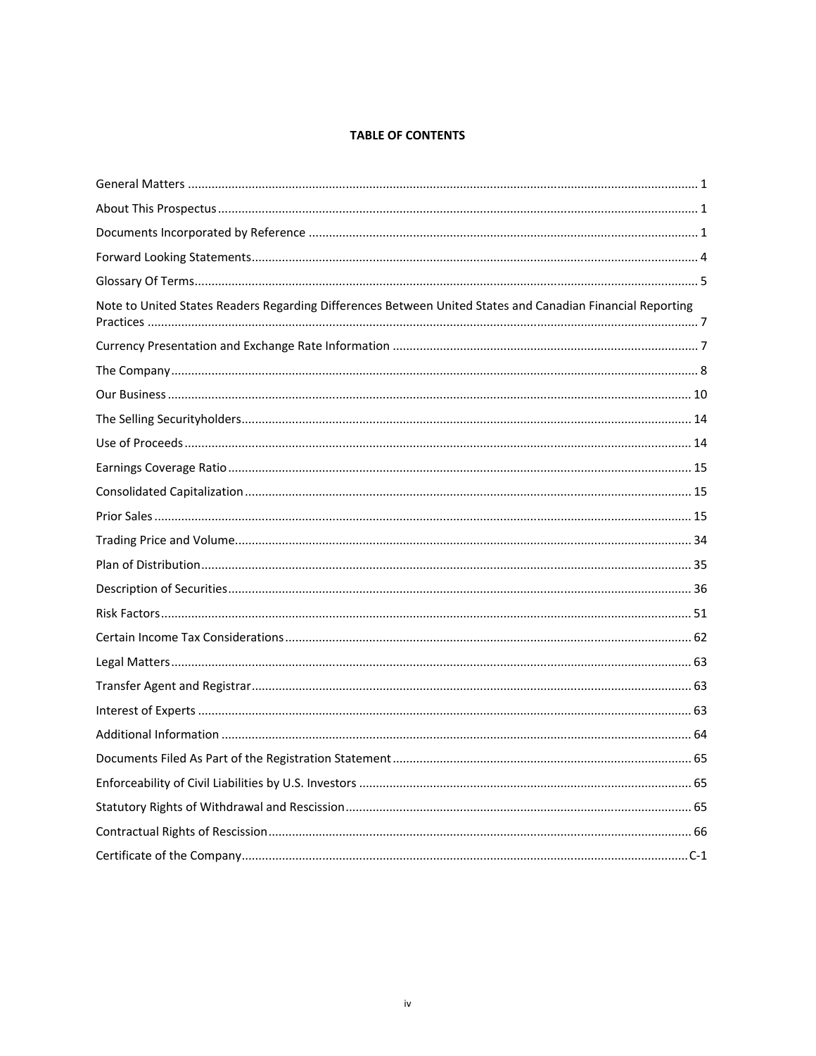# **TABLE OF CONTENTS**

| Note to United States Readers Regarding Differences Between United States and Canadian Financial Reporting |
|------------------------------------------------------------------------------------------------------------|
|                                                                                                            |
|                                                                                                            |
|                                                                                                            |
|                                                                                                            |
|                                                                                                            |
|                                                                                                            |
|                                                                                                            |
|                                                                                                            |
|                                                                                                            |
|                                                                                                            |
|                                                                                                            |
|                                                                                                            |
|                                                                                                            |
|                                                                                                            |
|                                                                                                            |
|                                                                                                            |
|                                                                                                            |
|                                                                                                            |
|                                                                                                            |
|                                                                                                            |
|                                                                                                            |
|                                                                                                            |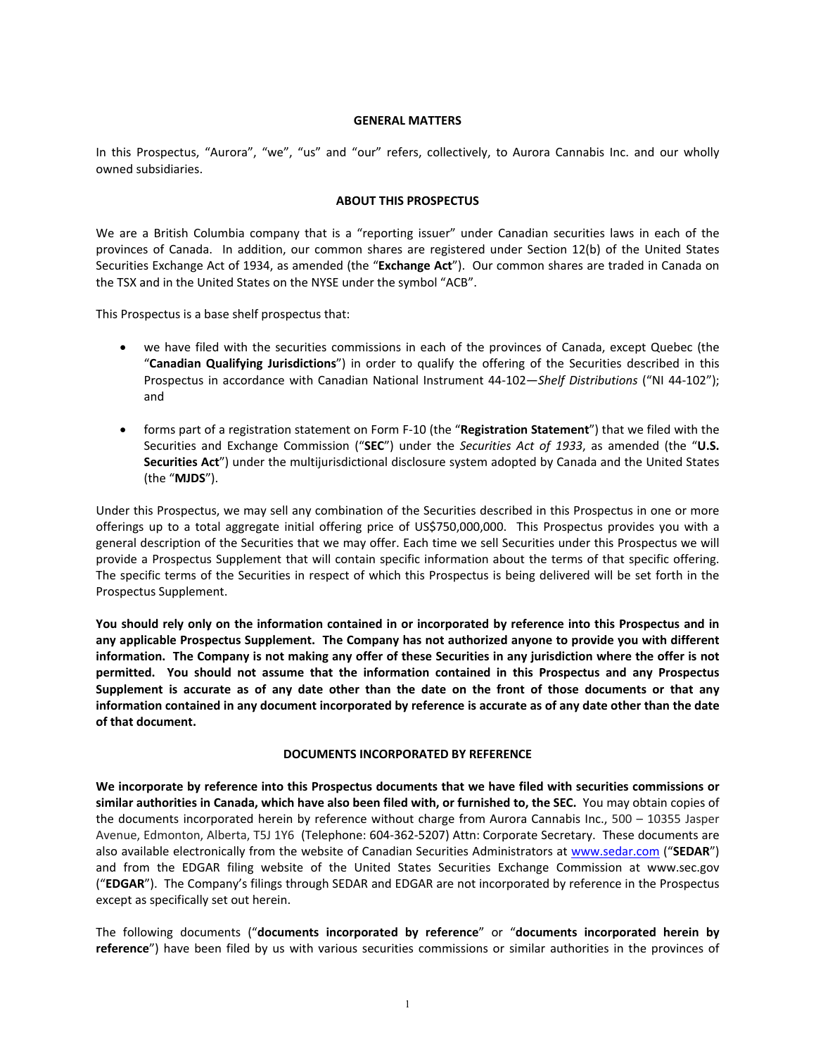#### **GENERAL MATTERS**

In this Prospectus, "Aurora", "we", "us" and "our" refers, collectively, to Aurora Cannabis Inc. and our wholly owned subsidiaries.

#### **ABOUT THIS PROSPECTUS**

We are a British Columbia company that is a "reporting issuer" under Canadian securities laws in each of the provinces of Canada. In addition, our common shares are registered under Section 12(b) of the United States Securities Exchange Act of 1934, as amended (the "**Exchange Act**"). Our common shares are traded in Canada on the TSX and in the United States on the NYSE under the symbol "ACB".

This Prospectus is a base shelf prospectus that:

- we have filed with the securities commissions in each of the provinces of Canada, except Quebec (the "**Canadian Qualifying Jurisdictions**") in order to qualify the offering of the Securities described in this Prospectus in accordance with Canadian National Instrument 44‐102—*Shelf Distributions* ("NI 44‐102"); and
- forms part of a registration statement on Form F‐10 (the "**Registration Statement**") that we filed with the Securities and Exchange Commission ("**SEC**") under the *Securities Act of 1933*, as amended (the "**U.S. Securities Act**") under the multijurisdictional disclosure system adopted by Canada and the United States (the "**MJDS**").

Under this Prospectus, we may sell any combination of the Securities described in this Prospectus in one or more offerings up to a total aggregate initial offering price of US\$750,000,000. This Prospectus provides you with a general description of the Securities that we may offer. Each time we sell Securities under this Prospectus we will provide a Prospectus Supplement that will contain specific information about the terms of that specific offering. The specific terms of the Securities in respect of which this Prospectus is being delivered will be set forth in the Prospectus Supplement.

**You should rely only on the information contained in or incorporated by reference into this Prospectus and in any applicable Prospectus Supplement. The Company has not authorized anyone to provide you with different information. The Company is not making any offer of these Securities in any jurisdiction where the offer is not permitted. You should not assume that the information contained in this Prospectus and any Prospectus Supplement is accurate as of any date other than the date on the front of those documents or that any information contained in any document incorporated by reference is accurate as of any date other than the date of that document.** 

#### **DOCUMENTS INCORPORATED BY REFERENCE**

**We incorporate by reference into this Prospectus documents that we have filed with securities commissions or similar authorities in Canada, which have also been filed with, or furnished to, the SEC.** You may obtain copies of the documents incorporated herein by reference without charge from Aurora Cannabis Inc., 500 – 10355 Jasper Avenue, Edmonton, Alberta, T5J 1Y6 (Telephone: 604‐362‐5207) Attn: Corporate Secretary. These documents are also available electronically from the website of Canadian Securities Administrators at www.sedar.com ("**SEDAR**") and from the EDGAR filing website of the United States Securities Exchange Commission at www.sec.gov ("**EDGAR**"). The Company's filings through SEDAR and EDGAR are not incorporated by reference in the Prospectus except as specifically set out herein.

The following documents ("**documents incorporated by reference**" or "**documents incorporated herein by**  reference") have been filed by us with various securities commissions or similar authorities in the provinces of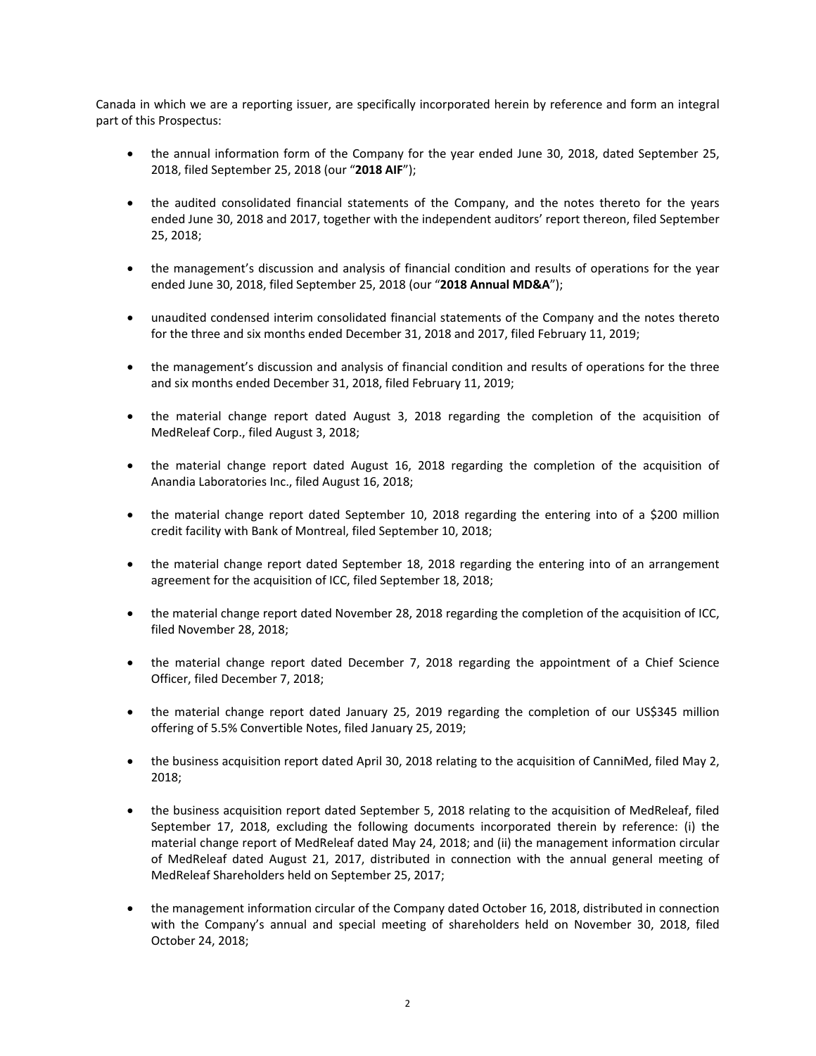Canada in which we are a reporting issuer, are specifically incorporated herein by reference and form an integral part of this Prospectus:

- the annual information form of the Company for the year ended June 30, 2018, dated September 25, 2018, filed September 25, 2018 (our "**2018 AIF**");
- the audited consolidated financial statements of the Company, and the notes thereto for the years ended June 30, 2018 and 2017, together with the independent auditors' report thereon, filed September 25, 2018;
- the management's discussion and analysis of financial condition and results of operations for the year ended June 30, 2018, filed September 25, 2018 (our "**2018 Annual MD&A**");
- unaudited condensed interim consolidated financial statements of the Company and the notes thereto for the three and six months ended December 31, 2018 and 2017, filed February 11, 2019;
- the management's discussion and analysis of financial condition and results of operations for the three and six months ended December 31, 2018, filed February 11, 2019;
- the material change report dated August 3, 2018 regarding the completion of the acquisition of MedReleaf Corp., filed August 3, 2018;
- the material change report dated August 16, 2018 regarding the completion of the acquisition of Anandia Laboratories Inc., filed August 16, 2018;
- the material change report dated September 10, 2018 regarding the entering into of a \$200 million credit facility with Bank of Montreal, filed September 10, 2018;
- the material change report dated September 18, 2018 regarding the entering into of an arrangement agreement for the acquisition of ICC, filed September 18, 2018;
- the material change report dated November 28, 2018 regarding the completion of the acquisition of ICC, filed November 28, 2018;
- the material change report dated December 7, 2018 regarding the appointment of a Chief Science Officer, filed December 7, 2018;
- the material change report dated January 25, 2019 regarding the completion of our US\$345 million offering of 5.5% Convertible Notes, filed January 25, 2019;
- the business acquisition report dated April 30, 2018 relating to the acquisition of CanniMed, filed May 2, 2018;
- the business acquisition report dated September 5, 2018 relating to the acquisition of MedReleaf, filed September 17, 2018, excluding the following documents incorporated therein by reference: (i) the material change report of MedReleaf dated May 24, 2018; and (ii) the management information circular of MedReleaf dated August 21, 2017, distributed in connection with the annual general meeting of MedReleaf Shareholders held on September 25, 2017;
- the management information circular of the Company dated October 16, 2018, distributed in connection with the Company's annual and special meeting of shareholders held on November 30, 2018, filed October 24, 2018;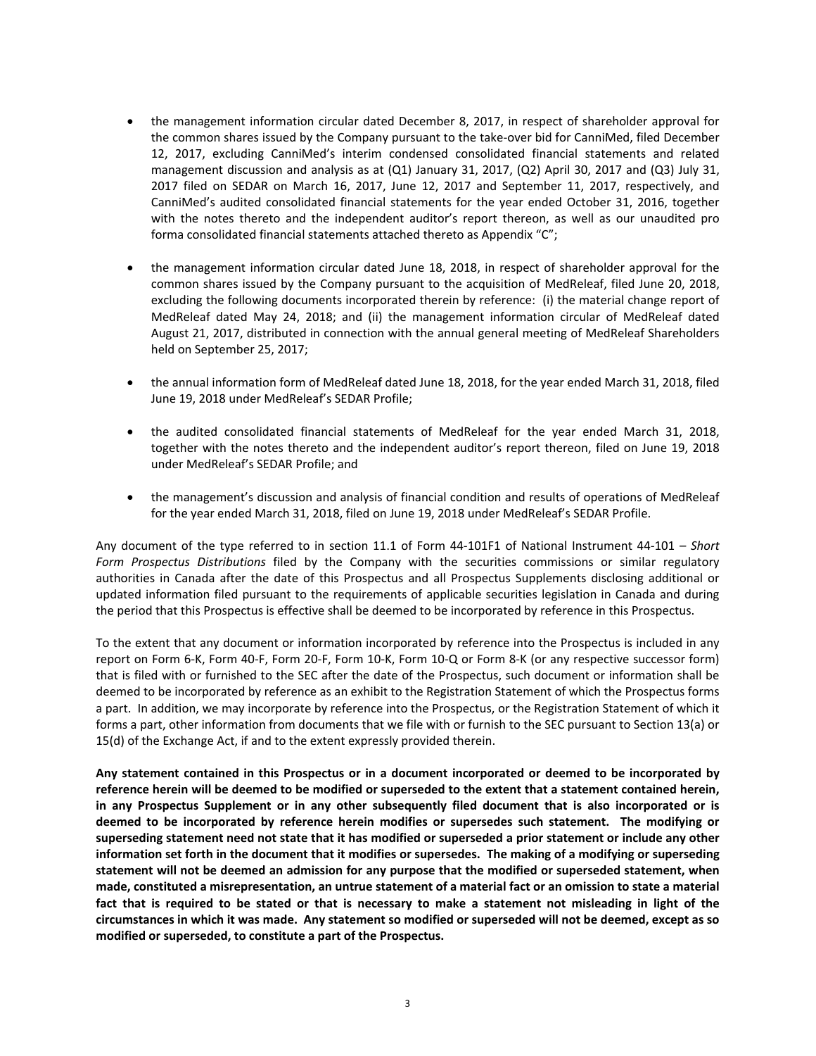- the management information circular dated December 8, 2017, in respect of shareholder approval for the common shares issued by the Company pursuant to the take‐over bid for CanniMed, filed December 12, 2017, excluding CanniMed's interim condensed consolidated financial statements and related management discussion and analysis as at (Q1) January 31, 2017, (Q2) April 30, 2017 and (Q3) July 31, 2017 filed on SEDAR on March 16, 2017, June 12, 2017 and September 11, 2017, respectively, and CanniMed's audited consolidated financial statements for the year ended October 31, 2016, together with the notes thereto and the independent auditor's report thereon, as well as our unaudited pro forma consolidated financial statements attached thereto as Appendix "C";
- the management information circular dated June 18, 2018, in respect of shareholder approval for the common shares issued by the Company pursuant to the acquisition of MedReleaf, filed June 20, 2018, excluding the following documents incorporated therein by reference: (i) the material change report of MedReleaf dated May 24, 2018; and (ii) the management information circular of MedReleaf dated August 21, 2017, distributed in connection with the annual general meeting of MedReleaf Shareholders held on September 25, 2017;
- the annual information form of MedReleaf dated June 18, 2018, for the year ended March 31, 2018, filed June 19, 2018 under MedReleaf's SEDAR Profile;
- the audited consolidated financial statements of MedReleaf for the year ended March 31, 2018, together with the notes thereto and the independent auditor's report thereon, filed on June 19, 2018 under MedReleaf's SEDAR Profile; and
- the management's discussion and analysis of financial condition and results of operations of MedReleaf for the year ended March 31, 2018, filed on June 19, 2018 under MedReleaf's SEDAR Profile.

Any document of the type referred to in section 11.1 of Form 44‐101F1 of National Instrument 44‐101 – *Short Form Prospectus Distributions* filed by the Company with the securities commissions or similar regulatory authorities in Canada after the date of this Prospectus and all Prospectus Supplements disclosing additional or updated information filed pursuant to the requirements of applicable securities legislation in Canada and during the period that this Prospectus is effective shall be deemed to be incorporated by reference in this Prospectus.

To the extent that any document or information incorporated by reference into the Prospectus is included in any report on Form 6‐K, Form 40‐F, Form 20‐F, Form 10‐K, Form 10‐Q or Form 8‐K (or any respective successor form) that is filed with or furnished to the SEC after the date of the Prospectus, such document or information shall be deemed to be incorporated by reference as an exhibit to the Registration Statement of which the Prospectus forms a part. In addition, we may incorporate by reference into the Prospectus, or the Registration Statement of which it forms a part, other information from documents that we file with or furnish to the SEC pursuant to Section 13(a) or 15(d) of the Exchange Act, if and to the extent expressly provided therein.

**Any statement contained in this Prospectus or in a document incorporated or deemed to be incorporated by reference herein will be deemed to be modified or superseded to the extent that a statement contained herein, in any Prospectus Supplement or in any other subsequently filed document that is also incorporated or is deemed to be incorporated by reference herein modifies or supersedes such statement. The modifying or superseding statement need not state that it has modified or superseded a prior statement or include any other information set forth in the document that it modifies or supersedes. The making of a modifying or superseding statement will not be deemed an admission for any purpose that the modified or superseded statement, when made, constituted a misrepresentation, an untrue statement of a material fact or an omission to state a material**  fact that is required to be stated or that is necessary to make a statement not misleading in light of the **circumstances in which it was made. Any statement so modified or superseded will not be deemed, except as so modified or superseded, to constitute a part of the Prospectus.**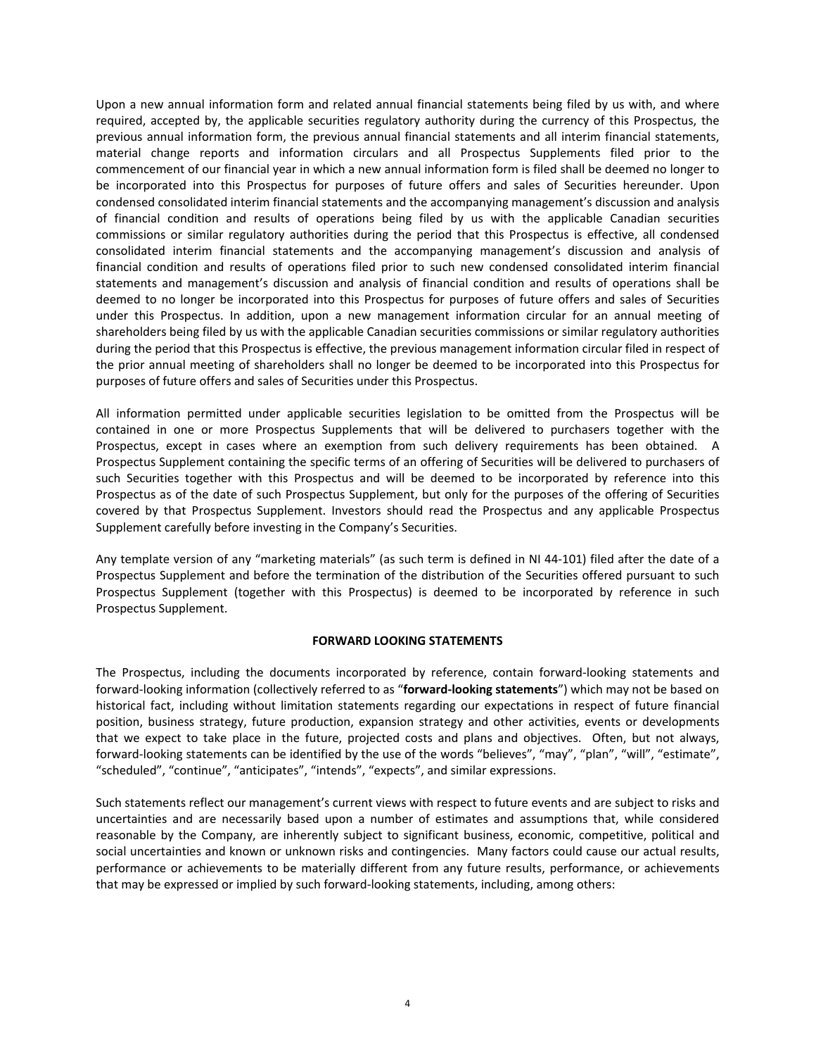Upon a new annual information form and related annual financial statements being filed by us with, and where required, accepted by, the applicable securities regulatory authority during the currency of this Prospectus, the previous annual information form, the previous annual financial statements and all interim financial statements, material change reports and information circulars and all Prospectus Supplements filed prior to the commencement of our financial year in which a new annual information form is filed shall be deemed no longer to be incorporated into this Prospectus for purposes of future offers and sales of Securities hereunder. Upon condensed consolidated interim financial statements and the accompanying management's discussion and analysis of financial condition and results of operations being filed by us with the applicable Canadian securities commissions or similar regulatory authorities during the period that this Prospectus is effective, all condensed consolidated interim financial statements and the accompanying management's discussion and analysis of financial condition and results of operations filed prior to such new condensed consolidated interim financial statements and management's discussion and analysis of financial condition and results of operations shall be deemed to no longer be incorporated into this Prospectus for purposes of future offers and sales of Securities under this Prospectus. In addition, upon a new management information circular for an annual meeting of shareholders being filed by us with the applicable Canadian securities commissions or similar regulatory authorities during the period that this Prospectus is effective, the previous management information circular filed in respect of the prior annual meeting of shareholders shall no longer be deemed to be incorporated into this Prospectus for purposes of future offers and sales of Securities under this Prospectus.

All information permitted under applicable securities legislation to be omitted from the Prospectus will be contained in one or more Prospectus Supplements that will be delivered to purchasers together with the Prospectus, except in cases where an exemption from such delivery requirements has been obtained. A Prospectus Supplement containing the specific terms of an offering of Securities will be delivered to purchasers of such Securities together with this Prospectus and will be deemed to be incorporated by reference into this Prospectus as of the date of such Prospectus Supplement, but only for the purposes of the offering of Securities covered by that Prospectus Supplement. Investors should read the Prospectus and any applicable Prospectus Supplement carefully before investing in the Company's Securities.

Any template version of any "marketing materials" (as such term is defined in NI 44‐101) filed after the date of a Prospectus Supplement and before the termination of the distribution of the Securities offered pursuant to such Prospectus Supplement (together with this Prospectus) is deemed to be incorporated by reference in such Prospectus Supplement.

#### **FORWARD LOOKING STATEMENTS**

The Prospectus, including the documents incorporated by reference, contain forward-looking statements and forward‐looking information (collectively referred to as "**forward‐looking statements**") which may not be based on historical fact, including without limitation statements regarding our expectations in respect of future financial position, business strategy, future production, expansion strategy and other activities, events or developments that we expect to take place in the future, projected costs and plans and objectives. Often, but not always, forward-looking statements can be identified by the use of the words "believes", "may", "plan", "will", "estimate", "scheduled", "continue", "anticipates", "intends", "expects", and similar expressions.

Such statements reflect our management's current views with respect to future events and are subject to risks and uncertainties and are necessarily based upon a number of estimates and assumptions that, while considered reasonable by the Company, are inherently subject to significant business, economic, competitive, political and social uncertainties and known or unknown risks and contingencies. Many factors could cause our actual results, performance or achievements to be materially different from any future results, performance, or achievements that may be expressed or implied by such forward‐looking statements, including, among others: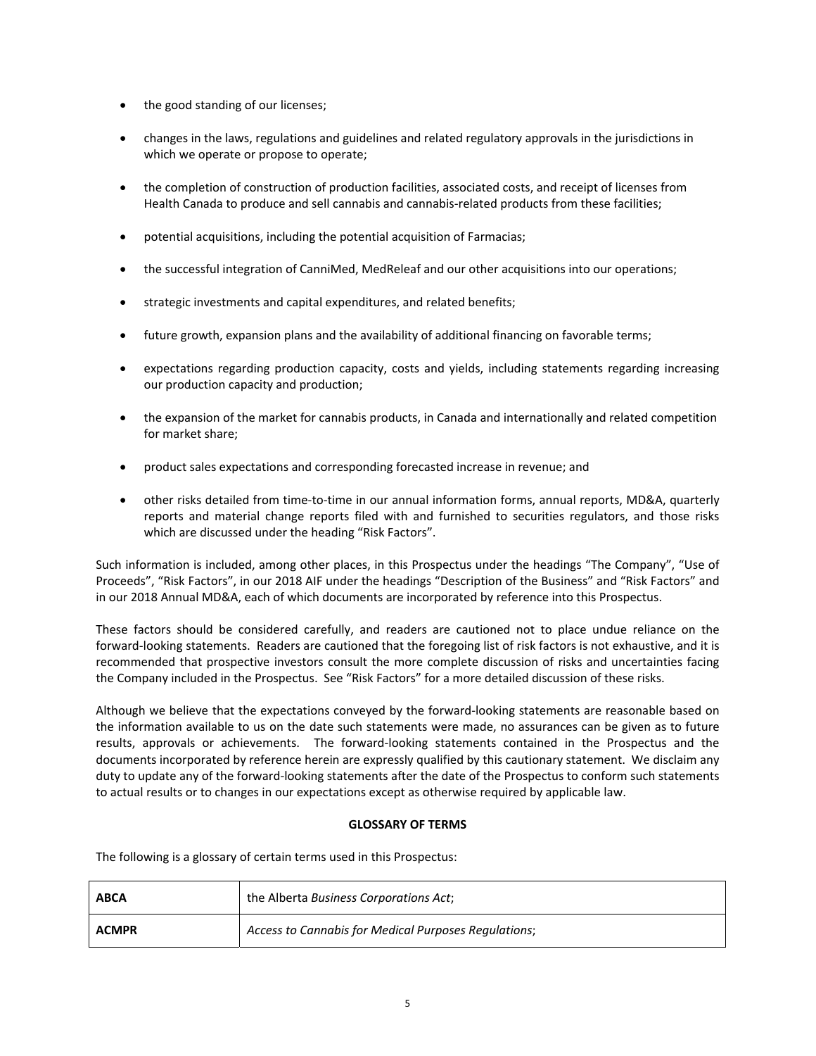- the good standing of our licenses;
- changes in the laws, regulations and guidelines and related regulatory approvals in the jurisdictions in which we operate or propose to operate;
- the completion of construction of production facilities, associated costs, and receipt of licenses from Health Canada to produce and sell cannabis and cannabis‐related products from these facilities;
- potential acquisitions, including the potential acquisition of Farmacias;
- the successful integration of CanniMed, MedReleaf and our other acquisitions into our operations;
- strategic investments and capital expenditures, and related benefits;
- future growth, expansion plans and the availability of additional financing on favorable terms;
- expectations regarding production capacity, costs and yields, including statements regarding increasing our production capacity and production;
- the expansion of the market for cannabis products, in Canada and internationally and related competition for market share;
- product sales expectations and corresponding forecasted increase in revenue; and
- other risks detailed from time-to-time in our annual information forms, annual reports, MD&A, quarterly reports and material change reports filed with and furnished to securities regulators, and those risks which are discussed under the heading "Risk Factors".

Such information is included, among other places, in this Prospectus under the headings "The Company", "Use of Proceeds", "Risk Factors", in our 2018 AIF under the headings "Description of the Business" and "Risk Factors" and in our 2018 Annual MD&A, each of which documents are incorporated by reference into this Prospectus.

These factors should be considered carefully, and readers are cautioned not to place undue reliance on the forward-looking statements. Readers are cautioned that the foregoing list of risk factors is not exhaustive, and it is recommended that prospective investors consult the more complete discussion of risks and uncertainties facing the Company included in the Prospectus. See "Risk Factors" for a more detailed discussion of these risks.

Although we believe that the expectations conveyed by the forward‐looking statements are reasonable based on the information available to us on the date such statements were made, no assurances can be given as to future results, approvals or achievements. The forward-looking statements contained in the Prospectus and the documents incorporated by reference herein are expressly qualified by this cautionary statement. We disclaim any duty to update any of the forward‐looking statements after the date of the Prospectus to conform such statements to actual results or to changes in our expectations except as otherwise required by applicable law.

# **GLOSSARY OF TERMS**

The following is a glossary of certain terms used in this Prospectus:

| <b>ABCA</b>  | the Alberta Business Corporations Act;               |
|--------------|------------------------------------------------------|
| <b>ACMPR</b> | Access to Cannabis for Medical Purposes Regulations; |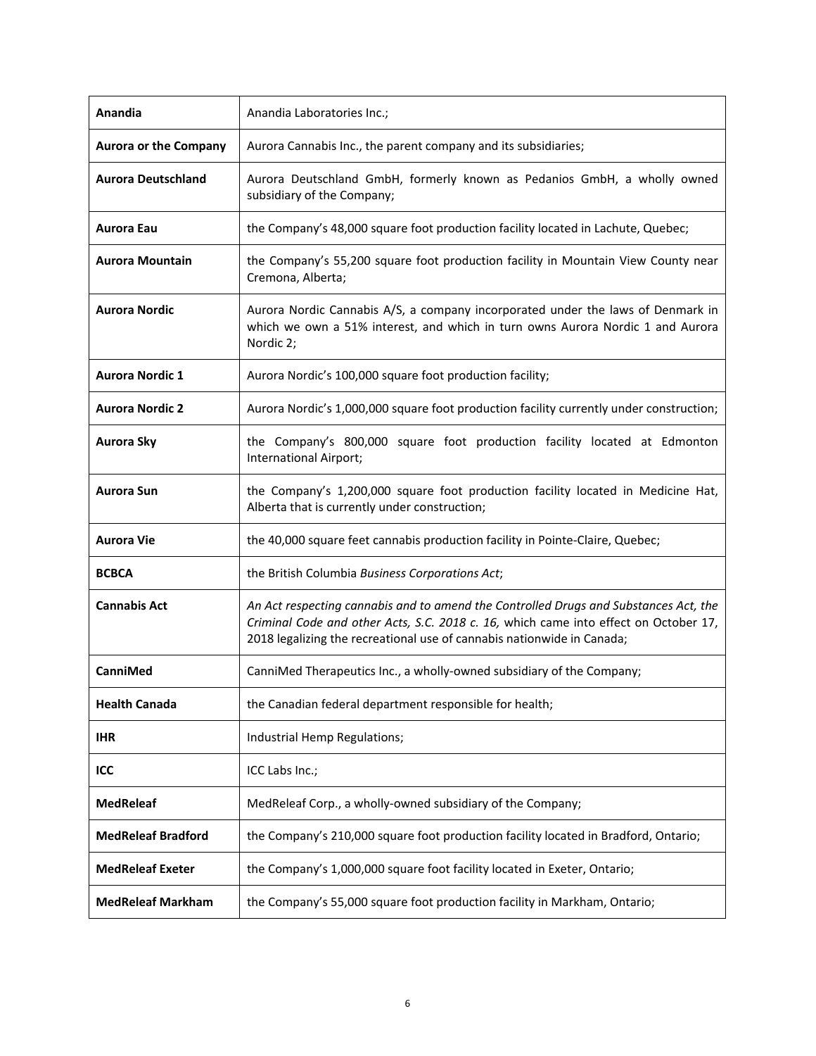| Anandia                      | Anandia Laboratories Inc.;                                                                                                                                                                                                                             |
|------------------------------|--------------------------------------------------------------------------------------------------------------------------------------------------------------------------------------------------------------------------------------------------------|
| <b>Aurora or the Company</b> | Aurora Cannabis Inc., the parent company and its subsidiaries;                                                                                                                                                                                         |
| <b>Aurora Deutschland</b>    | Aurora Deutschland GmbH, formerly known as Pedanios GmbH, a wholly owned<br>subsidiary of the Company;                                                                                                                                                 |
| <b>Aurora Eau</b>            | the Company's 48,000 square foot production facility located in Lachute, Quebec;                                                                                                                                                                       |
| <b>Aurora Mountain</b>       | the Company's 55,200 square foot production facility in Mountain View County near<br>Cremona, Alberta;                                                                                                                                                 |
| <b>Aurora Nordic</b>         | Aurora Nordic Cannabis A/S, a company incorporated under the laws of Denmark in<br>which we own a 51% interest, and which in turn owns Aurora Nordic 1 and Aurora<br>Nordic 2;                                                                         |
| <b>Aurora Nordic 1</b>       | Aurora Nordic's 100,000 square foot production facility;                                                                                                                                                                                               |
| <b>Aurora Nordic 2</b>       | Aurora Nordic's 1,000,000 square foot production facility currently under construction;                                                                                                                                                                |
| Aurora Sky                   | the Company's 800,000 square foot production facility located at Edmonton<br>International Airport;                                                                                                                                                    |
| <b>Aurora Sun</b>            | the Company's 1,200,000 square foot production facility located in Medicine Hat,<br>Alberta that is currently under construction;                                                                                                                      |
| Aurora Vie                   | the 40,000 square feet cannabis production facility in Pointe-Claire, Quebec;                                                                                                                                                                          |
| <b>BCBCA</b>                 | the British Columbia Business Corporations Act;                                                                                                                                                                                                        |
| <b>Cannabis Act</b>          | An Act respecting cannabis and to amend the Controlled Drugs and Substances Act, the<br>Criminal Code and other Acts, S.C. 2018 c. 16, which came into effect on October 17,<br>2018 legalizing the recreational use of cannabis nationwide in Canada; |
| CanniMed                     | CanniMed Therapeutics Inc., a wholly-owned subsidiary of the Company;                                                                                                                                                                                  |
| <b>Health Canada</b>         | the Canadian federal department responsible for health;                                                                                                                                                                                                |
| <b>IHR</b>                   | Industrial Hemp Regulations;                                                                                                                                                                                                                           |
| ICC                          | ICC Labs Inc.;                                                                                                                                                                                                                                         |
| <b>MedReleaf</b>             | MedReleaf Corp., a wholly-owned subsidiary of the Company;                                                                                                                                                                                             |
| <b>MedReleaf Bradford</b>    | the Company's 210,000 square foot production facility located in Bradford, Ontario;                                                                                                                                                                    |
| <b>MedReleaf Exeter</b>      | the Company's 1,000,000 square foot facility located in Exeter, Ontario;                                                                                                                                                                               |
| <b>MedReleaf Markham</b>     | the Company's 55,000 square foot production facility in Markham, Ontario;                                                                                                                                                                              |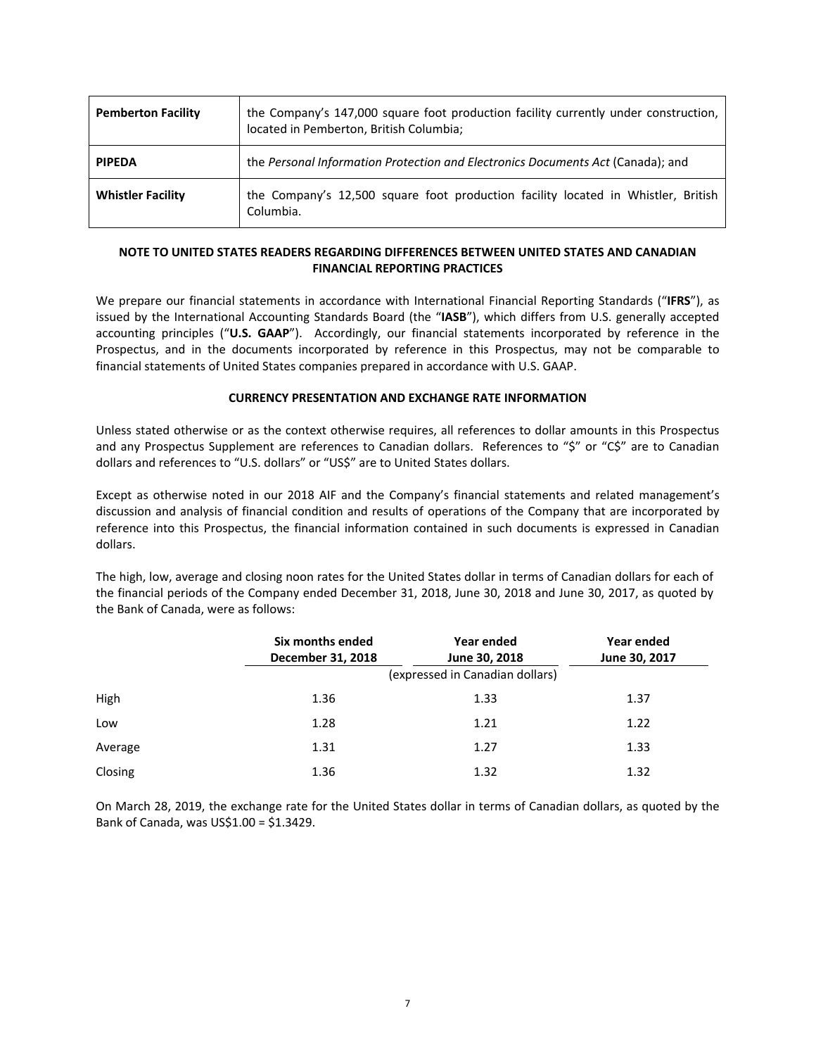| <b>Pemberton Facility</b> | the Company's 147,000 square foot production facility currently under construction,<br>located in Pemberton, British Columbia; |
|---------------------------|--------------------------------------------------------------------------------------------------------------------------------|
| <b>PIPEDA</b>             | the Personal Information Protection and Electronics Documents Act (Canada); and                                                |
| <b>Whistler Facility</b>  | the Company's 12,500 square foot production facility located in Whistler, British<br>Columbia.                                 |

# **NOTE TO UNITED STATES READERS REGARDING DIFFERENCES BETWEEN UNITED STATES AND CANADIAN FINANCIAL REPORTING PRACTICES**

We prepare our financial statements in accordance with International Financial Reporting Standards ("**IFRS**"), as issued by the International Accounting Standards Board (the "**IASB**"), which differs from U.S. generally accepted accounting principles ("U.S. GAAP"). Accordingly, our financial statements incorporated by reference in the Prospectus, and in the documents incorporated by reference in this Prospectus, may not be comparable to financial statements of United States companies prepared in accordance with U.S. GAAP.

## **CURRENCY PRESENTATION AND EXCHANGE RATE INFORMATION**

Unless stated otherwise or as the context otherwise requires, all references to dollar amounts in this Prospectus and any Prospectus Supplement are references to Canadian dollars. References to "\$" or "C\$" are to Canadian dollars and references to "U.S. dollars" or "US\$" are to United States dollars.

Except as otherwise noted in our 2018 AIF and the Company's financial statements and related management's discussion and analysis of financial condition and results of operations of the Company that are incorporated by reference into this Prospectus, the financial information contained in such documents is expressed in Canadian dollars.

The high, low, average and closing noon rates for the United States dollar in terms of Canadian dollars for each of the financial periods of the Company ended December 31, 2018, June 30, 2018 and June 30, 2017, as quoted by the Bank of Canada, were as follows:

|         | Six months ended<br>December 31, 2018 | Year ended<br>June 30, 2018<br>(expressed in Canadian dollars) | Year ended<br>June 30, 2017 |
|---------|---------------------------------------|----------------------------------------------------------------|-----------------------------|
| High    | 1.36                                  | 1.33                                                           | 1.37                        |
| Low     | 1.28                                  | 1.21                                                           | 1.22                        |
| Average | 1.31                                  | 1.27                                                           | 1.33                        |
| Closing | 1.36                                  | 1.32                                                           | 1.32                        |

On March 28, 2019, the exchange rate for the United States dollar in terms of Canadian dollars, as quoted by the Bank of Canada, was US\$1.00 = \$1.3429.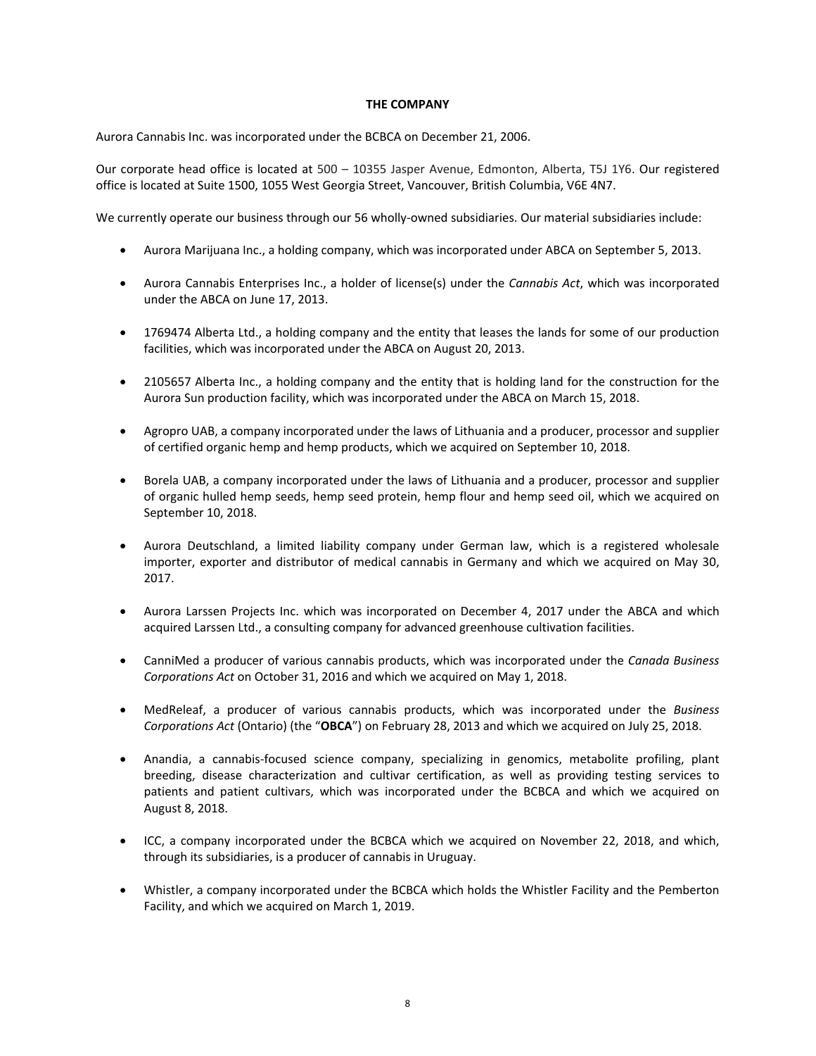#### **THE COMPANY**

Aurora Cannabis Inc. was incorporated under the BCBCA on December 21, 2006.

Our corporate head office is located at 500 – 10355 Jasper Avenue, Edmonton, Alberta, T5J 1Y6. Our registered office is located at Suite 1500, 1055 West Georgia Street, Vancouver, British Columbia, V6E 4N7.

We currently operate our business through our 56 wholly-owned subsidiaries. Our material subsidiaries include:

- Aurora Marijuana Inc., a holding company, which was incorporated under ABCA on September 5, 2013.
- Aurora Cannabis Enterprises Inc., a holder of license(s) under the *Cannabis Act*, which was incorporated under the ABCA on June 17, 2013.
- 1769474 Alberta Ltd., a holding company and the entity that leases the lands for some of our production facilities, which was incorporated under the ABCA on August 20, 2013.
- 2105657 Alberta Inc., a holding company and the entity that is holding land for the construction for the Aurora Sun production facility, which was incorporated under the ABCA on March 15, 2018.
- Agropro UAB, a company incorporated under the laws of Lithuania and a producer, processor and supplier of certified organic hemp and hemp products, which we acquired on September 10, 2018.
- Borela UAB, a company incorporated under the laws of Lithuania and a producer, processor and supplier of organic hulled hemp seeds, hemp seed protein, hemp flour and hemp seed oil, which we acquired on September 10, 2018.
- Aurora Deutschland, a limited liability company under German law, which is a registered wholesale importer, exporter and distributor of medical cannabis in Germany and which we acquired on May 30, 2017.
- Aurora Larssen Projects Inc. which was incorporated on December 4, 2017 under the ABCA and which acquired Larssen Ltd., a consulting company for advanced greenhouse cultivation facilities.
- CanniMed a producer of various cannabis products, which was incorporated under the *Canada Business Corporations Act* on October 31, 2016 and which we acquired on May 1, 2018.
- MedReleaf, a producer of various cannabis products, which was incorporated under the *Business Corporations Act* (Ontario) (the "**OBCA**") on February 28, 2013 and which we acquired on July 25, 2018.
- Anandia, a cannabis-focused science company, specializing in genomics, metabolite profiling, plant breeding, disease characterization and cultivar certification, as well as providing testing services to patients and patient cultivars, which was incorporated under the BCBCA and which we acquired on August 8, 2018.
- ICC, a company incorporated under the BCBCA which we acquired on November 22, 2018, and which, through its subsidiaries, is a producer of cannabis in Uruguay.
- Whistler, a company incorporated under the BCBCA which holds the Whistler Facility and the Pemberton Facility, and which we acquired on March 1, 2019.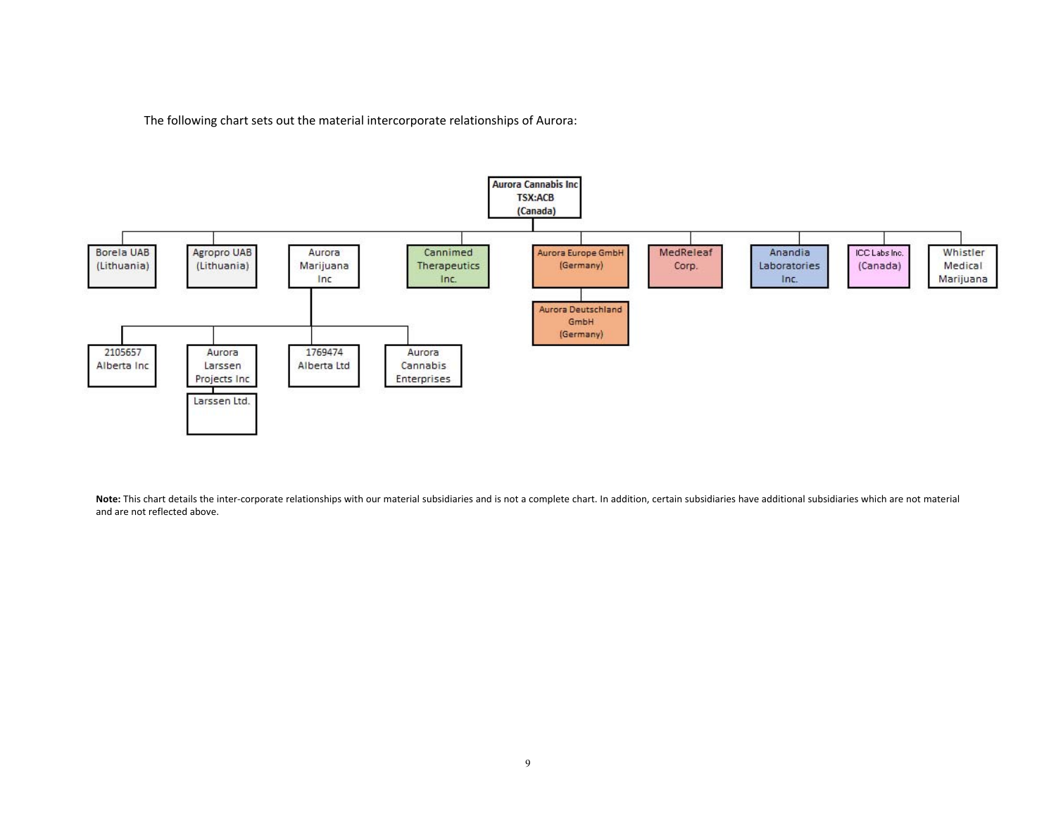The following chart sets out the material intercorporate relationships of Aurora:



Note: This chart details the inter-corporate relationships with our material subsidiaries and is not a complete chart. In addition, certain subsidiaries have additional subsidiaries which are not material and are not reflected above.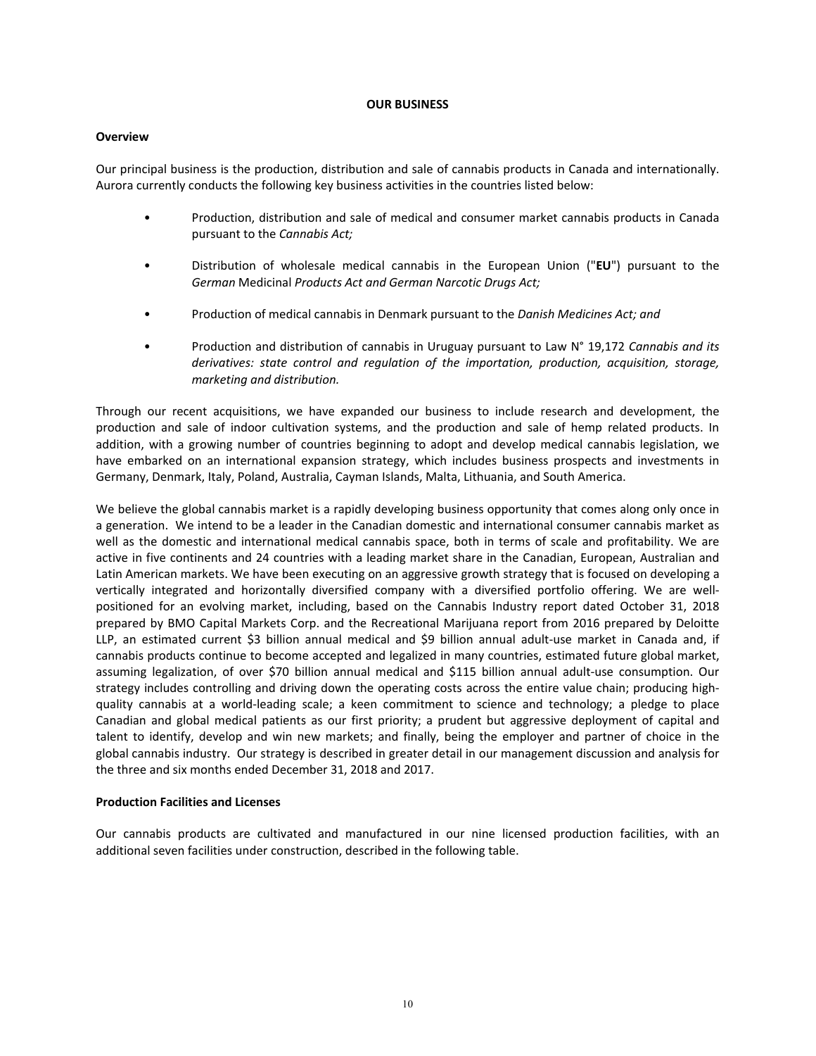#### **OUR BUSINESS**

#### **Overview**

Our principal business is the production, distribution and sale of cannabis products in Canada and internationally. Aurora currently conducts the following key business activities in the countries listed below:

- Production, distribution and sale of medical and consumer market cannabis products in Canada pursuant to the *Cannabis Act;*
- Distribution of wholesale medical cannabis in the European Union ("**EU**") pursuant to the *German* Medicinal *Products Act and German Narcotic Drugs Act;*
- Production of medical cannabis in Denmark pursuant to the *Danish Medicines Act; and*
- Production and distribution of cannabis in Uruguay pursuant to Law N° 19,172 *Cannabis and its derivatives: state control and regulation of the importation, production, acquisition, storage, marketing and distribution.*

Through our recent acquisitions, we have expanded our business to include research and development, the production and sale of indoor cultivation systems, and the production and sale of hemp related products. In addition, with a growing number of countries beginning to adopt and develop medical cannabis legislation, we have embarked on an international expansion strategy, which includes business prospects and investments in Germany, Denmark, Italy, Poland, Australia, Cayman Islands, Malta, Lithuania, and South America.

We believe the global cannabis market is a rapidly developing business opportunity that comes along only once in a generation. We intend to be a leader in the Canadian domestic and international consumer cannabis market as well as the domestic and international medical cannabis space, both in terms of scale and profitability. We are active in five continents and 24 countries with a leading market share in the Canadian, European, Australian and Latin American markets. We have been executing on an aggressive growth strategy that is focused on developing a vertically integrated and horizontally diversified company with a diversified portfolio offering. We are wellpositioned for an evolving market, including, based on the Cannabis Industry report dated October 31, 2018 prepared by BMO Capital Markets Corp. and the Recreational Marijuana report from 2016 prepared by Deloitte LLP, an estimated current \$3 billion annual medical and \$9 billion annual adult-use market in Canada and, if cannabis products continue to become accepted and legalized in many countries, estimated future global market, assuming legalization, of over \$70 billion annual medical and \$115 billion annual adult‐use consumption. Our strategy includes controlling and driving down the operating costs across the entire value chain; producing highquality cannabis at a world-leading scale; a keen commitment to science and technology; a pledge to place Canadian and global medical patients as our first priority; a prudent but aggressive deployment of capital and talent to identify, develop and win new markets; and finally, being the employer and partner of choice in the global cannabis industry. Our strategy is described in greater detail in our management discussion and analysis for the three and six months ended December 31, 2018 and 2017.

#### **Production Facilities and Licenses**

Our cannabis products are cultivated and manufactured in our nine licensed production facilities, with an additional seven facilities under construction, described in the following table.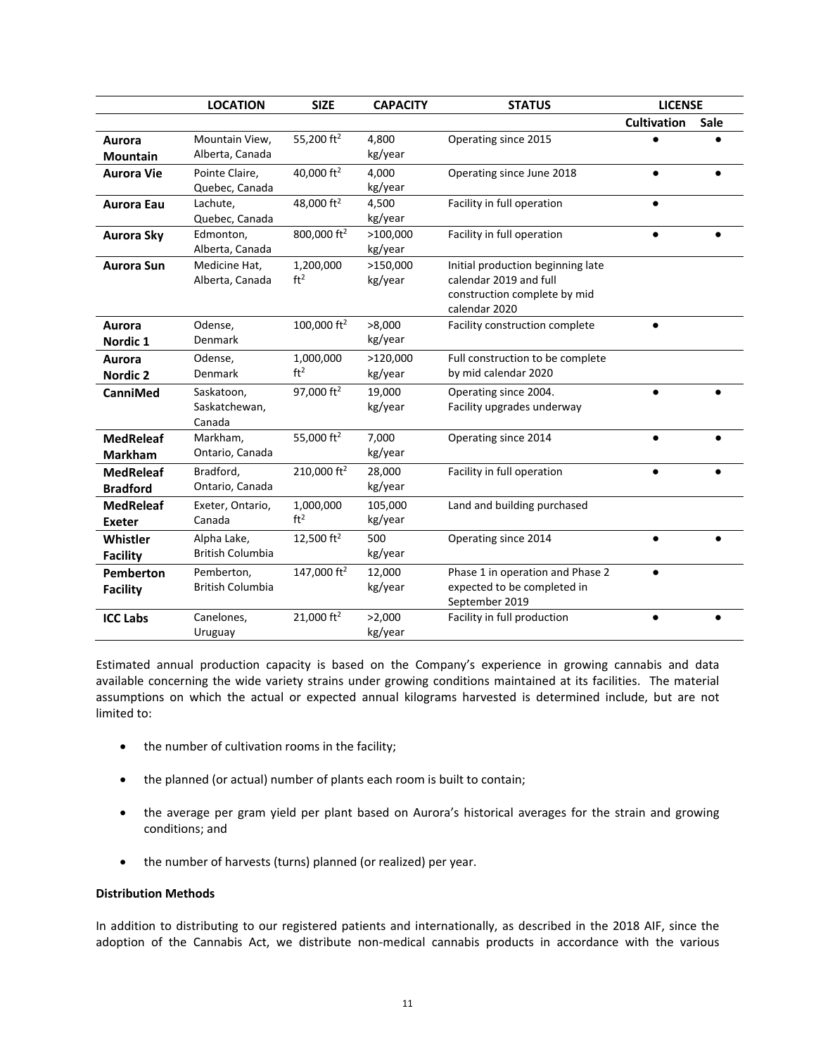|                                     | <b>LOCATION</b>                        | <b>SIZE</b>                  | <b>CAPACITY</b>     | <b>STATUS</b>                                                                                                | <b>LICENSE</b>     |      |
|-------------------------------------|----------------------------------------|------------------------------|---------------------|--------------------------------------------------------------------------------------------------------------|--------------------|------|
|                                     |                                        |                              |                     |                                                                                                              | <b>Cultivation</b> | Sale |
| Aurora<br><b>Mountain</b>           | Mountain View,<br>Alberta, Canada      | 55,200 ft <sup>2</sup>       | 4,800<br>kg/year    | Operating since 2015                                                                                         |                    |      |
| <b>Aurora Vie</b>                   | Pointe Claire,<br>Quebec, Canada       | 40,000 ft <sup>2</sup>       | 4,000<br>kg/year    | Operating since June 2018                                                                                    |                    |      |
| <b>Aurora Eau</b>                   | Lachute,<br>Quebec, Canada             | 48,000 ft <sup>2</sup>       | 4,500<br>kg/year    | Facility in full operation                                                                                   |                    |      |
| Aurora Sky                          | Edmonton,<br>Alberta, Canada           | 800,000 ft <sup>2</sup>      | >100,000<br>kg/year | Facility in full operation                                                                                   |                    |      |
| <b>Aurora Sun</b>                   | Medicine Hat,<br>Alberta, Canada       | 1,200,000<br>ft <sup>2</sup> | >150,000<br>kg/year | Initial production beginning late<br>calendar 2019 and full<br>construction complete by mid<br>calendar 2020 |                    |      |
| Aurora<br>Nordic <sub>1</sub>       | Odense,<br>Denmark                     | 100,000 ft <sup>2</sup>      | >8,000<br>kg/year   | Facility construction complete                                                                               | $\bullet$          |      |
| Aurora<br>Nordic 2                  | Odense,<br>Denmark                     | 1,000,000<br>ft <sup>2</sup> | >120,000<br>kg/year | Full construction to be complete<br>by mid calendar 2020                                                     |                    |      |
| CanniMed                            | Saskatoon,<br>Saskatchewan,<br>Canada  | 97,000 ft <sup>2</sup>       | 19,000<br>kg/year   | Operating since 2004.<br>Facility upgrades underway                                                          | $\bullet$          |      |
| <b>MedReleaf</b><br><b>Markham</b>  | Markham,<br>Ontario, Canada            | 55,000 ft <sup>2</sup>       | 7,000<br>kg/year    | Operating since 2014                                                                                         | $\bullet$          |      |
| <b>MedReleaf</b><br><b>Bradford</b> | Bradford,<br>Ontario, Canada           | 210,000 ft <sup>2</sup>      | 28,000<br>kg/year   | Facility in full operation                                                                                   | $\bullet$          |      |
| <b>MedReleaf</b><br><b>Exeter</b>   | Exeter, Ontario,<br>Canada             | 1,000,000<br>ft <sup>2</sup> | 105,000<br>kg/year  | Land and building purchased                                                                                  |                    |      |
| Whistler<br><b>Facility</b>         | Alpha Lake,<br><b>British Columbia</b> | 12,500 $ft2$                 | 500<br>kg/year      | Operating since 2014                                                                                         | $\bullet$          |      |
| <b>Pemberton</b><br><b>Facility</b> | Pemberton,<br><b>British Columbia</b>  | 147,000 ft <sup>2</sup>      | 12,000<br>kg/year   | Phase 1 in operation and Phase 2<br>expected to be completed in<br>September 2019                            |                    |      |
| <b>ICC Labs</b>                     | Canelones,<br>Uruguay                  | 21,000 $ft^2$                | >2,000<br>kg/year   | Facility in full production                                                                                  |                    |      |

Estimated annual production capacity is based on the Company's experience in growing cannabis and data available concerning the wide variety strains under growing conditions maintained at its facilities. The material assumptions on which the actual or expected annual kilograms harvested is determined include, but are not limited to:

- the number of cultivation rooms in the facility;
- the planned (or actual) number of plants each room is built to contain;
- the average per gram yield per plant based on Aurora's historical averages for the strain and growing conditions; and
- the number of harvests (turns) planned (or realized) per year.

## **Distribution Methods**

In addition to distributing to our registered patients and internationally, as described in the 2018 AIF, since the adoption of the Cannabis Act, we distribute non-medical cannabis products in accordance with the various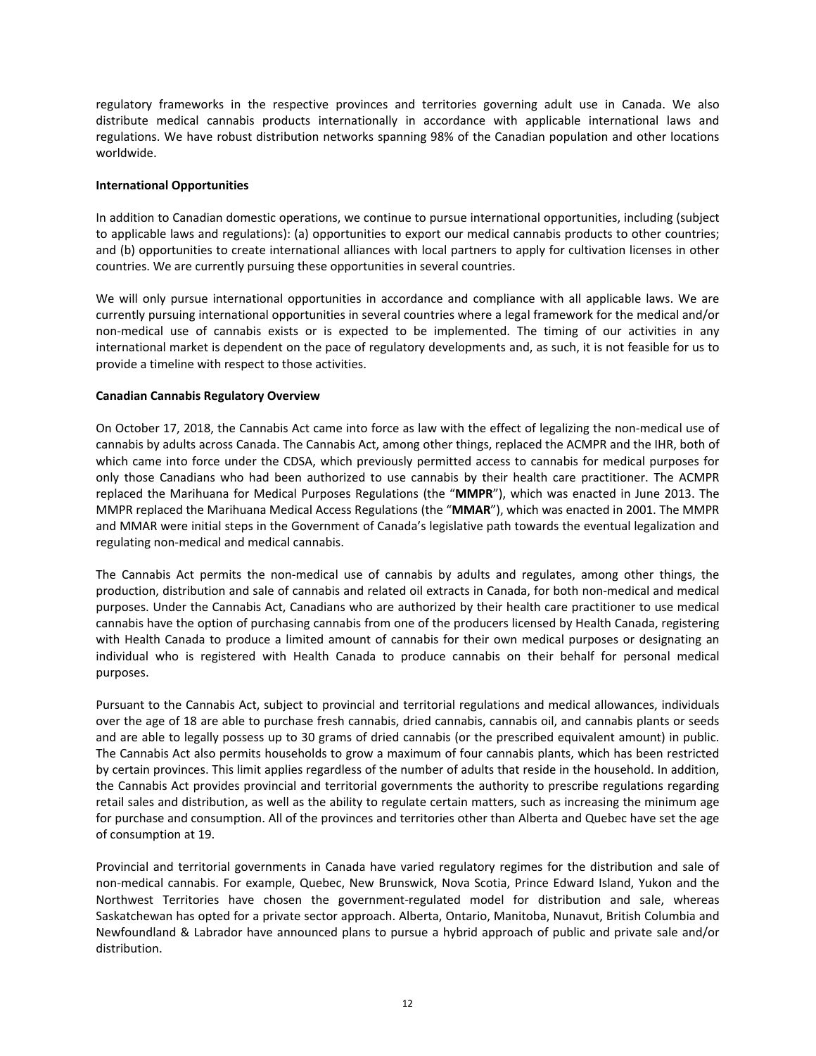regulatory frameworks in the respective provinces and territories governing adult use in Canada. We also distribute medical cannabis products internationally in accordance with applicable international laws and regulations. We have robust distribution networks spanning 98% of the Canadian population and other locations worldwide.

#### **International Opportunities**

In addition to Canadian domestic operations, we continue to pursue international opportunities, including (subject to applicable laws and regulations): (a) opportunities to export our medical cannabis products to other countries; and (b) opportunities to create international alliances with local partners to apply for cultivation licenses in other countries. We are currently pursuing these opportunities in several countries.

We will only pursue international opportunities in accordance and compliance with all applicable laws. We are currently pursuing international opportunities in several countries where a legal framework for the medical and/or non-medical use of cannabis exists or is expected to be implemented. The timing of our activities in any international market is dependent on the pace of regulatory developments and, as such, it is not feasible for us to provide a timeline with respect to those activities.

## **Canadian Cannabis Regulatory Overview**

On October 17, 2018, the Cannabis Act came into force as law with the effect of legalizing the non‐medical use of cannabis by adults across Canada. The Cannabis Act, among other things, replaced the ACMPR and the IHR, both of which came into force under the CDSA, which previously permitted access to cannabis for medical purposes for only those Canadians who had been authorized to use cannabis by their health care practitioner. The ACMPR replaced the Marihuana for Medical Purposes Regulations (the "**MMPR**"), which was enacted in June 2013. The MMPR replaced the Marihuana Medical Access Regulations (the "**MMAR**"), which was enacted in 2001. The MMPR and MMAR were initial steps in the Government of Canada's legislative path towards the eventual legalization and regulating non‐medical and medical cannabis.

The Cannabis Act permits the non-medical use of cannabis by adults and regulates, among other things, the production, distribution and sale of cannabis and related oil extracts in Canada, for both non‐medical and medical purposes. Under the Cannabis Act, Canadians who are authorized by their health care practitioner to use medical cannabis have the option of purchasing cannabis from one of the producers licensed by Health Canada, registering with Health Canada to produce a limited amount of cannabis for their own medical purposes or designating an individual who is registered with Health Canada to produce cannabis on their behalf for personal medical purposes.

Pursuant to the Cannabis Act, subject to provincial and territorial regulations and medical allowances, individuals over the age of 18 are able to purchase fresh cannabis, dried cannabis, cannabis oil, and cannabis plants or seeds and are able to legally possess up to 30 grams of dried cannabis (or the prescribed equivalent amount) in public. The Cannabis Act also permits households to grow a maximum of four cannabis plants, which has been restricted by certain provinces. This limit applies regardless of the number of adults that reside in the household. In addition, the Cannabis Act provides provincial and territorial governments the authority to prescribe regulations regarding retail sales and distribution, as well as the ability to regulate certain matters, such as increasing the minimum age for purchase and consumption. All of the provinces and territories other than Alberta and Quebec have set the age of consumption at 19.

Provincial and territorial governments in Canada have varied regulatory regimes for the distribution and sale of non‐medical cannabis. For example, Quebec, New Brunswick, Nova Scotia, Prince Edward Island, Yukon and the Northwest Territories have chosen the government‐regulated model for distribution and sale, whereas Saskatchewan has opted for a private sector approach. Alberta, Ontario, Manitoba, Nunavut, British Columbia and Newfoundland & Labrador have announced plans to pursue a hybrid approach of public and private sale and/or distribution.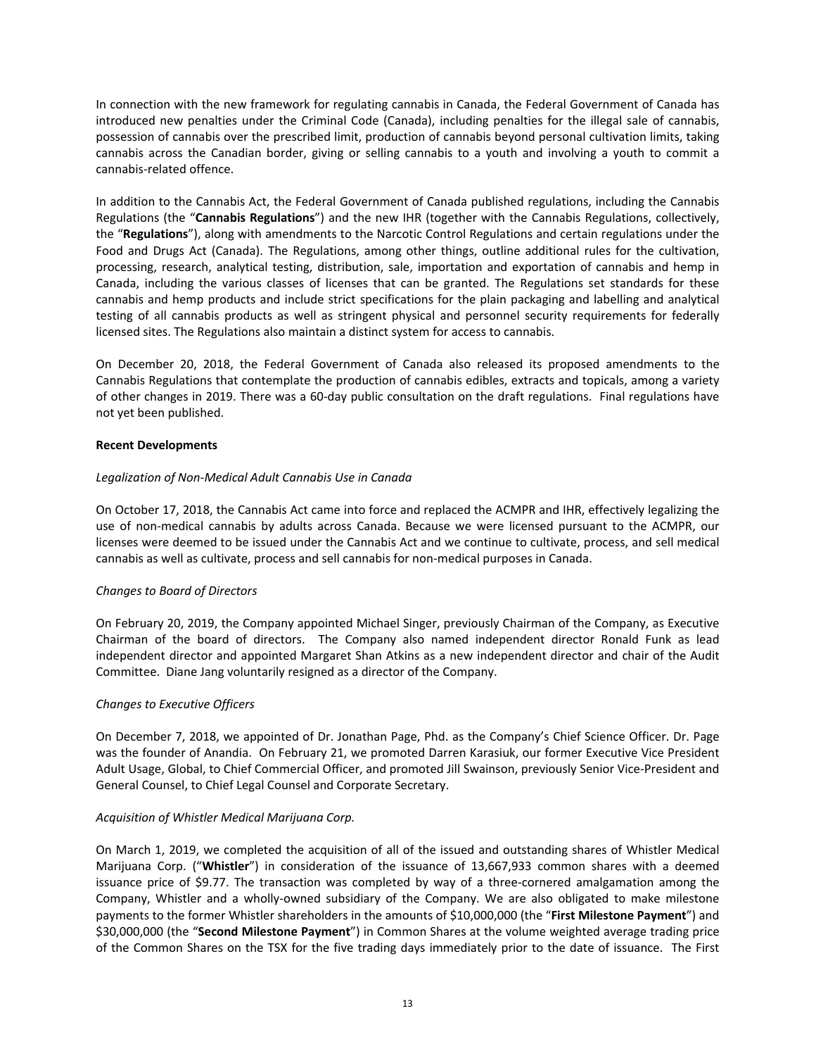In connection with the new framework for regulating cannabis in Canada, the Federal Government of Canada has introduced new penalties under the Criminal Code (Canada), including penalties for the illegal sale of cannabis, possession of cannabis over the prescribed limit, production of cannabis beyond personal cultivation limits, taking cannabis across the Canadian border, giving or selling cannabis to a youth and involving a youth to commit a cannabis‐related offence.

In addition to the Cannabis Act, the Federal Government of Canada published regulations, including the Cannabis Regulations (the "**Cannabis Regulations**") and the new IHR (together with the Cannabis Regulations, collectively, the "**Regulations**"), along with amendments to the Narcotic Control Regulations and certain regulations under the Food and Drugs Act (Canada). The Regulations, among other things, outline additional rules for the cultivation, processing, research, analytical testing, distribution, sale, importation and exportation of cannabis and hemp in Canada, including the various classes of licenses that can be granted. The Regulations set standards for these cannabis and hemp products and include strict specifications for the plain packaging and labelling and analytical testing of all cannabis products as well as stringent physical and personnel security requirements for federally licensed sites. The Regulations also maintain a distinct system for access to cannabis.

On December 20, 2018, the Federal Government of Canada also released its proposed amendments to the Cannabis Regulations that contemplate the production of cannabis edibles, extracts and topicals, among a variety of other changes in 2019. There was a 60‐day public consultation on the draft regulations. Final regulations have not yet been published.

# **Recent Developments**

# *Legalization of Non‐Medical Adult Cannabis Use in Canada*

On October 17, 2018, the Cannabis Act came into force and replaced the ACMPR and IHR, effectively legalizing the use of non-medical cannabis by adults across Canada. Because we were licensed pursuant to the ACMPR, our licenses were deemed to be issued under the Cannabis Act and we continue to cultivate, process, and sell medical cannabis as well as cultivate, process and sell cannabis for non‐medical purposes in Canada.

# *Changes to Board of Directors*

On February 20, 2019, the Company appointed Michael Singer, previously Chairman of the Company, as Executive Chairman of the board of directors. The Company also named independent director Ronald Funk as lead independent director and appointed Margaret Shan Atkins as a new independent director and chair of the Audit Committee. Diane Jang voluntarily resigned as a director of the Company.

#### *Changes to Executive Officers*

On December 7, 2018, we appointed of Dr. Jonathan Page, Phd. as the Company's Chief Science Officer. Dr. Page was the founder of Anandia. On February 21, we promoted Darren Karasiuk, our former Executive Vice President Adult Usage, Global, to Chief Commercial Officer, and promoted Jill Swainson, previously Senior Vice‐President and General Counsel, to Chief Legal Counsel and Corporate Secretary.

# *Acquisition of Whistler Medical Marijuana Corp.*

On March 1, 2019, we completed the acquisition of all of the issued and outstanding shares of Whistler Medical Marijuana Corp. ("**Whistler**") in consideration of the issuance of 13,667,933 common shares with a deemed issuance price of \$9.77. The transaction was completed by way of a three-cornered amalgamation among the Company, Whistler and a wholly‐owned subsidiary of the Company. We are also obligated to make milestone payments to the former Whistler shareholders in the amounts of \$10,000,000 (the "**First Milestone Payment**") and \$30,000,000 (the "**Second Milestone Payment**") in Common Shares at the volume weighted average trading price of the Common Shares on the TSX for the five trading days immediately prior to the date of issuance. The First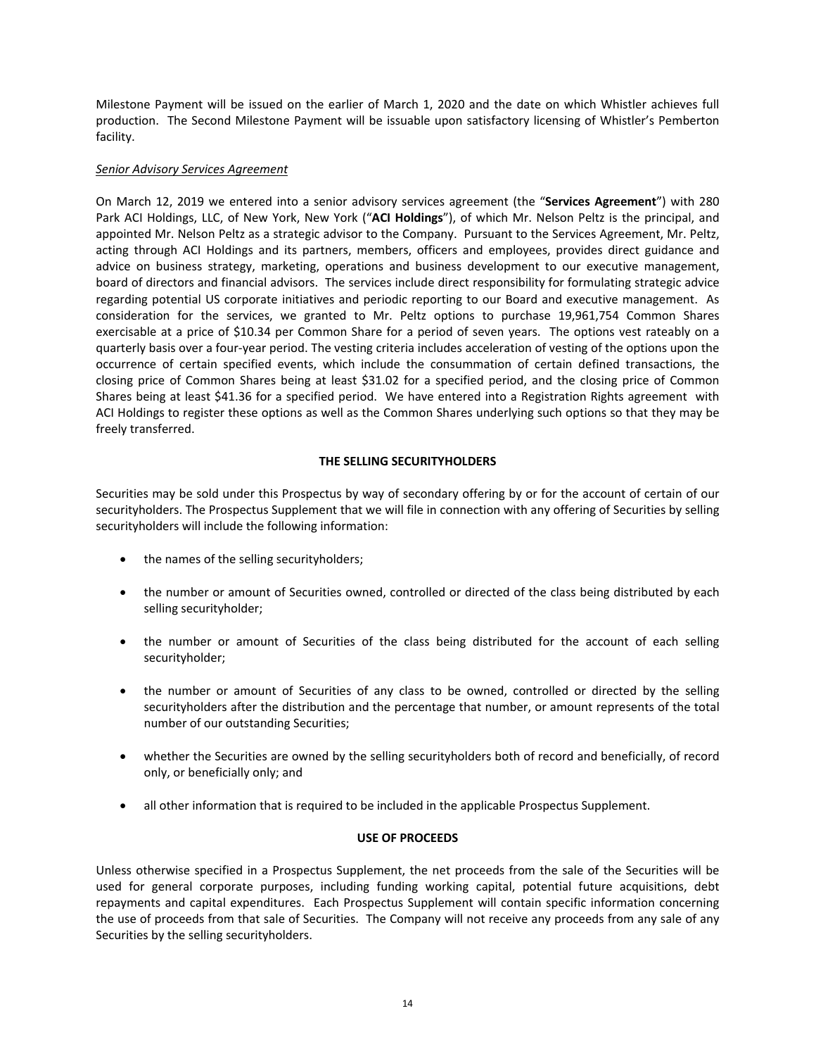Milestone Payment will be issued on the earlier of March 1, 2020 and the date on which Whistler achieves full production. The Second Milestone Payment will be issuable upon satisfactory licensing of Whistler's Pemberton facility.

#### *Senior Advisory Services Agreement*

On March 12, 2019 we entered into a senior advisory services agreement (the "**Services Agreement**") with 280 Park ACI Holdings, LLC, of New York, New York <sup>("</sup>ACI Holdings"), of which Mr. Nelson Peltz is the principal, and appointed Mr. Nelson Peltz as a strategic advisor to the Company. Pursuant to the Services Agreement, Mr. Peltz, acting through ACI Holdings and its partners, members, officers and employees, provides direct guidance and advice on business strategy, marketing, operations and business development to our executive management, board of directors and financial advisors. The services include direct responsibility for formulating strategic advice regarding potential US corporate initiatives and periodic reporting to our Board and executive management. As consideration for the services, we granted to Mr. Peltz options to purchase 19,961,754 Common Shares exercisable at a price of \$10.34 per Common Share for a period of seven years. The options vest rateably on a quarterly basis over a four‐year period. The vesting criteria includes acceleration of vesting of the options upon the occurrence of certain specified events, which include the consummation of certain defined transactions, the closing price of Common Shares being at least \$31.02 for a specified period, and the closing price of Common Shares being at least \$41.36 for a specified period. We have entered into a Registration Rights agreement with ACI Holdings to register these options as well as the Common Shares underlying such options so that they may be freely transferred.

# **THE SELLING SECURITYHOLDERS**

Securities may be sold under this Prospectus by way of secondary offering by or for the account of certain of our securityholders. The Prospectus Supplement that we will file in connection with any offering of Securities by selling securityholders will include the following information:

- the names of the selling securityholders;
- the number or amount of Securities owned, controlled or directed of the class being distributed by each selling securityholder;
- the number or amount of Securities of the class being distributed for the account of each selling securityholder;
- the number or amount of Securities of any class to be owned, controlled or directed by the selling securityholders after the distribution and the percentage that number, or amount represents of the total number of our outstanding Securities;
- whether the Securities are owned by the selling securityholders both of record and beneficially, of record only, or beneficially only; and
- all other information that is required to be included in the applicable Prospectus Supplement.

# **USE OF PROCEEDS**

Unless otherwise specified in a Prospectus Supplement, the net proceeds from the sale of the Securities will be used for general corporate purposes, including funding working capital, potential future acquisitions, debt repayments and capital expenditures. Each Prospectus Supplement will contain specific information concerning the use of proceeds from that sale of Securities. The Company will not receive any proceeds from any sale of any Securities by the selling securityholders.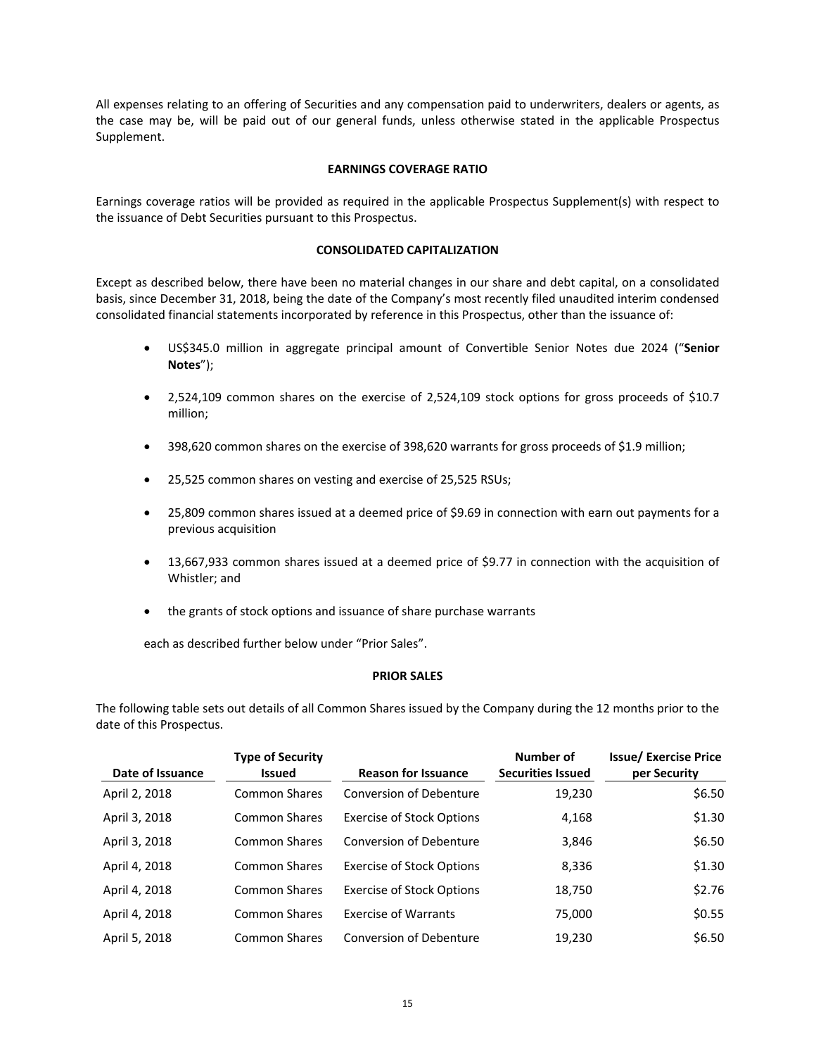All expenses relating to an offering of Securities and any compensation paid to underwriters, dealers or agents, as the case may be, will be paid out of our general funds, unless otherwise stated in the applicable Prospectus Supplement.

## **EARNINGS COVERAGE RATIO**

Earnings coverage ratios will be provided as required in the applicable Prospectus Supplement(s) with respect to the issuance of Debt Securities pursuant to this Prospectus.

#### **CONSOLIDATED CAPITALIZATION**

Except as described below, there have been no material changes in our share and debt capital, on a consolidated basis, since December 31, 2018, being the date of the Company's most recently filed unaudited interim condensed consolidated financial statements incorporated by reference in this Prospectus, other than the issuance of:

- US\$345.0 million in aggregate principal amount of Convertible Senior Notes due 2024 ("**Senior Notes**");
- 2,524,109 common shares on the exercise of 2,524,109 stock options for gross proceeds of \$10.7 million;
- 398,620 common shares on the exercise of 398,620 warrants for gross proceeds of \$1.9 million;
- 25,525 common shares on vesting and exercise of 25,525 RSUs;
- 25,809 common shares issued at a deemed price of \$9.69 in connection with earn out payments for a previous acquisition
- 13,667,933 common shares issued at a deemed price of \$9.77 in connection with the acquisition of Whistler; and
- the grants of stock options and issuance of share purchase warrants

each as described further below under "Prior Sales".

#### **PRIOR SALES**

The following table sets out details of all Common Shares issued by the Company during the 12 months prior to the date of this Prospectus.

| Date of Issuance | <b>Type of Security</b><br><b>Issued</b> | <b>Reason for Issuance</b>       | Number of<br><b>Securities Issued</b> | <b>Issue/Exercise Price</b><br>per Security |
|------------------|------------------------------------------|----------------------------------|---------------------------------------|---------------------------------------------|
| April 2, 2018    | <b>Common Shares</b>                     | <b>Conversion of Debenture</b>   | 19,230                                | \$6.50                                      |
| April 3, 2018    | <b>Common Shares</b>                     | <b>Exercise of Stock Options</b> | 4,168                                 | \$1.30                                      |
| April 3, 2018    | <b>Common Shares</b>                     | <b>Conversion of Debenture</b>   | 3,846                                 | \$6.50                                      |
| April 4, 2018    | <b>Common Shares</b>                     | <b>Exercise of Stock Options</b> | 8,336                                 | \$1.30                                      |
| April 4, 2018    | <b>Common Shares</b>                     | <b>Exercise of Stock Options</b> | 18,750                                | \$2.76                                      |
| April 4, 2018    | <b>Common Shares</b>                     | <b>Exercise of Warrants</b>      | 75,000                                | \$0.55                                      |
| April 5, 2018    | <b>Common Shares</b>                     | <b>Conversion of Debenture</b>   | 19,230                                | \$6.50                                      |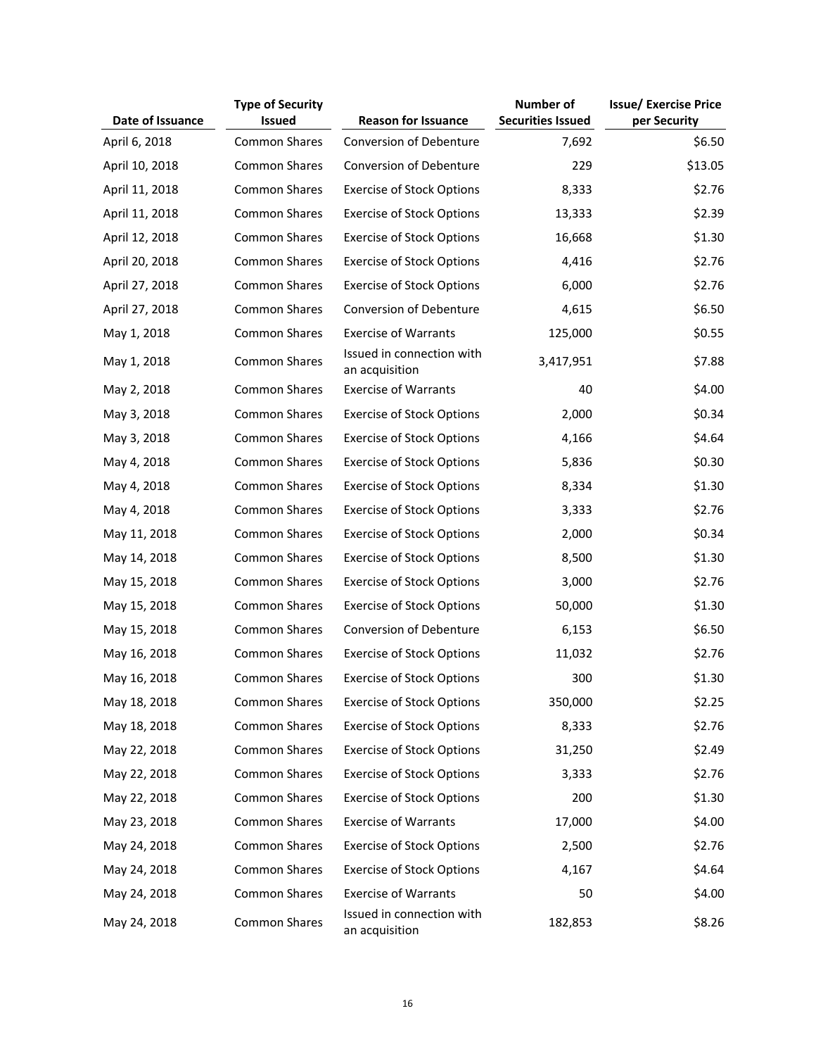|                  | <b>Type of Security</b> |                                             | <b>Number of</b>         | <b>Issue/ Exercise Price</b> |
|------------------|-------------------------|---------------------------------------------|--------------------------|------------------------------|
| Date of Issuance | <b>Issued</b>           | <b>Reason for Issuance</b>                  | <b>Securities Issued</b> | per Security                 |
| April 6, 2018    | <b>Common Shares</b>    | Conversion of Debenture                     | 7,692                    | \$6.50                       |
| April 10, 2018   | <b>Common Shares</b>    | Conversion of Debenture                     | 229                      | \$13.05                      |
| April 11, 2018   | Common Shares           | <b>Exercise of Stock Options</b>            | 8,333                    | \$2.76                       |
| April 11, 2018   | <b>Common Shares</b>    | <b>Exercise of Stock Options</b>            | 13,333                   | \$2.39                       |
| April 12, 2018   | <b>Common Shares</b>    | <b>Exercise of Stock Options</b>            | 16,668                   | \$1.30                       |
| April 20, 2018   | <b>Common Shares</b>    | <b>Exercise of Stock Options</b>            | 4,416                    | \$2.76                       |
| April 27, 2018   | <b>Common Shares</b>    | <b>Exercise of Stock Options</b>            | 6,000                    | \$2.76                       |
| April 27, 2018   | <b>Common Shares</b>    | Conversion of Debenture                     | 4,615                    | \$6.50                       |
| May 1, 2018      | <b>Common Shares</b>    | <b>Exercise of Warrants</b>                 | 125,000                  | \$0.55                       |
| May 1, 2018      | <b>Common Shares</b>    | Issued in connection with<br>an acquisition | 3,417,951                | \$7.88                       |
| May 2, 2018      | <b>Common Shares</b>    | <b>Exercise of Warrants</b>                 | 40                       | \$4.00                       |
| May 3, 2018      | <b>Common Shares</b>    | <b>Exercise of Stock Options</b>            | 2,000                    | \$0.34                       |
| May 3, 2018      | <b>Common Shares</b>    | <b>Exercise of Stock Options</b>            | 4,166                    | \$4.64                       |
| May 4, 2018      | Common Shares           | <b>Exercise of Stock Options</b>            | 5,836                    | \$0.30                       |
| May 4, 2018      | <b>Common Shares</b>    | <b>Exercise of Stock Options</b>            | 8,334                    | \$1.30                       |
| May 4, 2018      | <b>Common Shares</b>    | <b>Exercise of Stock Options</b>            | 3,333                    | \$2.76                       |
| May 11, 2018     | Common Shares           | <b>Exercise of Stock Options</b>            | 2,000                    | \$0.34                       |
| May 14, 2018     | Common Shares           | <b>Exercise of Stock Options</b>            | 8,500                    | \$1.30                       |
| May 15, 2018     | Common Shares           | <b>Exercise of Stock Options</b>            | 3,000                    | \$2.76                       |
| May 15, 2018     | <b>Common Shares</b>    | <b>Exercise of Stock Options</b>            | 50,000                   | \$1.30                       |
| May 15, 2018     | <b>Common Shares</b>    | <b>Conversion of Debenture</b>              | 6,153                    | \$6.50                       |
| May 16, 2018     | <b>Common Shares</b>    | <b>Exercise of Stock Options</b>            | 11,032                   | \$2.76                       |
| May 16, 2018     | <b>Common Shares</b>    | <b>Exercise of Stock Options</b>            | 300                      | \$1.30                       |
| May 18, 2018     | Common Shares           | <b>Exercise of Stock Options</b>            | 350,000                  | \$2.25                       |
| May 18, 2018     | Common Shares           | <b>Exercise of Stock Options</b>            | 8,333                    | \$2.76                       |
| May 22, 2018     | <b>Common Shares</b>    | <b>Exercise of Stock Options</b>            | 31,250                   | \$2.49                       |
| May 22, 2018     | Common Shares           | <b>Exercise of Stock Options</b>            | 3,333                    | \$2.76                       |
| May 22, 2018     | Common Shares           | <b>Exercise of Stock Options</b>            | 200                      | \$1.30                       |
| May 23, 2018     | <b>Common Shares</b>    | <b>Exercise of Warrants</b>                 | 17,000                   | \$4.00                       |
| May 24, 2018     | Common Shares           | <b>Exercise of Stock Options</b>            | 2,500                    | \$2.76                       |
| May 24, 2018     | Common Shares           | <b>Exercise of Stock Options</b>            | 4,167                    | \$4.64                       |
| May 24, 2018     | <b>Common Shares</b>    | <b>Exercise of Warrants</b>                 | 50                       | \$4.00                       |
| May 24, 2018     | <b>Common Shares</b>    | Issued in connection with<br>an acquisition | 182,853                  | \$8.26                       |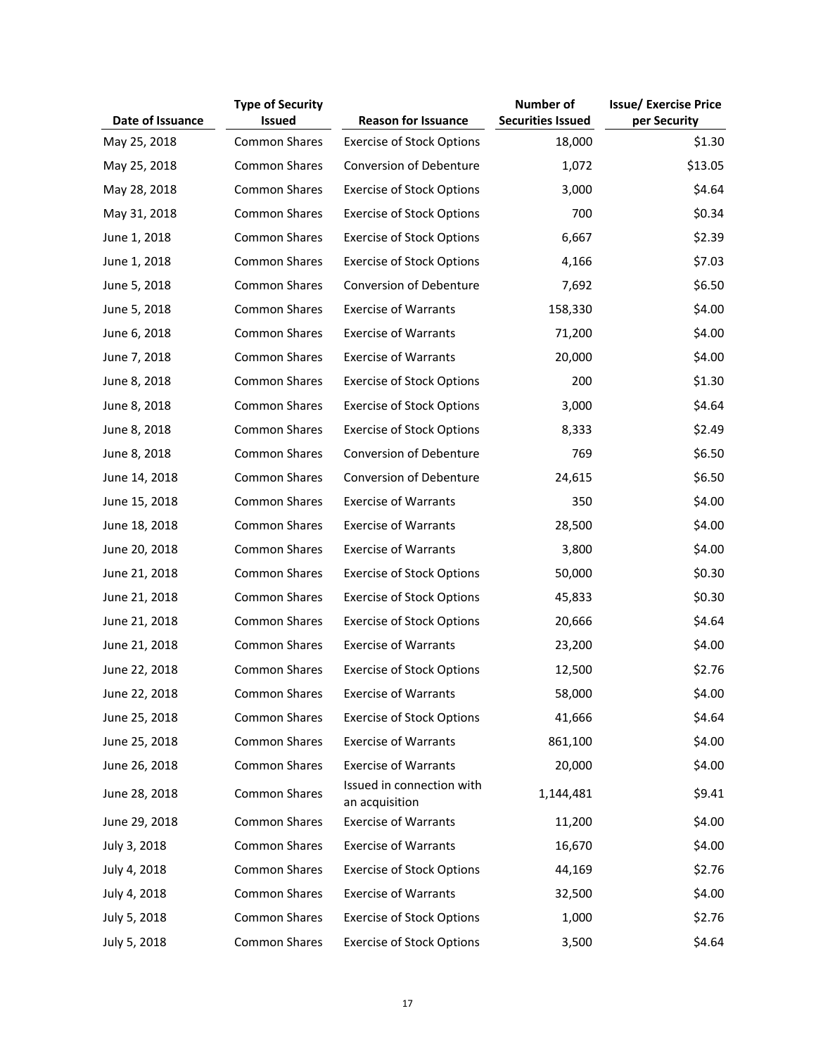|                  | <b>Type of Security</b> |                                             | Number of                | <b>Issue/ Exercise Price</b> |
|------------------|-------------------------|---------------------------------------------|--------------------------|------------------------------|
| Date of Issuance | <b>Issued</b>           | <b>Reason for Issuance</b>                  | <b>Securities Issued</b> | per Security                 |
| May 25, 2018     | <b>Common Shares</b>    | <b>Exercise of Stock Options</b>            | 18,000                   | \$1.30                       |
| May 25, 2018     | <b>Common Shares</b>    | Conversion of Debenture                     | 1,072                    | \$13.05                      |
| May 28, 2018     | Common Shares           | <b>Exercise of Stock Options</b>            | 3,000                    | \$4.64                       |
| May 31, 2018     | Common Shares           | <b>Exercise of Stock Options</b>            | 700                      | \$0.34                       |
| June 1, 2018     | <b>Common Shares</b>    | <b>Exercise of Stock Options</b>            | 6,667                    | \$2.39                       |
| June 1, 2018     | <b>Common Shares</b>    | <b>Exercise of Stock Options</b>            | 4,166                    | \$7.03                       |
| June 5, 2018     | <b>Common Shares</b>    | Conversion of Debenture                     | 7,692                    | \$6.50                       |
| June 5, 2018     | <b>Common Shares</b>    | <b>Exercise of Warrants</b>                 | 158,330                  | \$4.00                       |
| June 6, 2018     | <b>Common Shares</b>    | <b>Exercise of Warrants</b>                 | 71,200                   | \$4.00                       |
| June 7, 2018     | <b>Common Shares</b>    | <b>Exercise of Warrants</b>                 | 20,000                   | \$4.00                       |
| June 8, 2018     | <b>Common Shares</b>    | <b>Exercise of Stock Options</b>            | 200                      | \$1.30                       |
| June 8, 2018     | <b>Common Shares</b>    | <b>Exercise of Stock Options</b>            | 3,000                    | \$4.64                       |
| June 8, 2018     | <b>Common Shares</b>    | <b>Exercise of Stock Options</b>            | 8,333                    | \$2.49                       |
| June 8, 2018     | <b>Common Shares</b>    | Conversion of Debenture                     | 769                      | \$6.50                       |
| June 14, 2018    | <b>Common Shares</b>    | <b>Conversion of Debenture</b>              | 24,615                   | \$6.50                       |
| June 15, 2018    | <b>Common Shares</b>    | <b>Exercise of Warrants</b>                 | 350                      | \$4.00                       |
| June 18, 2018    | <b>Common Shares</b>    | <b>Exercise of Warrants</b>                 | 28,500                   | \$4.00                       |
| June 20, 2018    | <b>Common Shares</b>    | <b>Exercise of Warrants</b>                 | 3,800                    | \$4.00                       |
| June 21, 2018    | Common Shares           | <b>Exercise of Stock Options</b>            | 50,000                   | \$0.30                       |
| June 21, 2018    | Common Shares           | <b>Exercise of Stock Options</b>            | 45,833                   | \$0.30                       |
| June 21, 2018    | Common Shares           | <b>Exercise of Stock Options</b>            | 20,666                   | \$4.64                       |
| June 21, 2018    | <b>Common Shares</b>    | <b>Exercise of Warrants</b>                 | 23,200                   | \$4.00                       |
| June 22, 2018    | Common Shares           | <b>Exercise of Stock Options</b>            | 12,500                   | \$2.76                       |
| June 22, 2018    | <b>Common Shares</b>    | <b>Exercise of Warrants</b>                 | 58,000                   | \$4.00                       |
| June 25, 2018    | Common Shares           | <b>Exercise of Stock Options</b>            | 41,666                   | \$4.64                       |
| June 25, 2018    | <b>Common Shares</b>    | <b>Exercise of Warrants</b>                 | 861,100                  | \$4.00                       |
| June 26, 2018    | <b>Common Shares</b>    | <b>Exercise of Warrants</b>                 | 20,000                   | \$4.00                       |
| June 28, 2018    | Common Shares           | Issued in connection with<br>an acquisition | 1,144,481                | \$9.41                       |
| June 29, 2018    | Common Shares           | <b>Exercise of Warrants</b>                 | 11,200                   | \$4.00                       |
| July 3, 2018     | <b>Common Shares</b>    | <b>Exercise of Warrants</b>                 | 16,670                   | \$4.00                       |
| July 4, 2018     | <b>Common Shares</b>    | <b>Exercise of Stock Options</b>            | 44,169                   | \$2.76                       |
| July 4, 2018     | <b>Common Shares</b>    | <b>Exercise of Warrants</b>                 | 32,500                   | \$4.00                       |
| July 5, 2018     | <b>Common Shares</b>    | <b>Exercise of Stock Options</b>            | 1,000                    | \$2.76                       |
| July 5, 2018     | <b>Common Shares</b>    | <b>Exercise of Stock Options</b>            | 3,500                    | \$4.64                       |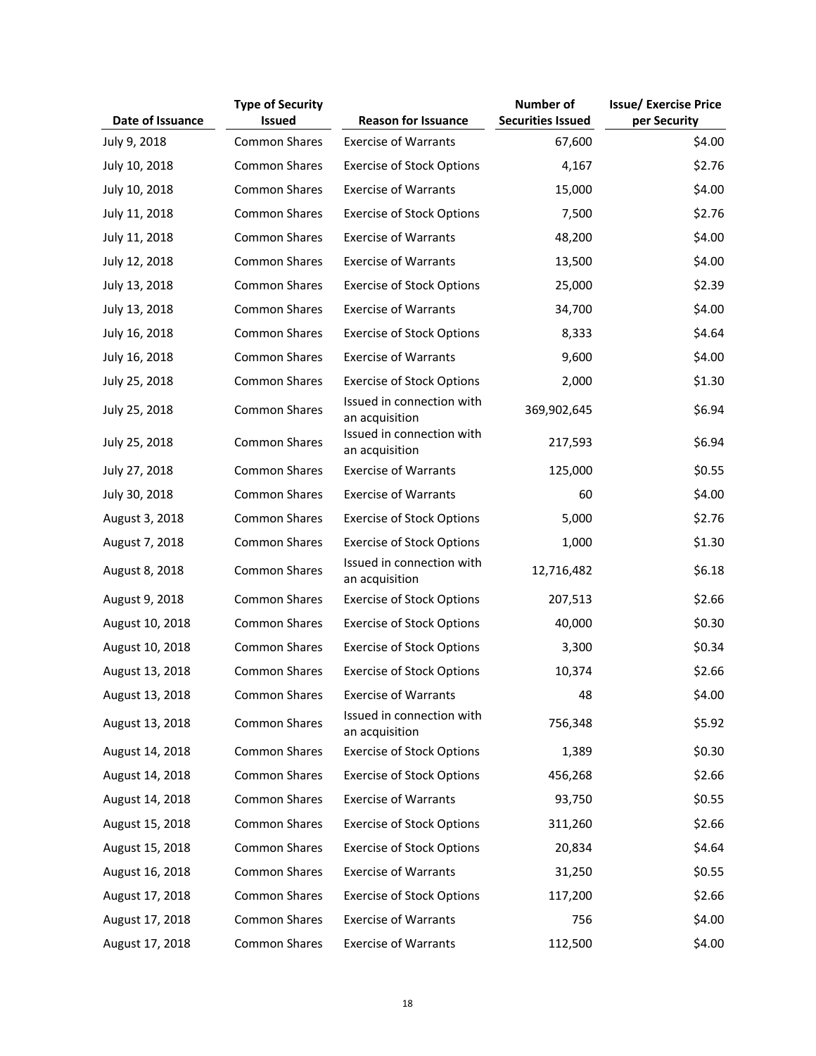|                  | <b>Type of Security</b> |                                             | <b>Number of</b>         | <b>Issue/ Exercise Price</b> |
|------------------|-------------------------|---------------------------------------------|--------------------------|------------------------------|
| Date of Issuance | <b>Issued</b>           | <b>Reason for Issuance</b>                  | <b>Securities Issued</b> | per Security                 |
| July 9, 2018     | <b>Common Shares</b>    | <b>Exercise of Warrants</b>                 | 67,600                   | \$4.00                       |
| July 10, 2018    | Common Shares           | <b>Exercise of Stock Options</b>            | 4,167                    | \$2.76                       |
| July 10, 2018    | <b>Common Shares</b>    | <b>Exercise of Warrants</b>                 | 15,000                   | \$4.00                       |
| July 11, 2018    | <b>Common Shares</b>    | <b>Exercise of Stock Options</b>            | 7,500                    | \$2.76                       |
| July 11, 2018    | Common Shares           | <b>Exercise of Warrants</b>                 | 48,200                   | \$4.00                       |
| July 12, 2018    | Common Shares           | <b>Exercise of Warrants</b>                 | 13,500                   | \$4.00                       |
| July 13, 2018    | <b>Common Shares</b>    | <b>Exercise of Stock Options</b>            | 25,000                   | \$2.39                       |
| July 13, 2018    | Common Shares           | <b>Exercise of Warrants</b>                 | 34,700                   | \$4.00                       |
| July 16, 2018    | Common Shares           | <b>Exercise of Stock Options</b>            | 8,333                    | \$4.64                       |
| July 16, 2018    | Common Shares           | <b>Exercise of Warrants</b>                 | 9,600                    | \$4.00                       |
| July 25, 2018    | <b>Common Shares</b>    | <b>Exercise of Stock Options</b>            | 2,000                    | \$1.30                       |
| July 25, 2018    | <b>Common Shares</b>    | Issued in connection with<br>an acquisition | 369,902,645              | \$6.94                       |
| July 25, 2018    | <b>Common Shares</b>    | Issued in connection with<br>an acquisition | 217,593                  | \$6.94                       |
| July 27, 2018    | <b>Common Shares</b>    | <b>Exercise of Warrants</b>                 | 125,000                  | \$0.55                       |
| July 30, 2018    | Common Shares           | <b>Exercise of Warrants</b>                 | 60                       | \$4.00                       |
| August 3, 2018   | <b>Common Shares</b>    | <b>Exercise of Stock Options</b>            | 5,000                    | \$2.76                       |
| August 7, 2018   | <b>Common Shares</b>    | <b>Exercise of Stock Options</b>            | 1,000                    | \$1.30                       |
| August 8, 2018   | <b>Common Shares</b>    | Issued in connection with<br>an acquisition | 12,716,482               | \$6.18                       |
| August 9, 2018   | <b>Common Shares</b>    | <b>Exercise of Stock Options</b>            | 207,513                  | \$2.66                       |
| August 10, 2018  | Common Shares           | <b>Exercise of Stock Options</b>            | 40,000                   | \$0.30                       |
| August 10, 2018  | Common Shares           | <b>Exercise of Stock Options</b>            | 3,300                    | \$0.34                       |
| August 13, 2018  | Common Shares           | <b>Exercise of Stock Options</b>            | 10,374                   | \$2.66                       |
| August 13, 2018  | Common Shares           | <b>Exercise of Warrants</b>                 | 48                       | \$4.00                       |
| August 13, 2018  | Common Shares           | Issued in connection with<br>an acquisition | 756,348                  | \$5.92                       |
| August 14, 2018  | Common Shares           | <b>Exercise of Stock Options</b>            | 1,389                    | \$0.30                       |
| August 14, 2018  | Common Shares           | <b>Exercise of Stock Options</b>            | 456,268                  | \$2.66                       |
| August 14, 2018  | <b>Common Shares</b>    | <b>Exercise of Warrants</b>                 | 93,750                   | \$0.55                       |
| August 15, 2018  | Common Shares           | <b>Exercise of Stock Options</b>            | 311,260                  | \$2.66                       |
| August 15, 2018  | Common Shares           | <b>Exercise of Stock Options</b>            | 20,834                   | \$4.64                       |
| August 16, 2018  | <b>Common Shares</b>    | <b>Exercise of Warrants</b>                 | 31,250                   | \$0.55                       |
| August 17, 2018  | Common Shares           | <b>Exercise of Stock Options</b>            | 117,200                  | \$2.66                       |
| August 17, 2018  | <b>Common Shares</b>    | <b>Exercise of Warrants</b>                 | 756                      | \$4.00                       |
| August 17, 2018  | <b>Common Shares</b>    | <b>Exercise of Warrants</b>                 | 112,500                  | \$4.00                       |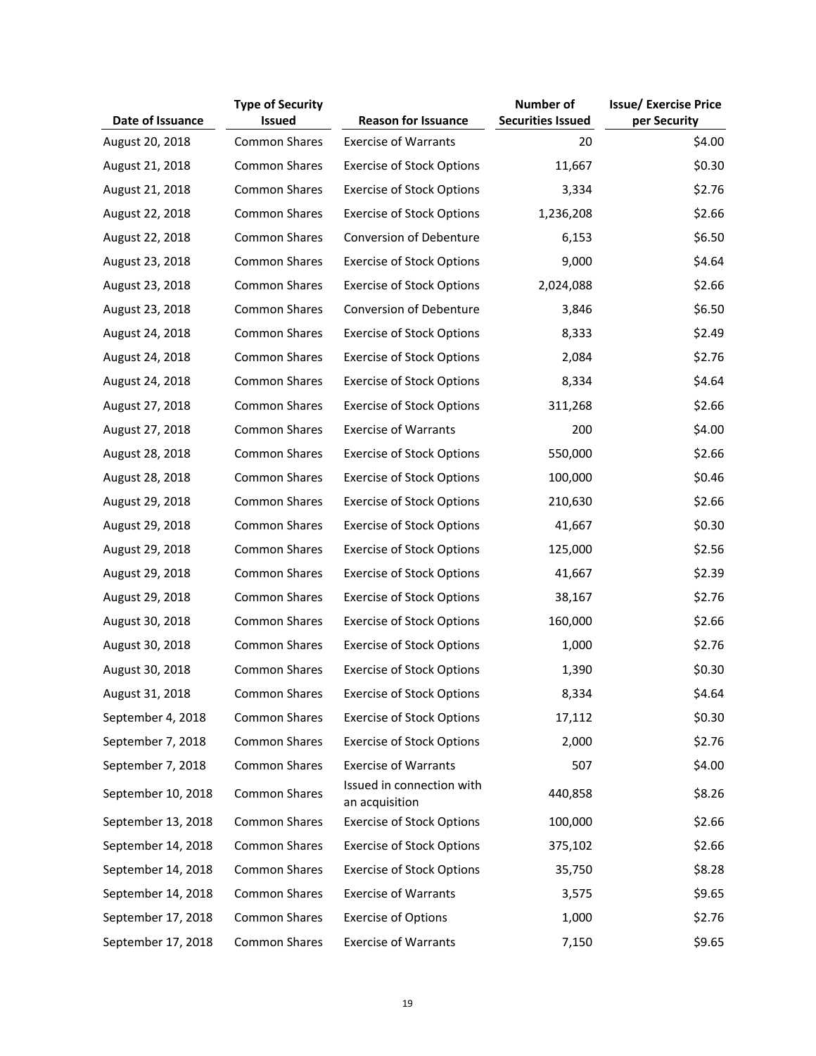|                    | <b>Type of Security</b> |                                             | <b>Number of</b>         | <b>Issue/ Exercise Price</b> |
|--------------------|-------------------------|---------------------------------------------|--------------------------|------------------------------|
| Date of Issuance   | <b>Issued</b>           | <b>Reason for Issuance</b>                  | <b>Securities Issued</b> | per Security                 |
| August 20, 2018    | <b>Common Shares</b>    | <b>Exercise of Warrants</b>                 | 20                       | \$4.00                       |
| August 21, 2018    | <b>Common Shares</b>    | <b>Exercise of Stock Options</b>            | 11,667                   | \$0.30                       |
| August 21, 2018    | <b>Common Shares</b>    | <b>Exercise of Stock Options</b>            | 3,334                    | \$2.76                       |
| August 22, 2018    | <b>Common Shares</b>    | <b>Exercise of Stock Options</b>            | 1,236,208                | \$2.66                       |
| August 22, 2018    | <b>Common Shares</b>    | <b>Conversion of Debenture</b>              | 6,153                    | \$6.50                       |
| August 23, 2018    | <b>Common Shares</b>    | <b>Exercise of Stock Options</b>            | 9,000                    | \$4.64                       |
| August 23, 2018    | Common Shares           | <b>Exercise of Stock Options</b>            | 2,024,088                | \$2.66                       |
| August 23, 2018    | <b>Common Shares</b>    | Conversion of Debenture                     | 3,846                    | \$6.50                       |
| August 24, 2018    | <b>Common Shares</b>    | <b>Exercise of Stock Options</b>            | 8,333                    | \$2.49                       |
| August 24, 2018    | <b>Common Shares</b>    | <b>Exercise of Stock Options</b>            | 2,084                    | \$2.76                       |
| August 24, 2018    | Common Shares           | <b>Exercise of Stock Options</b>            | 8,334                    | \$4.64                       |
| August 27, 2018    | <b>Common Shares</b>    | <b>Exercise of Stock Options</b>            | 311,268                  | \$2.66                       |
| August 27, 2018    | <b>Common Shares</b>    | <b>Exercise of Warrants</b>                 | 200                      | \$4.00                       |
| August 28, 2018    | <b>Common Shares</b>    | <b>Exercise of Stock Options</b>            | 550,000                  | \$2.66                       |
| August 28, 2018    | <b>Common Shares</b>    | <b>Exercise of Stock Options</b>            | 100,000                  | \$0.46                       |
| August 29, 2018    | <b>Common Shares</b>    | <b>Exercise of Stock Options</b>            | 210,630                  | \$2.66                       |
| August 29, 2018    | <b>Common Shares</b>    | <b>Exercise of Stock Options</b>            | 41,667                   | \$0.30                       |
| August 29, 2018    | <b>Common Shares</b>    | <b>Exercise of Stock Options</b>            | 125,000                  | \$2.56                       |
| August 29, 2018    | Common Shares           | <b>Exercise of Stock Options</b>            | 41,667                   | \$2.39                       |
| August 29, 2018    | Common Shares           | <b>Exercise of Stock Options</b>            | 38,167                   | \$2.76                       |
| August 30, 2018    | Common Shares           | <b>Exercise of Stock Options</b>            | 160,000                  | \$2.66                       |
| August 30, 2018    | Common Shares           | <b>Exercise of Stock Options</b>            | 1,000                    | \$2.76                       |
| August 30, 2018    | Common Shares           | <b>Exercise of Stock Options</b>            | 1,390                    | \$0.30                       |
| August 31, 2018    | <b>Common Shares</b>    | <b>Exercise of Stock Options</b>            | 8,334                    | \$4.64                       |
| September 4, 2018  | <b>Common Shares</b>    | <b>Exercise of Stock Options</b>            | 17,112                   | \$0.30                       |
| September 7, 2018  | <b>Common Shares</b>    | <b>Exercise of Stock Options</b>            | 2,000                    | \$2.76                       |
| September 7, 2018  | Common Shares           | <b>Exercise of Warrants</b>                 | 507                      | \$4.00                       |
| September 10, 2018 | <b>Common Shares</b>    | Issued in connection with<br>an acquisition | 440,858                  | \$8.26                       |
| September 13, 2018 | <b>Common Shares</b>    | <b>Exercise of Stock Options</b>            | 100,000                  | \$2.66                       |
| September 14, 2018 | <b>Common Shares</b>    | <b>Exercise of Stock Options</b>            | 375,102                  | \$2.66                       |
| September 14, 2018 | <b>Common Shares</b>    | <b>Exercise of Stock Options</b>            | 35,750                   | \$8.28                       |
| September 14, 2018 | <b>Common Shares</b>    | <b>Exercise of Warrants</b>                 | 3,575                    | \$9.65                       |
| September 17, 2018 | <b>Common Shares</b>    | <b>Exercise of Options</b>                  | 1,000                    | \$2.76                       |
| September 17, 2018 | <b>Common Shares</b>    | <b>Exercise of Warrants</b>                 | 7,150                    | \$9.65                       |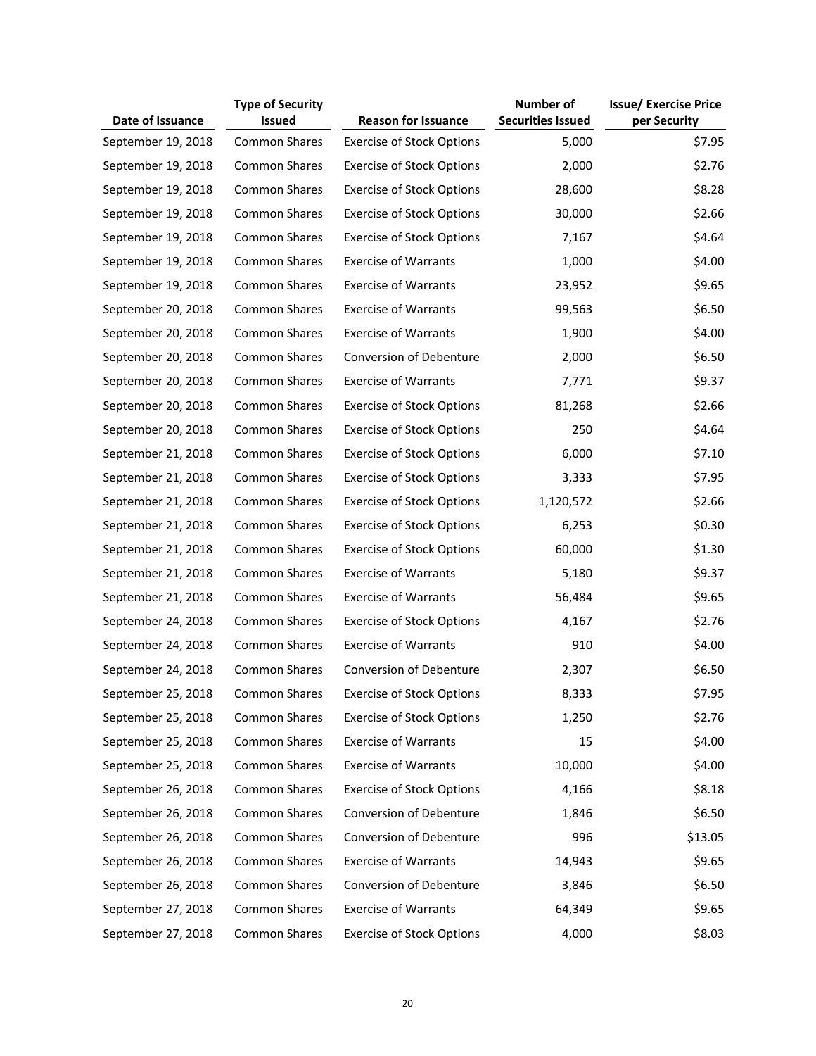|                    | <b>Type of Security</b> |                                  | <b>Number of</b>         | <b>Issue/ Exercise Price</b> |
|--------------------|-------------------------|----------------------------------|--------------------------|------------------------------|
| Date of Issuance   | <b>Issued</b>           | <b>Reason for Issuance</b>       | <b>Securities Issued</b> | per Security                 |
| September 19, 2018 | Common Shares           | <b>Exercise of Stock Options</b> | 5,000                    | \$7.95                       |
| September 19, 2018 | <b>Common Shares</b>    | <b>Exercise of Stock Options</b> | 2,000                    | \$2.76                       |
| September 19, 2018 | <b>Common Shares</b>    | <b>Exercise of Stock Options</b> | 28,600                   | \$8.28                       |
| September 19, 2018 | <b>Common Shares</b>    | <b>Exercise of Stock Options</b> | 30,000                   | \$2.66                       |
| September 19, 2018 | <b>Common Shares</b>    | <b>Exercise of Stock Options</b> | 7,167                    | \$4.64                       |
| September 19, 2018 | <b>Common Shares</b>    | <b>Exercise of Warrants</b>      | 1,000                    | \$4.00                       |
| September 19, 2018 | <b>Common Shares</b>    | <b>Exercise of Warrants</b>      | 23,952                   | \$9.65                       |
| September 20, 2018 | <b>Common Shares</b>    | <b>Exercise of Warrants</b>      | 99,563                   | \$6.50                       |
| September 20, 2018 | <b>Common Shares</b>    | <b>Exercise of Warrants</b>      | 1,900                    | \$4.00                       |
| September 20, 2018 | <b>Common Shares</b>    | Conversion of Debenture          | 2,000                    | \$6.50                       |
| September 20, 2018 | <b>Common Shares</b>    | <b>Exercise of Warrants</b>      | 7,771                    | \$9.37                       |
| September 20, 2018 | <b>Common Shares</b>    | <b>Exercise of Stock Options</b> | 81,268                   | \$2.66                       |
| September 20, 2018 | <b>Common Shares</b>    | <b>Exercise of Stock Options</b> | 250                      | \$4.64                       |
| September 21, 2018 | <b>Common Shares</b>    | <b>Exercise of Stock Options</b> | 6,000                    | \$7.10                       |
| September 21, 2018 | <b>Common Shares</b>    | <b>Exercise of Stock Options</b> | 3,333                    | \$7.95                       |
| September 21, 2018 | <b>Common Shares</b>    | <b>Exercise of Stock Options</b> | 1,120,572                | \$2.66                       |
| September 21, 2018 | <b>Common Shares</b>    | <b>Exercise of Stock Options</b> | 6,253                    | \$0.30                       |
| September 21, 2018 | <b>Common Shares</b>    | <b>Exercise of Stock Options</b> | 60,000                   | \$1.30                       |
| September 21, 2018 | <b>Common Shares</b>    | <b>Exercise of Warrants</b>      | 5,180                    | \$9.37                       |
| September 21, 2018 | <b>Common Shares</b>    | <b>Exercise of Warrants</b>      | 56,484                   | \$9.65                       |
| September 24, 2018 | <b>Common Shares</b>    | <b>Exercise of Stock Options</b> | 4,167                    | \$2.76                       |
| September 24, 2018 | <b>Common Shares</b>    | <b>Exercise of Warrants</b>      | 910                      | \$4.00                       |
| September 24, 2018 | <b>Common Shares</b>    | <b>Conversion of Debenture</b>   | 2,307                    | \$6.50                       |
| September 25, 2018 | <b>Common Shares</b>    | <b>Exercise of Stock Options</b> | 8,333                    | \$7.95                       |
| September 25, 2018 | <b>Common Shares</b>    | <b>Exercise of Stock Options</b> | 1,250                    | \$2.76                       |
| September 25, 2018 | <b>Common Shares</b>    | <b>Exercise of Warrants</b>      | 15                       | \$4.00                       |
| September 25, 2018 | <b>Common Shares</b>    | <b>Exercise of Warrants</b>      | 10,000                   | \$4.00                       |
| September 26, 2018 | <b>Common Shares</b>    | <b>Exercise of Stock Options</b> | 4,166                    | \$8.18                       |
| September 26, 2018 | <b>Common Shares</b>    | Conversion of Debenture          | 1,846                    | \$6.50                       |
| September 26, 2018 | <b>Common Shares</b>    | Conversion of Debenture          | 996                      | \$13.05                      |
| September 26, 2018 | <b>Common Shares</b>    | <b>Exercise of Warrants</b>      | 14,943                   | \$9.65                       |
| September 26, 2018 | <b>Common Shares</b>    | Conversion of Debenture          | 3,846                    | \$6.50                       |
| September 27, 2018 | <b>Common Shares</b>    | <b>Exercise of Warrants</b>      | 64,349                   | \$9.65                       |
| September 27, 2018 | Common Shares           | <b>Exercise of Stock Options</b> | 4,000                    | \$8.03                       |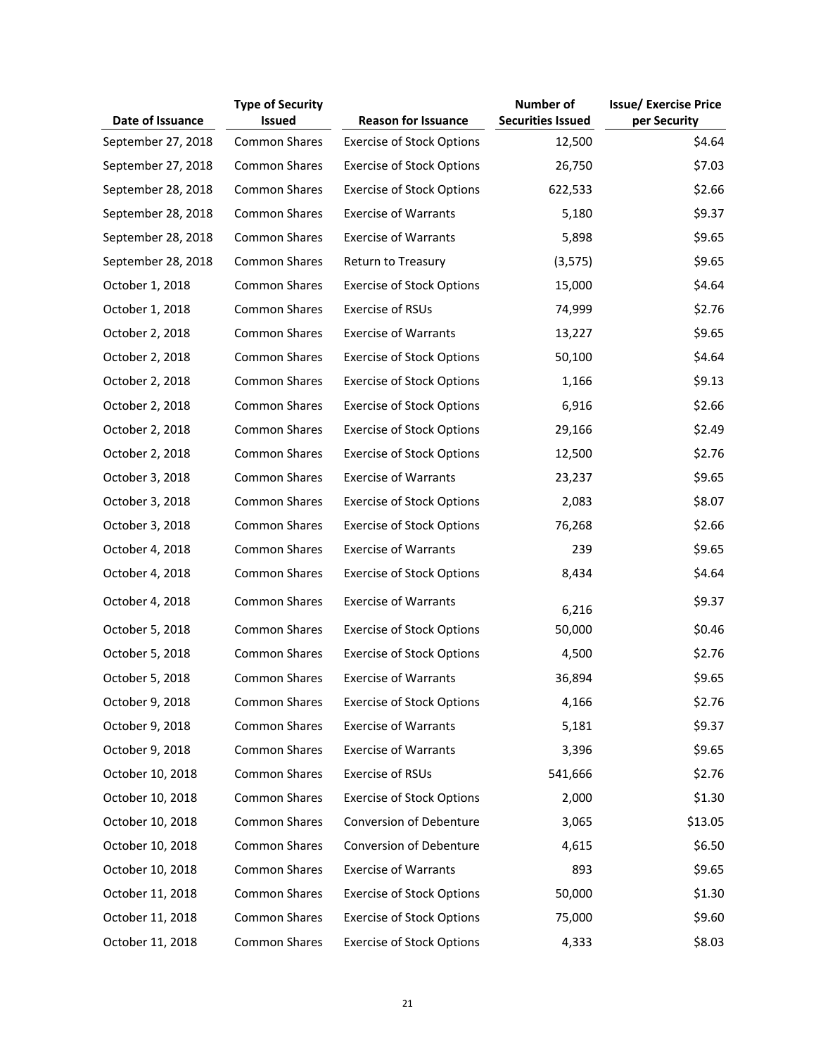|                    | <b>Type of Security</b> |                                  | Number of                | <b>Issue/ Exercise Price</b> |
|--------------------|-------------------------|----------------------------------|--------------------------|------------------------------|
| Date of Issuance   | <b>Issued</b>           | <b>Reason for Issuance</b>       | <b>Securities Issued</b> | per Security                 |
| September 27, 2018 | <b>Common Shares</b>    | <b>Exercise of Stock Options</b> | 12,500                   | \$4.64                       |
| September 27, 2018 | <b>Common Shares</b>    | <b>Exercise of Stock Options</b> | 26,750                   | \$7.03                       |
| September 28, 2018 | <b>Common Shares</b>    | <b>Exercise of Stock Options</b> | 622,533                  | \$2.66                       |
| September 28, 2018 | <b>Common Shares</b>    | <b>Exercise of Warrants</b>      | 5,180                    | \$9.37                       |
| September 28, 2018 | <b>Common Shares</b>    | <b>Exercise of Warrants</b>      | 5,898                    | \$9.65                       |
| September 28, 2018 | Common Shares           | Return to Treasury               | (3, 575)                 | \$9.65                       |
| October 1, 2018    | <b>Common Shares</b>    | <b>Exercise of Stock Options</b> | 15,000                   | \$4.64                       |
| October 1, 2018    | <b>Common Shares</b>    | Exercise of RSUs                 | 74,999                   | \$2.76                       |
| October 2, 2018    | <b>Common Shares</b>    | <b>Exercise of Warrants</b>      | 13,227                   | \$9.65                       |
| October 2, 2018    | <b>Common Shares</b>    | <b>Exercise of Stock Options</b> | 50,100                   | \$4.64                       |
| October 2, 2018    | <b>Common Shares</b>    | <b>Exercise of Stock Options</b> | 1,166                    | \$9.13                       |
| October 2, 2018    | <b>Common Shares</b>    | <b>Exercise of Stock Options</b> | 6,916                    | \$2.66                       |
| October 2, 2018    | <b>Common Shares</b>    | <b>Exercise of Stock Options</b> | 29,166                   | \$2.49                       |
| October 2, 2018    | Common Shares           | <b>Exercise of Stock Options</b> | 12,500                   | \$2.76                       |
| October 3, 2018    | <b>Common Shares</b>    | <b>Exercise of Warrants</b>      | 23,237                   | \$9.65                       |
| October 3, 2018    | <b>Common Shares</b>    | <b>Exercise of Stock Options</b> | 2,083                    | \$8.07                       |
| October 3, 2018    | <b>Common Shares</b>    | <b>Exercise of Stock Options</b> | 76,268                   | \$2.66                       |
| October 4, 2018    | <b>Common Shares</b>    | <b>Exercise of Warrants</b>      | 239                      | \$9.65                       |
| October 4, 2018    | <b>Common Shares</b>    | <b>Exercise of Stock Options</b> | 8,434                    | \$4.64                       |
| October 4, 2018    | <b>Common Shares</b>    | <b>Exercise of Warrants</b>      | 6,216                    | \$9.37                       |
| October 5, 2018    | <b>Common Shares</b>    | <b>Exercise of Stock Options</b> | 50,000                   | \$0.46                       |
| October 5, 2018    | <b>Common Shares</b>    | <b>Exercise of Stock Options</b> | 4,500                    | \$2.76                       |
| October 5, 2018    | <b>Common Shares</b>    | <b>Exercise of Warrants</b>      | 36,894                   | \$9.65                       |
| October 9, 2018    | <b>Common Shares</b>    | <b>Exercise of Stock Options</b> | 4,166                    | \$2.76                       |
| October 9, 2018    | <b>Common Shares</b>    | <b>Exercise of Warrants</b>      | 5,181                    | \$9.37                       |
| October 9, 2018    | <b>Common Shares</b>    | <b>Exercise of Warrants</b>      | 3,396                    | \$9.65                       |
| October 10, 2018   | <b>Common Shares</b>    | Exercise of RSUs                 | 541,666                  | \$2.76                       |
| October 10, 2018   | <b>Common Shares</b>    | <b>Exercise of Stock Options</b> | 2,000                    | \$1.30                       |
| October 10, 2018   | <b>Common Shares</b>    | <b>Conversion of Debenture</b>   | 3,065                    | \$13.05                      |
| October 10, 2018   | <b>Common Shares</b>    | Conversion of Debenture          | 4,615                    | \$6.50                       |
| October 10, 2018   | <b>Common Shares</b>    | <b>Exercise of Warrants</b>      | 893                      | \$9.65                       |
| October 11, 2018   | <b>Common Shares</b>    | <b>Exercise of Stock Options</b> | 50,000                   | \$1.30                       |
| October 11, 2018   | <b>Common Shares</b>    | <b>Exercise of Stock Options</b> | 75,000                   | \$9.60                       |
| October 11, 2018   | Common Shares           | <b>Exercise of Stock Options</b> | 4,333                    | \$8.03                       |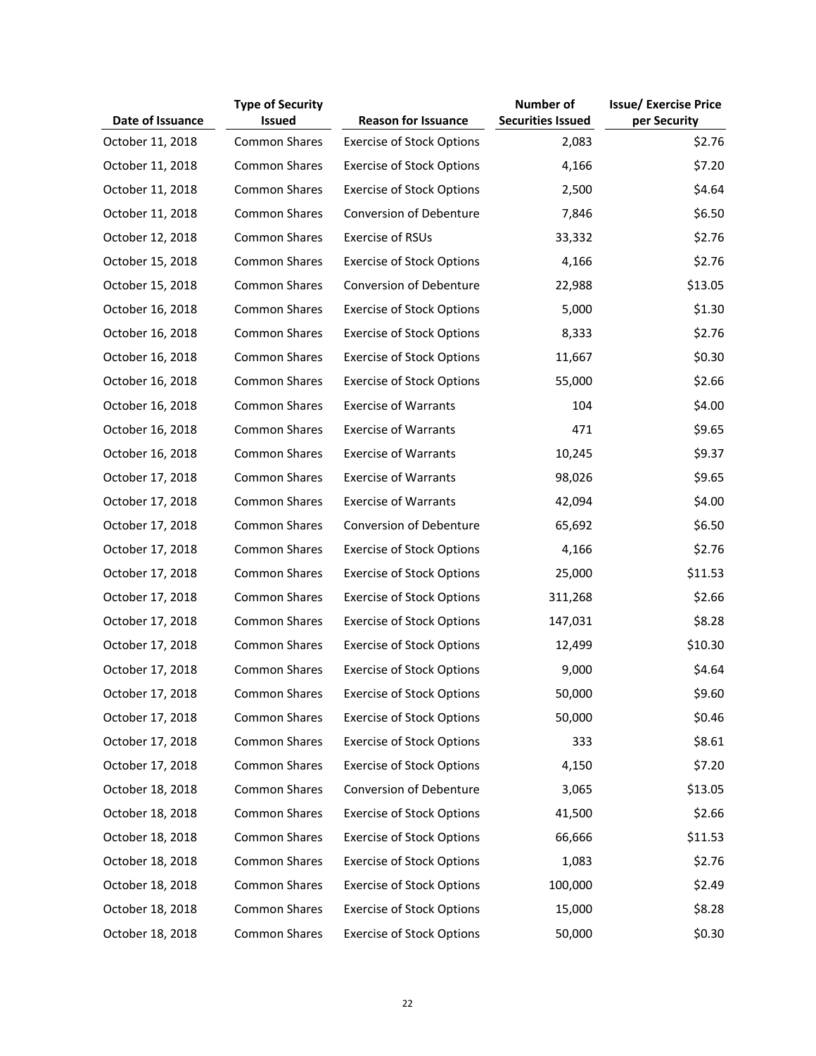|                  | <b>Type of Security</b> |                                  | <b>Number of</b>         | <b>Issue/ Exercise Price</b> |
|------------------|-------------------------|----------------------------------|--------------------------|------------------------------|
| Date of Issuance | <b>Issued</b>           | <b>Reason for Issuance</b>       | <b>Securities Issued</b> | per Security                 |
| October 11, 2018 | Common Shares           | <b>Exercise of Stock Options</b> | 2,083                    | \$2.76                       |
| October 11, 2018 | <b>Common Shares</b>    | <b>Exercise of Stock Options</b> | 4,166                    | \$7.20                       |
| October 11, 2018 | Common Shares           | <b>Exercise of Stock Options</b> | 2,500                    | \$4.64                       |
| October 11, 2018 | <b>Common Shares</b>    | Conversion of Debenture          | 7,846                    | \$6.50                       |
| October 12, 2018 | <b>Common Shares</b>    | Exercise of RSUs                 | 33,332                   | \$2.76                       |
| October 15, 2018 | Common Shares           | <b>Exercise of Stock Options</b> | 4,166                    | \$2.76                       |
| October 15, 2018 | <b>Common Shares</b>    | Conversion of Debenture          | 22,988                   | \$13.05                      |
| October 16, 2018 | <b>Common Shares</b>    | <b>Exercise of Stock Options</b> | 5,000                    | \$1.30                       |
| October 16, 2018 | Common Shares           | <b>Exercise of Stock Options</b> | 8,333                    | \$2.76                       |
| October 16, 2018 | <b>Common Shares</b>    | <b>Exercise of Stock Options</b> | 11,667                   | \$0.30                       |
| October 16, 2018 | <b>Common Shares</b>    | <b>Exercise of Stock Options</b> | 55,000                   | \$2.66                       |
| October 16, 2018 | <b>Common Shares</b>    | <b>Exercise of Warrants</b>      | 104                      | \$4.00                       |
| October 16, 2018 | <b>Common Shares</b>    | <b>Exercise of Warrants</b>      | 471                      | \$9.65                       |
| October 16, 2018 | <b>Common Shares</b>    | <b>Exercise of Warrants</b>      | 10,245                   | \$9.37                       |
| October 17, 2018 | <b>Common Shares</b>    | <b>Exercise of Warrants</b>      | 98,026                   | \$9.65                       |
| October 17, 2018 | <b>Common Shares</b>    | <b>Exercise of Warrants</b>      | 42,094                   | \$4.00                       |
| October 17, 2018 | <b>Common Shares</b>    | Conversion of Debenture          | 65,692                   | \$6.50                       |
| October 17, 2018 | <b>Common Shares</b>    | <b>Exercise of Stock Options</b> | 4,166                    | \$2.76                       |
| October 17, 2018 | <b>Common Shares</b>    | <b>Exercise of Stock Options</b> | 25,000                   | \$11.53                      |
| October 17, 2018 | <b>Common Shares</b>    | <b>Exercise of Stock Options</b> | 311,268                  | \$2.66                       |
| October 17, 2018 | Common Shares           | <b>Exercise of Stock Options</b> | 147,031                  | \$8.28                       |
| October 17, 2018 | <b>Common Shares</b>    | <b>Exercise of Stock Options</b> | 12,499                   | \$10.30                      |
| October 17, 2018 | Common Shares           | <b>Exercise of Stock Options</b> | 9,000                    | \$4.64                       |
| October 17, 2018 | Common Shares           | <b>Exercise of Stock Options</b> | 50,000                   | \$9.60                       |
| October 17, 2018 | <b>Common Shares</b>    | <b>Exercise of Stock Options</b> | 50,000                   | \$0.46                       |
| October 17, 2018 | <b>Common Shares</b>    | <b>Exercise of Stock Options</b> | 333                      | \$8.61                       |
| October 17, 2018 | <b>Common Shares</b>    | <b>Exercise of Stock Options</b> | 4,150                    | \$7.20                       |
| October 18, 2018 | <b>Common Shares</b>    | Conversion of Debenture          | 3,065                    | \$13.05                      |
| October 18, 2018 | <b>Common Shares</b>    | <b>Exercise of Stock Options</b> | 41,500                   | \$2.66                       |
| October 18, 2018 | <b>Common Shares</b>    | <b>Exercise of Stock Options</b> | 66,666                   | \$11.53                      |
| October 18, 2018 | Common Shares           | <b>Exercise of Stock Options</b> | 1,083                    | \$2.76                       |
| October 18, 2018 | <b>Common Shares</b>    | <b>Exercise of Stock Options</b> | 100,000                  | \$2.49                       |
| October 18, 2018 | <b>Common Shares</b>    | <b>Exercise of Stock Options</b> | 15,000                   | \$8.28                       |
| October 18, 2018 | <b>Common Shares</b>    | <b>Exercise of Stock Options</b> | 50,000                   | \$0.30                       |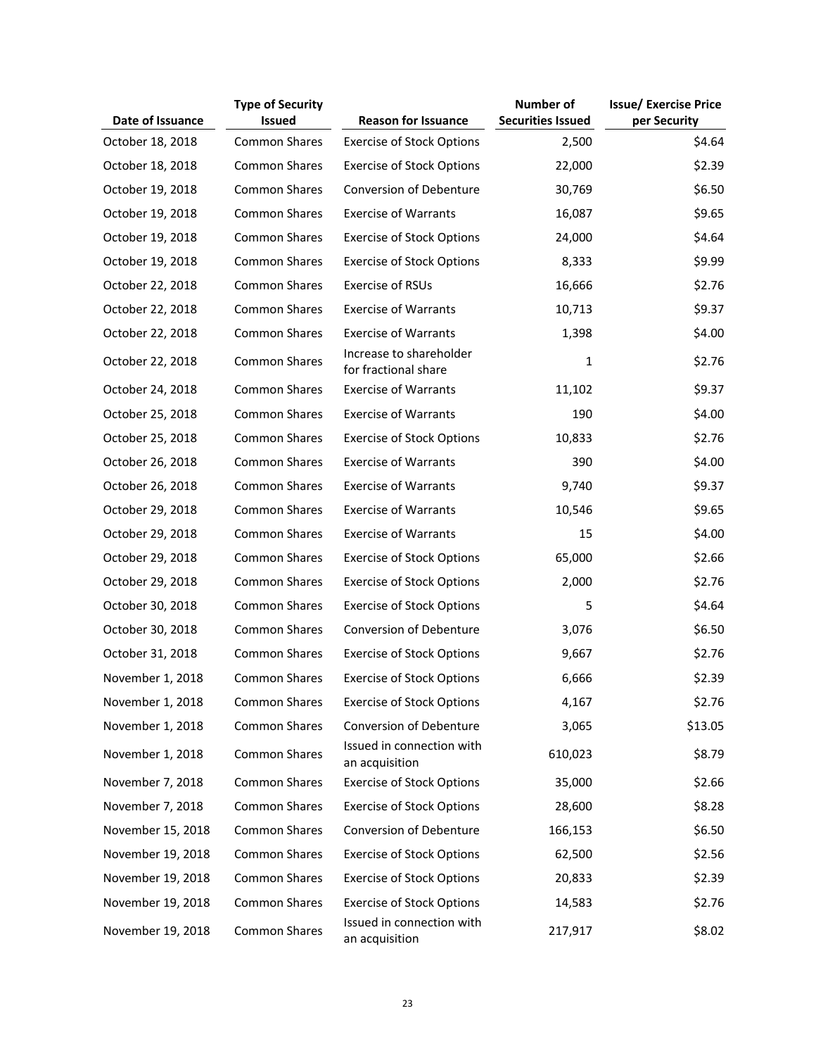|                   | <b>Type of Security</b> |                                                 | <b>Number of</b>         | <b>Issue/ Exercise Price</b> |
|-------------------|-------------------------|-------------------------------------------------|--------------------------|------------------------------|
| Date of Issuance  | <b>Issued</b>           | <b>Reason for Issuance</b>                      | <b>Securities Issued</b> | per Security                 |
| October 18, 2018  | <b>Common Shares</b>    | <b>Exercise of Stock Options</b>                | 2,500                    | \$4.64                       |
| October 18, 2018  | <b>Common Shares</b>    | <b>Exercise of Stock Options</b>                | 22,000                   | \$2.39                       |
| October 19, 2018  | <b>Common Shares</b>    | Conversion of Debenture                         | 30,769                   | \$6.50                       |
| October 19, 2018  | <b>Common Shares</b>    | <b>Exercise of Warrants</b>                     | 16,087                   | \$9.65                       |
| October 19, 2018  | Common Shares           | <b>Exercise of Stock Options</b>                | 24,000                   | \$4.64                       |
| October 19, 2018  | <b>Common Shares</b>    | <b>Exercise of Stock Options</b>                | 8,333                    | \$9.99                       |
| October 22, 2018  | <b>Common Shares</b>    | Exercise of RSUs                                | 16,666                   | \$2.76                       |
| October 22, 2018  | <b>Common Shares</b>    | <b>Exercise of Warrants</b>                     | 10,713                   | \$9.37                       |
| October 22, 2018  | <b>Common Shares</b>    | <b>Exercise of Warrants</b>                     | 1,398                    | \$4.00                       |
| October 22, 2018  | <b>Common Shares</b>    | Increase to shareholder<br>for fractional share | $\mathbf{1}$             | \$2.76                       |
| October 24, 2018  | <b>Common Shares</b>    | <b>Exercise of Warrants</b>                     | 11,102                   | \$9.37                       |
| October 25, 2018  | <b>Common Shares</b>    | <b>Exercise of Warrants</b>                     | 190                      | \$4.00                       |
| October 25, 2018  | <b>Common Shares</b>    | <b>Exercise of Stock Options</b>                | 10,833                   | \$2.76                       |
| October 26, 2018  | <b>Common Shares</b>    | <b>Exercise of Warrants</b>                     | 390                      | \$4.00                       |
| October 26, 2018  | <b>Common Shares</b>    | <b>Exercise of Warrants</b>                     | 9,740                    | \$9.37                       |
| October 29, 2018  | <b>Common Shares</b>    | <b>Exercise of Warrants</b>                     | 10,546                   | \$9.65                       |
| October 29, 2018  | <b>Common Shares</b>    | <b>Exercise of Warrants</b>                     | 15                       | \$4.00                       |
| October 29, 2018  | <b>Common Shares</b>    | <b>Exercise of Stock Options</b>                | 65,000                   | \$2.66                       |
| October 29, 2018  | Common Shares           | <b>Exercise of Stock Options</b>                | 2,000                    | \$2.76                       |
| October 30, 2018  | <b>Common Shares</b>    | <b>Exercise of Stock Options</b>                | 5                        | \$4.64                       |
| October 30, 2018  | <b>Common Shares</b>    | Conversion of Debenture                         | 3,076                    | \$6.50                       |
| October 31, 2018  | Common Shares           | <b>Exercise of Stock Options</b>                | 9,667                    | \$2.76                       |
| November 1, 2018  | <b>Common Shares</b>    | <b>Exercise of Stock Options</b>                | 6,666                    | \$2.39                       |
| November 1, 2018  | <b>Common Shares</b>    | <b>Exercise of Stock Options</b>                | 4,167                    | \$2.76                       |
| November 1, 2018  | <b>Common Shares</b>    | <b>Conversion of Debenture</b>                  | 3,065                    | \$13.05                      |
| November 1, 2018  | <b>Common Shares</b>    | Issued in connection with<br>an acquisition     | 610,023                  | \$8.79                       |
| November 7, 2018  | <b>Common Shares</b>    | <b>Exercise of Stock Options</b>                | 35,000                   | \$2.66                       |
| November 7, 2018  | <b>Common Shares</b>    | <b>Exercise of Stock Options</b>                | 28,600                   | \$8.28                       |
| November 15, 2018 | Common Shares           | Conversion of Debenture                         | 166,153                  | \$6.50                       |
| November 19, 2018 | <b>Common Shares</b>    | <b>Exercise of Stock Options</b>                | 62,500                   | \$2.56                       |
| November 19, 2018 | <b>Common Shares</b>    | <b>Exercise of Stock Options</b>                | 20,833                   | \$2.39                       |
| November 19, 2018 | <b>Common Shares</b>    | <b>Exercise of Stock Options</b>                | 14,583                   | \$2.76                       |
| November 19, 2018 | <b>Common Shares</b>    | Issued in connection with<br>an acquisition     | 217,917                  | \$8.02                       |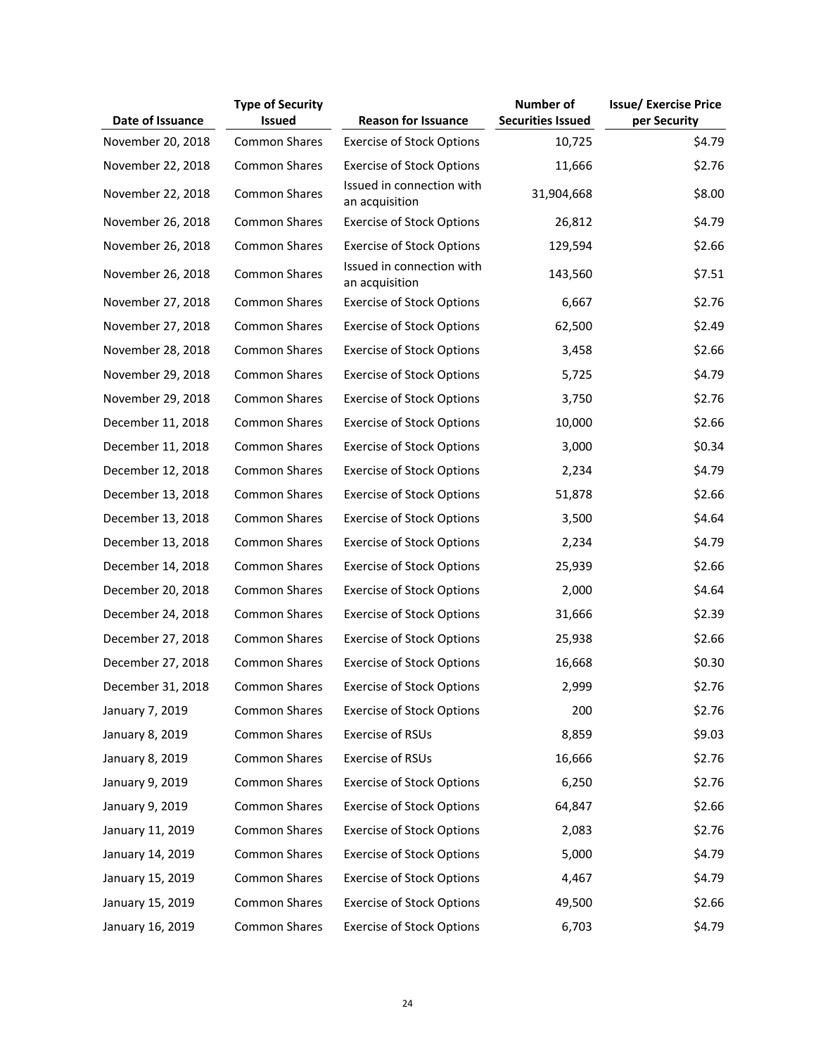|                   | <b>Type of Security</b> |                                             | <b>Number of</b>         | <b>Issue/ Exercise Price</b> |
|-------------------|-------------------------|---------------------------------------------|--------------------------|------------------------------|
| Date of Issuance  | <b>Issued</b>           | <b>Reason for Issuance</b>                  | <b>Securities Issued</b> | per Security                 |
| November 20, 2018 | <b>Common Shares</b>    | <b>Exercise of Stock Options</b>            | 10,725                   | \$4.79                       |
| November 22, 2018 | <b>Common Shares</b>    | <b>Exercise of Stock Options</b>            | 11,666                   | \$2.76                       |
| November 22, 2018 | <b>Common Shares</b>    | Issued in connection with<br>an acquisition | 31,904,668               | \$8.00                       |
| November 26, 2018 | <b>Common Shares</b>    | <b>Exercise of Stock Options</b>            | 26,812                   | \$4.79                       |
| November 26, 2018 | <b>Common Shares</b>    | <b>Exercise of Stock Options</b>            | 129,594                  | \$2.66                       |
| November 26, 2018 | <b>Common Shares</b>    | Issued in connection with<br>an acquisition | 143,560                  | \$7.51                       |
| November 27, 2018 | <b>Common Shares</b>    | <b>Exercise of Stock Options</b>            | 6,667                    | \$2.76                       |
| November 27, 2018 | <b>Common Shares</b>    | <b>Exercise of Stock Options</b>            | 62,500                   | \$2.49                       |
| November 28, 2018 | <b>Common Shares</b>    | <b>Exercise of Stock Options</b>            | 3,458                    | \$2.66                       |
| November 29, 2018 | <b>Common Shares</b>    | <b>Exercise of Stock Options</b>            | 5,725                    | \$4.79                       |
| November 29, 2018 | <b>Common Shares</b>    | <b>Exercise of Stock Options</b>            | 3,750                    | \$2.76                       |
| December 11, 2018 | <b>Common Shares</b>    | <b>Exercise of Stock Options</b>            | 10,000                   | \$2.66                       |
| December 11, 2018 | <b>Common Shares</b>    | <b>Exercise of Stock Options</b>            | 3,000                    | \$0.34                       |
| December 12, 2018 | <b>Common Shares</b>    | <b>Exercise of Stock Options</b>            | 2,234                    | \$4.79                       |
| December 13, 2018 | <b>Common Shares</b>    | <b>Exercise of Stock Options</b>            | 51,878                   | \$2.66                       |
| December 13, 2018 | <b>Common Shares</b>    | <b>Exercise of Stock Options</b>            | 3,500                    | \$4.64                       |
| December 13, 2018 | <b>Common Shares</b>    | <b>Exercise of Stock Options</b>            | 2,234                    | \$4.79                       |
| December 14, 2018 | Common Shares           | <b>Exercise of Stock Options</b>            | 25,939                   | \$2.66                       |
| December 20, 2018 | <b>Common Shares</b>    | <b>Exercise of Stock Options</b>            | 2,000                    | \$4.64                       |
| December 24, 2018 | Common Shares           | <b>Exercise of Stock Options</b>            | 31,666                   | \$2.39                       |
| December 27, 2018 | <b>Common Shares</b>    | <b>Exercise of Stock Options</b>            | 25,938                   | \$2.66                       |
| December 27, 2018 | <b>Common Shares</b>    | <b>Exercise of Stock Options</b>            | 16,668                   | \$0.30                       |
| December 31, 2018 | <b>Common Shares</b>    | <b>Exercise of Stock Options</b>            | 2,999                    | \$2.76                       |
| January 7, 2019   | Common Shares           | <b>Exercise of Stock Options</b>            | 200                      | \$2.76                       |
| January 8, 2019   | Common Shares           | <b>Exercise of RSUs</b>                     | 8,859                    | \$9.03                       |
| January 8, 2019   | Common Shares           | Exercise of RSUs                            | 16,666                   | \$2.76                       |
| January 9, 2019   | Common Shares           | <b>Exercise of Stock Options</b>            | 6,250                    | \$2.76                       |
| January 9, 2019   | <b>Common Shares</b>    | <b>Exercise of Stock Options</b>            | 64,847                   | \$2.66                       |
| January 11, 2019  | <b>Common Shares</b>    | <b>Exercise of Stock Options</b>            | 2,083                    | \$2.76                       |
| January 14, 2019  | <b>Common Shares</b>    | <b>Exercise of Stock Options</b>            | 5,000                    | \$4.79                       |
| January 15, 2019  | Common Shares           | <b>Exercise of Stock Options</b>            | 4,467                    | \$4.79                       |
| January 15, 2019  | <b>Common Shares</b>    | <b>Exercise of Stock Options</b>            | 49,500                   | \$2.66                       |
| January 16, 2019  | Common Shares           | <b>Exercise of Stock Options</b>            | 6,703                    | \$4.79                       |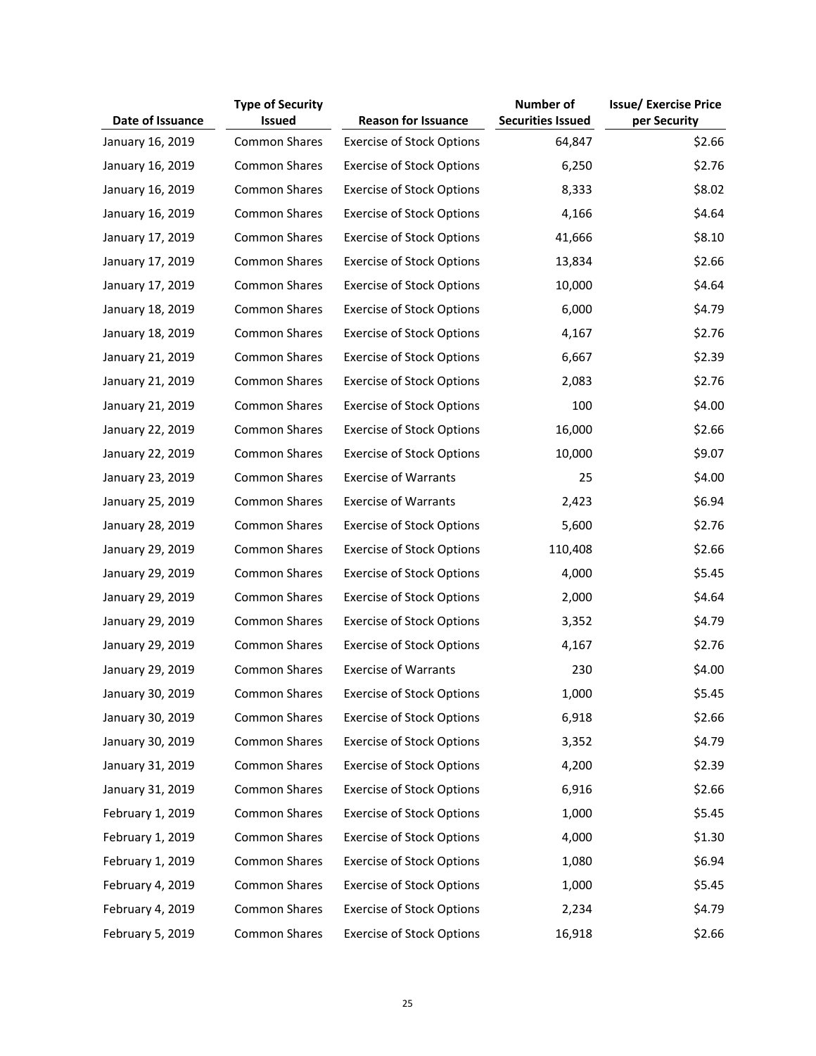|                  | <b>Type of Security</b> |                                  | <b>Number of</b>         | <b>Issue/ Exercise Price</b> |
|------------------|-------------------------|----------------------------------|--------------------------|------------------------------|
| Date of Issuance | <b>Issued</b>           | <b>Reason for Issuance</b>       | <b>Securities Issued</b> | per Security                 |
| January 16, 2019 | Common Shares           | <b>Exercise of Stock Options</b> | 64,847                   | \$2.66                       |
| January 16, 2019 | Common Shares           | <b>Exercise of Stock Options</b> | 6,250                    | \$2.76                       |
| January 16, 2019 | Common Shares           | <b>Exercise of Stock Options</b> | 8,333                    | \$8.02                       |
| January 16, 2019 | Common Shares           | <b>Exercise of Stock Options</b> | 4,166                    | \$4.64                       |
| January 17, 2019 | <b>Common Shares</b>    | <b>Exercise of Stock Options</b> | 41,666                   | \$8.10                       |
| January 17, 2019 | <b>Common Shares</b>    | <b>Exercise of Stock Options</b> | 13,834                   | \$2.66                       |
| January 17, 2019 | <b>Common Shares</b>    | <b>Exercise of Stock Options</b> | 10,000                   | \$4.64                       |
| January 18, 2019 | Common Shares           | <b>Exercise of Stock Options</b> | 6,000                    | \$4.79                       |
| January 18, 2019 | Common Shares           | <b>Exercise of Stock Options</b> | 4,167                    | \$2.76                       |
| January 21, 2019 | Common Shares           | <b>Exercise of Stock Options</b> | 6,667                    | \$2.39                       |
| January 21, 2019 | Common Shares           | <b>Exercise of Stock Options</b> | 2,083                    | \$2.76                       |
| January 21, 2019 | Common Shares           | <b>Exercise of Stock Options</b> | 100                      | \$4.00                       |
| January 22, 2019 | <b>Common Shares</b>    | <b>Exercise of Stock Options</b> | 16,000                   | \$2.66                       |
| January 22, 2019 | <b>Common Shares</b>    | <b>Exercise of Stock Options</b> | 10,000                   | \$9.07                       |
| January 23, 2019 | <b>Common Shares</b>    | <b>Exercise of Warrants</b>      | 25                       | \$4.00                       |
| January 25, 2019 | <b>Common Shares</b>    | <b>Exercise of Warrants</b>      | 2,423                    | \$6.94                       |
| January 28, 2019 | Common Shares           | <b>Exercise of Stock Options</b> | 5,600                    | \$2.76                       |
| January 29, 2019 | <b>Common Shares</b>    | <b>Exercise of Stock Options</b> | 110,408                  | \$2.66                       |
| January 29, 2019 | Common Shares           | <b>Exercise of Stock Options</b> | 4,000                    | \$5.45                       |
| January 29, 2019 | Common Shares           | <b>Exercise of Stock Options</b> | 2,000                    | \$4.64                       |
| January 29, 2019 | Common Shares           | <b>Exercise of Stock Options</b> | 3,352                    | \$4.79                       |
| January 29, 2019 | Common Shares           | <b>Exercise of Stock Options</b> | 4,167                    | \$2.76                       |
| January 29, 2019 | <b>Common Shares</b>    | <b>Exercise of Warrants</b>      | 230                      | \$4.00                       |
| January 30, 2019 | Common Shares           | <b>Exercise of Stock Options</b> | 1,000                    | \$5.45                       |
| January 30, 2019 | <b>Common Shares</b>    | <b>Exercise of Stock Options</b> | 6,918                    | \$2.66                       |
| January 30, 2019 | <b>Common Shares</b>    | <b>Exercise of Stock Options</b> | 3,352                    | \$4.79                       |
| January 31, 2019 | <b>Common Shares</b>    | <b>Exercise of Stock Options</b> | 4,200                    | \$2.39                       |
| January 31, 2019 | <b>Common Shares</b>    | <b>Exercise of Stock Options</b> | 6,916                    | \$2.66                       |
| February 1, 2019 | <b>Common Shares</b>    | <b>Exercise of Stock Options</b> | 1,000                    | \$5.45                       |
| February 1, 2019 | <b>Common Shares</b>    | <b>Exercise of Stock Options</b> | 4,000                    | \$1.30                       |
| February 1, 2019 | <b>Common Shares</b>    | <b>Exercise of Stock Options</b> | 1,080                    | \$6.94                       |
| February 4, 2019 | <b>Common Shares</b>    | <b>Exercise of Stock Options</b> | 1,000                    | \$5.45                       |
| February 4, 2019 | <b>Common Shares</b>    | <b>Exercise of Stock Options</b> | 2,234                    | \$4.79                       |
| February 5, 2019 | Common Shares           | <b>Exercise of Stock Options</b> | 16,918                   | \$2.66                       |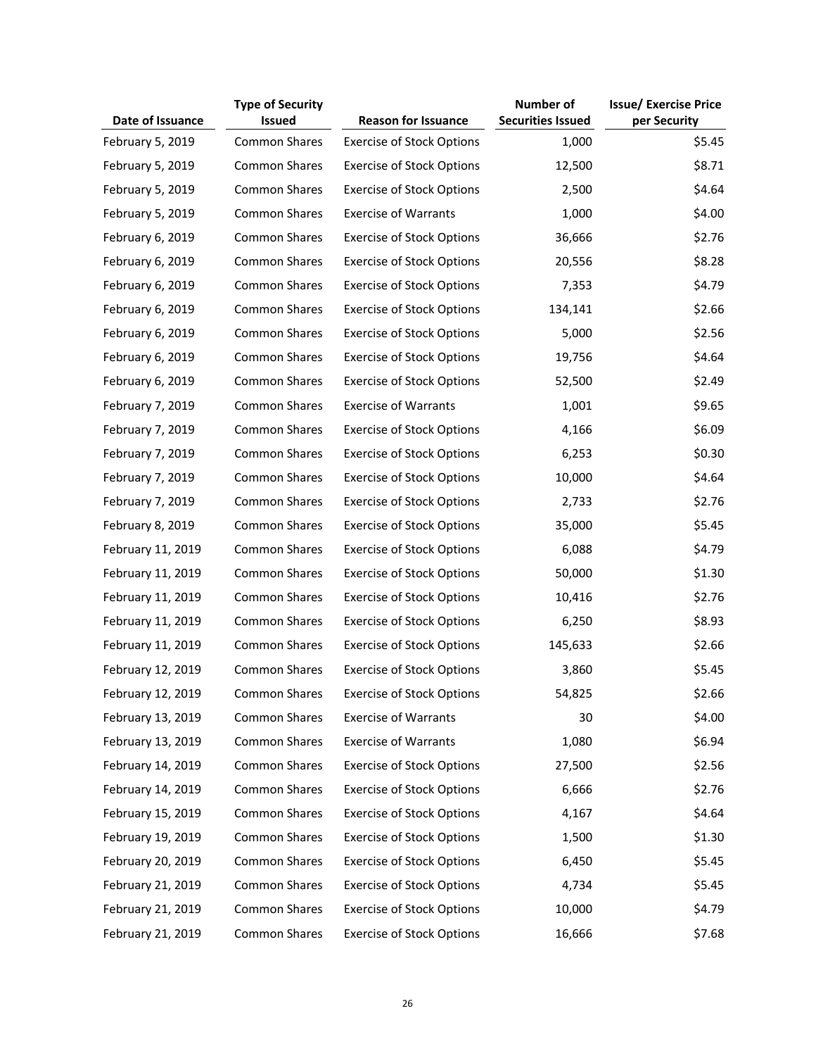|                   | <b>Type of Security</b> |                                  | <b>Number of</b>         | <b>Issue/ Exercise Price</b> |
|-------------------|-------------------------|----------------------------------|--------------------------|------------------------------|
| Date of Issuance  | <b>Issued</b>           | <b>Reason for Issuance</b>       | <b>Securities Issued</b> | per Security                 |
| February 5, 2019  | <b>Common Shares</b>    | <b>Exercise of Stock Options</b> | 1,000                    | \$5.45                       |
| February 5, 2019  | <b>Common Shares</b>    | <b>Exercise of Stock Options</b> | 12,500                   | \$8.71                       |
| February 5, 2019  | <b>Common Shares</b>    | <b>Exercise of Stock Options</b> | 2,500                    | \$4.64                       |
| February 5, 2019  | Common Shares           | <b>Exercise of Warrants</b>      | 1,000                    | \$4.00                       |
| February 6, 2019  | Common Shares           | <b>Exercise of Stock Options</b> | 36,666                   | \$2.76                       |
| February 6, 2019  | <b>Common Shares</b>    | <b>Exercise of Stock Options</b> | 20,556                   | \$8.28                       |
| February 6, 2019  | Common Shares           | <b>Exercise of Stock Options</b> | 7,353                    | \$4.79                       |
| February 6, 2019  | <b>Common Shares</b>    | <b>Exercise of Stock Options</b> | 134,141                  | \$2.66                       |
| February 6, 2019  | Common Shares           | <b>Exercise of Stock Options</b> | 5,000                    | \$2.56                       |
| February 6, 2019  | <b>Common Shares</b>    | <b>Exercise of Stock Options</b> | 19,756                   | \$4.64                       |
| February 6, 2019  | <b>Common Shares</b>    | <b>Exercise of Stock Options</b> | 52,500                   | \$2.49                       |
| February 7, 2019  | <b>Common Shares</b>    | <b>Exercise of Warrants</b>      | 1,001                    | \$9.65                       |
| February 7, 2019  | <b>Common Shares</b>    | <b>Exercise of Stock Options</b> | 4,166                    | \$6.09                       |
| February 7, 2019  | <b>Common Shares</b>    | <b>Exercise of Stock Options</b> | 6,253                    | \$0.30                       |
| February 7, 2019  | <b>Common Shares</b>    | <b>Exercise of Stock Options</b> | 10,000                   | \$4.64                       |
| February 7, 2019  | <b>Common Shares</b>    | <b>Exercise of Stock Options</b> | 2,733                    | \$2.76                       |
| February 8, 2019  | <b>Common Shares</b>    | <b>Exercise of Stock Options</b> | 35,000                   | \$5.45                       |
| February 11, 2019 | <b>Common Shares</b>    | <b>Exercise of Stock Options</b> | 6,088                    | \$4.79                       |
| February 11, 2019 | <b>Common Shares</b>    | <b>Exercise of Stock Options</b> | 50,000                   | \$1.30                       |
| February 11, 2019 | <b>Common Shares</b>    | <b>Exercise of Stock Options</b> | 10,416                   | \$2.76                       |
| February 11, 2019 | <b>Common Shares</b>    | <b>Exercise of Stock Options</b> | 6,250                    | \$8.93                       |
| February 11, 2019 | <b>Common Shares</b>    | <b>Exercise of Stock Options</b> | 145,633                  | \$2.66                       |
| February 12, 2019 | <b>Common Shares</b>    | <b>Exercise of Stock Options</b> | 3,860                    | \$5.45                       |
| February 12, 2019 | <b>Common Shares</b>    | <b>Exercise of Stock Options</b> | 54,825                   | \$2.66                       |
| February 13, 2019 | <b>Common Shares</b>    | <b>Exercise of Warrants</b>      | 30                       | \$4.00                       |
| February 13, 2019 | <b>Common Shares</b>    | <b>Exercise of Warrants</b>      | 1,080                    | \$6.94                       |
| February 14, 2019 | <b>Common Shares</b>    | <b>Exercise of Stock Options</b> | 27,500                   | \$2.56                       |
| February 14, 2019 | <b>Common Shares</b>    | <b>Exercise of Stock Options</b> | 6,666                    | \$2.76                       |
| February 15, 2019 | <b>Common Shares</b>    | <b>Exercise of Stock Options</b> | 4,167                    | \$4.64                       |
| February 19, 2019 | <b>Common Shares</b>    | <b>Exercise of Stock Options</b> | 1,500                    | \$1.30                       |
| February 20, 2019 | <b>Common Shares</b>    | <b>Exercise of Stock Options</b> | 6,450                    | \$5.45                       |
| February 21, 2019 | <b>Common Shares</b>    | <b>Exercise of Stock Options</b> | 4,734                    | \$5.45                       |
| February 21, 2019 | <b>Common Shares</b>    | <b>Exercise of Stock Options</b> | 10,000                   | \$4.79                       |
| February 21, 2019 | Common Shares           | <b>Exercise of Stock Options</b> | 16,666                   | \$7.68                       |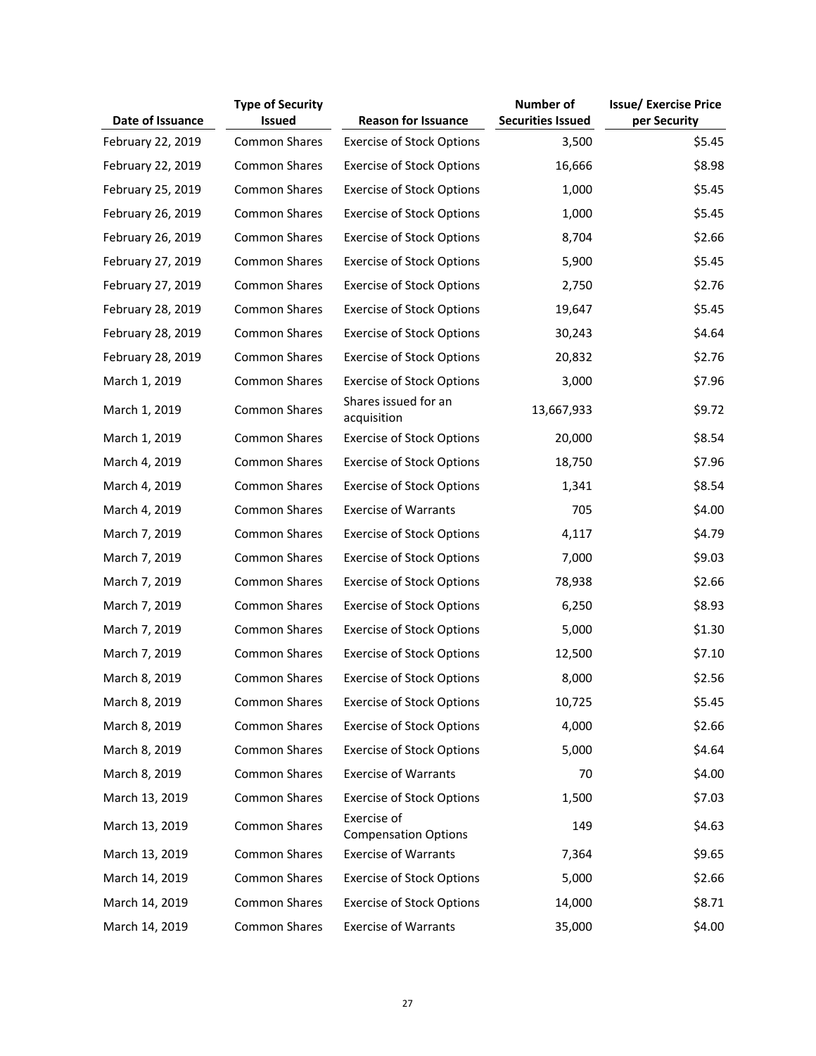|                   | <b>Type of Security</b> |                                            | <b>Number of</b>         | <b>Issue/ Exercise Price</b> |
|-------------------|-------------------------|--------------------------------------------|--------------------------|------------------------------|
| Date of Issuance  | <b>Issued</b>           | <b>Reason for Issuance</b>                 | <b>Securities Issued</b> | per Security                 |
| February 22, 2019 | <b>Common Shares</b>    | <b>Exercise of Stock Options</b>           | 3,500                    | \$5.45                       |
| February 22, 2019 | <b>Common Shares</b>    | <b>Exercise of Stock Options</b>           | 16,666                   | \$8.98                       |
| February 25, 2019 | <b>Common Shares</b>    | <b>Exercise of Stock Options</b>           | 1,000                    | \$5.45                       |
| February 26, 2019 | <b>Common Shares</b>    | <b>Exercise of Stock Options</b>           | 1,000                    | \$5.45                       |
| February 26, 2019 | <b>Common Shares</b>    | <b>Exercise of Stock Options</b>           | 8,704                    | \$2.66                       |
| February 27, 2019 | <b>Common Shares</b>    | <b>Exercise of Stock Options</b>           | 5,900                    | \$5.45                       |
| February 27, 2019 | <b>Common Shares</b>    | <b>Exercise of Stock Options</b>           | 2,750                    | \$2.76                       |
| February 28, 2019 | <b>Common Shares</b>    | <b>Exercise of Stock Options</b>           | 19,647                   | \$5.45                       |
| February 28, 2019 | <b>Common Shares</b>    | <b>Exercise of Stock Options</b>           | 30,243                   | \$4.64                       |
| February 28, 2019 | <b>Common Shares</b>    | <b>Exercise of Stock Options</b>           | 20,832                   | \$2.76                       |
| March 1, 2019     | Common Shares           | <b>Exercise of Stock Options</b>           | 3,000                    | \$7.96                       |
| March 1, 2019     | <b>Common Shares</b>    | Shares issued for an<br>acquisition        | 13,667,933               | \$9.72                       |
| March 1, 2019     | Common Shares           | <b>Exercise of Stock Options</b>           | 20,000                   | \$8.54                       |
| March 4, 2019     | <b>Common Shares</b>    | <b>Exercise of Stock Options</b>           | 18,750                   | \$7.96                       |
| March 4, 2019     | <b>Common Shares</b>    | <b>Exercise of Stock Options</b>           | 1,341                    | \$8.54                       |
| March 4, 2019     | <b>Common Shares</b>    | <b>Exercise of Warrants</b>                | 705                      | \$4.00                       |
| March 7, 2019     | <b>Common Shares</b>    | <b>Exercise of Stock Options</b>           | 4,117                    | \$4.79                       |
| March 7, 2019     | <b>Common Shares</b>    | <b>Exercise of Stock Options</b>           | 7,000                    | \$9.03                       |
| March 7, 2019     | <b>Common Shares</b>    | <b>Exercise of Stock Options</b>           | 78,938                   | \$2.66                       |
| March 7, 2019     | <b>Common Shares</b>    | <b>Exercise of Stock Options</b>           | 6,250                    | \$8.93                       |
| March 7, 2019     | <b>Common Shares</b>    | <b>Exercise of Stock Options</b>           | 5,000                    | \$1.30                       |
| March 7, 2019     | <b>Common Shares</b>    | <b>Exercise of Stock Options</b>           | 12,500                   | \$7.10                       |
| March 8, 2019     | Common Shares           | <b>Exercise of Stock Options</b>           | 8,000                    | \$2.56                       |
| March 8, 2019     | <b>Common Shares</b>    | <b>Exercise of Stock Options</b>           | 10,725                   | \$5.45                       |
| March 8, 2019     | Common Shares           | <b>Exercise of Stock Options</b>           | 4,000                    | \$2.66                       |
| March 8, 2019     | <b>Common Shares</b>    | <b>Exercise of Stock Options</b>           | 5,000                    | \$4.64                       |
| March 8, 2019     | Common Shares           | <b>Exercise of Warrants</b>                | 70                       | \$4.00                       |
| March 13, 2019    | <b>Common Shares</b>    | <b>Exercise of Stock Options</b>           | 1,500                    | \$7.03                       |
| March 13, 2019    | Common Shares           | Exercise of<br><b>Compensation Options</b> | 149                      | \$4.63                       |
| March 13, 2019    | <b>Common Shares</b>    | <b>Exercise of Warrants</b>                | 7,364                    | \$9.65                       |
| March 14, 2019    | <b>Common Shares</b>    | <b>Exercise of Stock Options</b>           | 5,000                    | \$2.66                       |
| March 14, 2019    | <b>Common Shares</b>    | <b>Exercise of Stock Options</b>           | 14,000                   | \$8.71                       |
| March 14, 2019    | <b>Common Shares</b>    | <b>Exercise of Warrants</b>                | 35,000                   | \$4.00                       |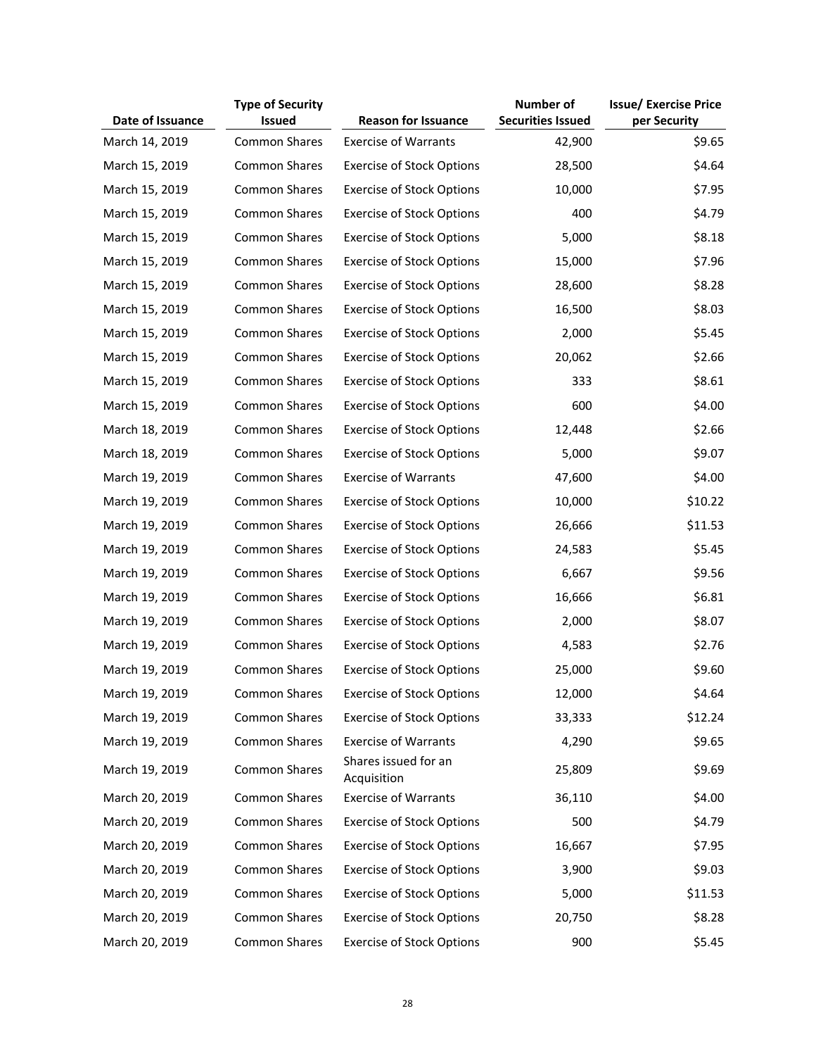|                  | <b>Type of Security</b> |                                     | Number of                | <b>Issue/ Exercise Price</b> |
|------------------|-------------------------|-------------------------------------|--------------------------|------------------------------|
| Date of Issuance | <b>Issued</b>           | <b>Reason for Issuance</b>          | <b>Securities Issued</b> | per Security                 |
| March 14, 2019   | <b>Common Shares</b>    | <b>Exercise of Warrants</b>         | 42,900                   | \$9.65                       |
| March 15, 2019   | <b>Common Shares</b>    | <b>Exercise of Stock Options</b>    | 28,500                   | \$4.64                       |
| March 15, 2019   | <b>Common Shares</b>    | <b>Exercise of Stock Options</b>    | 10,000                   | \$7.95                       |
| March 15, 2019   | Common Shares           | <b>Exercise of Stock Options</b>    | 400                      | \$4.79                       |
| March 15, 2019   | <b>Common Shares</b>    | <b>Exercise of Stock Options</b>    | 5,000                    | \$8.18                       |
| March 15, 2019   | <b>Common Shares</b>    | <b>Exercise of Stock Options</b>    | 15,000                   | \$7.96                       |
| March 15, 2019   | <b>Common Shares</b>    | <b>Exercise of Stock Options</b>    | 28,600                   | \$8.28                       |
| March 15, 2019   | <b>Common Shares</b>    | <b>Exercise of Stock Options</b>    | 16,500                   | \$8.03                       |
| March 15, 2019   | <b>Common Shares</b>    | <b>Exercise of Stock Options</b>    | 2,000                    | \$5.45                       |
| March 15, 2019   | <b>Common Shares</b>    | <b>Exercise of Stock Options</b>    | 20,062                   | \$2.66                       |
| March 15, 2019   | <b>Common Shares</b>    | <b>Exercise of Stock Options</b>    | 333                      | \$8.61                       |
| March 15, 2019   | <b>Common Shares</b>    | <b>Exercise of Stock Options</b>    | 600                      | \$4.00                       |
| March 18, 2019   | <b>Common Shares</b>    | <b>Exercise of Stock Options</b>    | 12,448                   | \$2.66                       |
| March 18, 2019   | <b>Common Shares</b>    | <b>Exercise of Stock Options</b>    | 5,000                    | \$9.07                       |
| March 19, 2019   | <b>Common Shares</b>    | <b>Exercise of Warrants</b>         | 47,600                   | \$4.00                       |
| March 19, 2019   | <b>Common Shares</b>    | <b>Exercise of Stock Options</b>    | 10,000                   | \$10.22                      |
| March 19, 2019   | <b>Common Shares</b>    | <b>Exercise of Stock Options</b>    | 26,666                   | \$11.53                      |
| March 19, 2019   | <b>Common Shares</b>    | <b>Exercise of Stock Options</b>    | 24,583                   | \$5.45                       |
| March 19, 2019   | <b>Common Shares</b>    | <b>Exercise of Stock Options</b>    | 6,667                    | \$9.56                       |
| March 19, 2019   | <b>Common Shares</b>    | <b>Exercise of Stock Options</b>    | 16,666                   | \$6.81                       |
| March 19, 2019   | <b>Common Shares</b>    | <b>Exercise of Stock Options</b>    | 2,000                    | \$8.07                       |
| March 19, 2019   | <b>Common Shares</b>    | <b>Exercise of Stock Options</b>    | 4,583                    | \$2.76                       |
| March 19, 2019   | <b>Common Shares</b>    | <b>Exercise of Stock Options</b>    | 25,000                   | \$9.60                       |
| March 19, 2019   | <b>Common Shares</b>    | <b>Exercise of Stock Options</b>    | 12,000                   | \$4.64                       |
| March 19, 2019   | <b>Common Shares</b>    | <b>Exercise of Stock Options</b>    | 33,333                   | \$12.24                      |
| March 19, 2019   | <b>Common Shares</b>    | <b>Exercise of Warrants</b>         | 4,290                    | \$9.65                       |
| March 19, 2019   | <b>Common Shares</b>    | Shares issued for an<br>Acquisition | 25,809                   | \$9.69                       |
| March 20, 2019   | <b>Common Shares</b>    | <b>Exercise of Warrants</b>         | 36,110                   | \$4.00                       |
| March 20, 2019   | <b>Common Shares</b>    | <b>Exercise of Stock Options</b>    | 500                      | \$4.79                       |
| March 20, 2019   | <b>Common Shares</b>    | <b>Exercise of Stock Options</b>    | 16,667                   | \$7.95                       |
| March 20, 2019   | <b>Common Shares</b>    | <b>Exercise of Stock Options</b>    | 3,900                    | \$9.03                       |
| March 20, 2019   | <b>Common Shares</b>    | <b>Exercise of Stock Options</b>    | 5,000                    | \$11.53                      |
| March 20, 2019   | <b>Common Shares</b>    | <b>Exercise of Stock Options</b>    | 20,750                   | \$8.28                       |
| March 20, 2019   | Common Shares           | <b>Exercise of Stock Options</b>    | 900                      | \$5.45                       |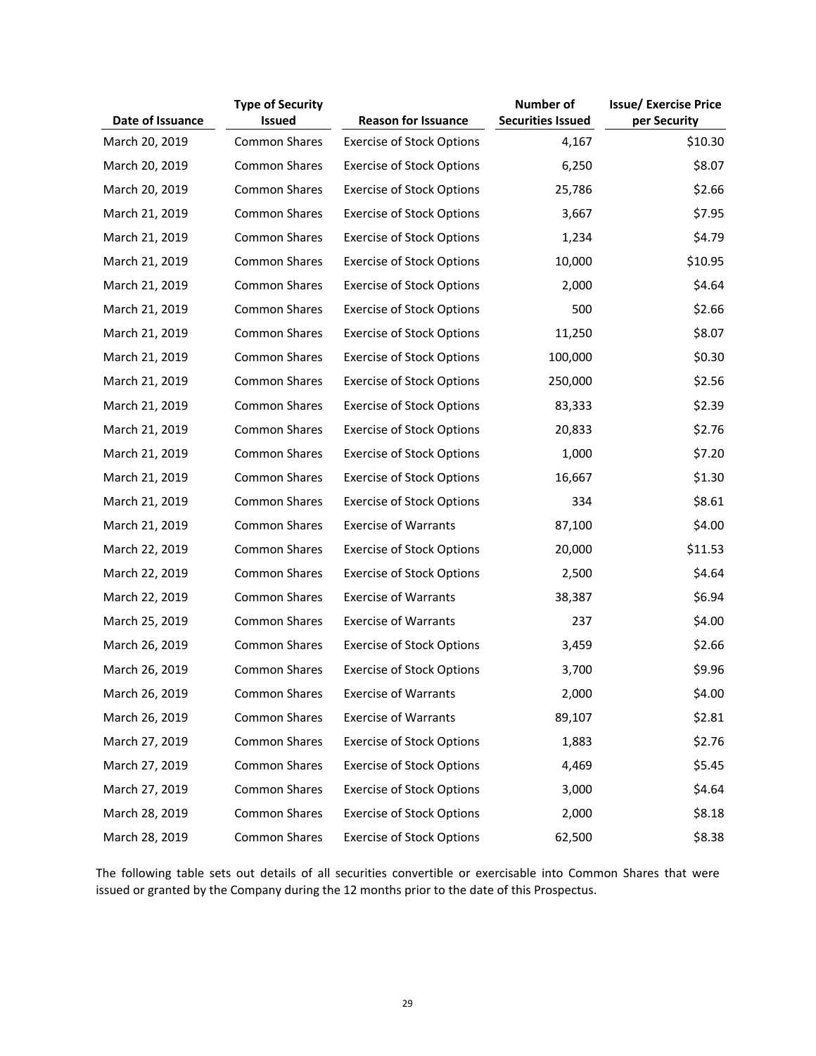| Date of Issuance | <b>Type of Security</b><br><b>Issued</b> | <b>Reason for Issuance</b>       | Number of<br><b>Securities Issued</b> | <b>Issue/ Exercise Price</b><br>per Security |
|------------------|------------------------------------------|----------------------------------|---------------------------------------|----------------------------------------------|
| March 20, 2019   | <b>Common Shares</b>                     | <b>Exercise of Stock Options</b> | 4,167                                 | \$10.30                                      |
| March 20, 2019   | <b>Common Shares</b>                     | <b>Exercise of Stock Options</b> | 6,250                                 | \$8.07                                       |
| March 20, 2019   | <b>Common Shares</b>                     | <b>Exercise of Stock Options</b> | 25,786                                | \$2.66                                       |
| March 21, 2019   | <b>Common Shares</b>                     | <b>Exercise of Stock Options</b> | 3,667                                 | \$7.95                                       |
| March 21, 2019   | <b>Common Shares</b>                     | <b>Exercise of Stock Options</b> | 1,234                                 | \$4.79                                       |
| March 21, 2019   | <b>Common Shares</b>                     | <b>Exercise of Stock Options</b> | 10,000                                | \$10.95                                      |
| March 21, 2019   | <b>Common Shares</b>                     | <b>Exercise of Stock Options</b> | 2,000                                 | \$4.64                                       |
| March 21, 2019   | <b>Common Shares</b>                     | <b>Exercise of Stock Options</b> | 500                                   | \$2.66                                       |
| March 21, 2019   | <b>Common Shares</b>                     | <b>Exercise of Stock Options</b> | 11,250                                | \$8.07                                       |
| March 21, 2019   | <b>Common Shares</b>                     | <b>Exercise of Stock Options</b> | 100,000                               | \$0.30                                       |
| March 21, 2019   | <b>Common Shares</b>                     | <b>Exercise of Stock Options</b> | 250,000                               | \$2.56                                       |
| March 21, 2019   | Common Shares                            | <b>Exercise of Stock Options</b> | 83,333                                | \$2.39                                       |
| March 21, 2019   | <b>Common Shares</b>                     | <b>Exercise of Stock Options</b> | 20,833                                | \$2.76                                       |
| March 21, 2019   | <b>Common Shares</b>                     | <b>Exercise of Stock Options</b> | 1,000                                 | \$7.20                                       |
| March 21, 2019   | <b>Common Shares</b>                     | <b>Exercise of Stock Options</b> | 16,667                                | \$1.30                                       |
| March 21, 2019   | <b>Common Shares</b>                     | <b>Exercise of Stock Options</b> | 334                                   | \$8.61                                       |
| March 21, 2019   | <b>Common Shares</b>                     | <b>Exercise of Warrants</b>      | 87,100                                | \$4.00                                       |
| March 22, 2019   | <b>Common Shares</b>                     | <b>Exercise of Stock Options</b> | 20,000                                | \$11.53                                      |
| March 22, 2019   | <b>Common Shares</b>                     | <b>Exercise of Stock Options</b> | 2,500                                 | \$4.64                                       |
| March 22, 2019   | <b>Common Shares</b>                     | <b>Exercise of Warrants</b>      | 38,387                                | \$6.94                                       |
| March 25, 2019   | <b>Common Shares</b>                     | <b>Exercise of Warrants</b>      | 237                                   | \$4.00                                       |
| March 26, 2019   | <b>Common Shares</b>                     | <b>Exercise of Stock Options</b> | 3,459                                 | \$2.66                                       |
| March 26, 2019   | <b>Common Shares</b>                     | <b>Exercise of Stock Options</b> | 3,700                                 | \$9.96                                       |
| March 26, 2019   | <b>Common Shares</b>                     | <b>Exercise of Warrants</b>      | 2,000                                 | \$4.00                                       |
| March 26, 2019   | Common Shares                            | <b>Exercise of Warrants</b>      | 89,107                                | \$2.81                                       |
| March 27, 2019   | <b>Common Shares</b>                     | <b>Exercise of Stock Options</b> | 1,883                                 | \$2.76                                       |
| March 27, 2019   | <b>Common Shares</b>                     | <b>Exercise of Stock Options</b> | 4,469                                 | \$5.45                                       |
| March 27, 2019   | <b>Common Shares</b>                     | <b>Exercise of Stock Options</b> | 3,000                                 | \$4.64                                       |
| March 28, 2019   | <b>Common Shares</b>                     | <b>Exercise of Stock Options</b> | 2,000                                 | \$8.18                                       |
| March 28, 2019   | Common Shares                            | <b>Exercise of Stock Options</b> | 62,500                                | \$8.38                                       |

The following table sets out details of all securities convertible or exercisable into Common Shares that were issued or granted by the Company during the 12 months prior to the date of this Prospectus.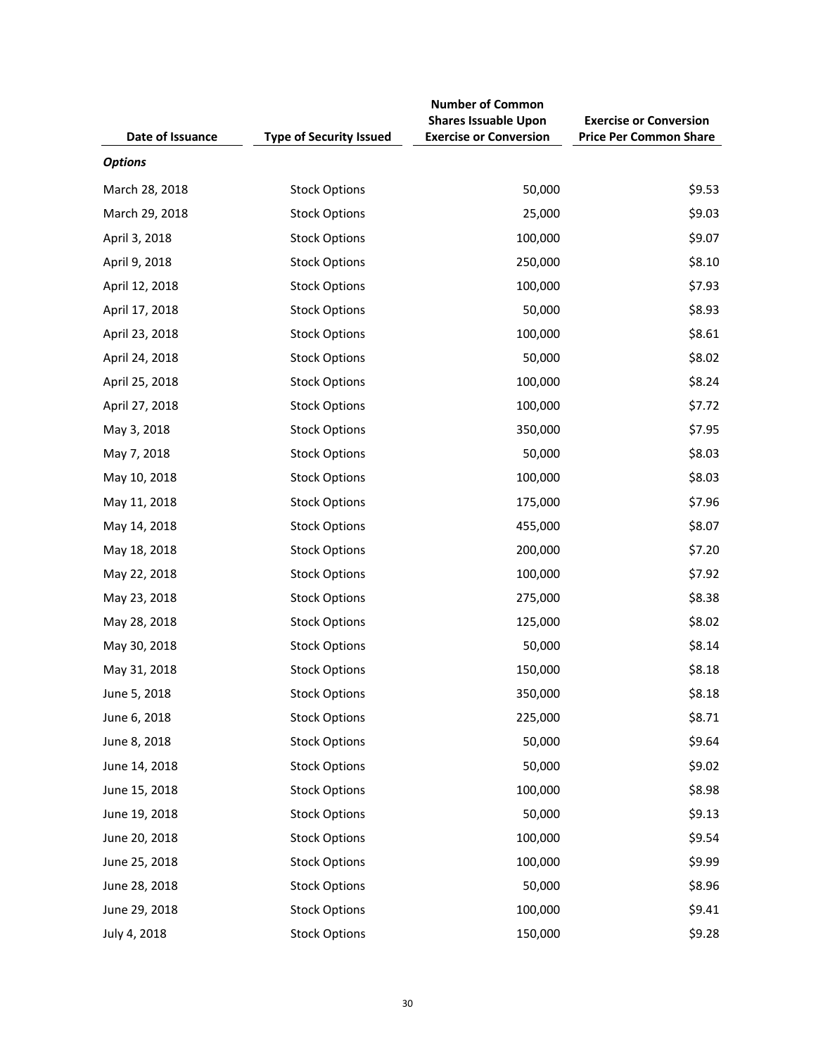| Date of Issuance | <b>Type of Security Issued</b> | <b>Number of Common</b><br><b>Shares Issuable Upon</b><br><b>Exercise or Conversion</b> | <b>Exercise or Conversion</b><br><b>Price Per Common Share</b> |
|------------------|--------------------------------|-----------------------------------------------------------------------------------------|----------------------------------------------------------------|
| <b>Options</b>   |                                |                                                                                         |                                                                |
| March 28, 2018   | <b>Stock Options</b>           | 50,000                                                                                  | \$9.53                                                         |
| March 29, 2018   | <b>Stock Options</b>           | 25,000                                                                                  | \$9.03                                                         |
| April 3, 2018    | <b>Stock Options</b>           | 100,000                                                                                 | \$9.07                                                         |
| April 9, 2018    | <b>Stock Options</b>           | 250,000                                                                                 | \$8.10                                                         |
| April 12, 2018   | <b>Stock Options</b>           | 100,000                                                                                 | \$7.93                                                         |
| April 17, 2018   | <b>Stock Options</b>           | 50,000                                                                                  | \$8.93                                                         |
| April 23, 2018   | <b>Stock Options</b>           | 100,000                                                                                 | \$8.61                                                         |
| April 24, 2018   | <b>Stock Options</b>           | 50,000                                                                                  | \$8.02                                                         |
| April 25, 2018   | <b>Stock Options</b>           | 100,000                                                                                 | \$8.24                                                         |
| April 27, 2018   | <b>Stock Options</b>           | 100,000                                                                                 | \$7.72                                                         |
| May 3, 2018      | <b>Stock Options</b>           | 350,000                                                                                 | \$7.95                                                         |
| May 7, 2018      | <b>Stock Options</b>           | 50,000                                                                                  | \$8.03                                                         |
| May 10, 2018     | <b>Stock Options</b>           | 100,000                                                                                 | \$8.03                                                         |
| May 11, 2018     | <b>Stock Options</b>           | 175,000                                                                                 | \$7.96                                                         |
| May 14, 2018     | <b>Stock Options</b>           | 455,000                                                                                 | \$8.07                                                         |
| May 18, 2018     | <b>Stock Options</b>           | 200,000                                                                                 | \$7.20                                                         |
| May 22, 2018     | <b>Stock Options</b>           | 100,000                                                                                 | \$7.92                                                         |
| May 23, 2018     | <b>Stock Options</b>           | 275,000                                                                                 | \$8.38                                                         |
| May 28, 2018     | <b>Stock Options</b>           | 125,000                                                                                 | \$8.02                                                         |
| May 30, 2018     | <b>Stock Options</b>           | 50,000                                                                                  | \$8.14                                                         |
| May 31, 2018     | <b>Stock Options</b>           | 150,000                                                                                 | \$8.18                                                         |
| June 5, 2018     | <b>Stock Options</b>           | 350,000                                                                                 | \$8.18                                                         |
| June 6, 2018     | <b>Stock Options</b>           | 225,000                                                                                 | \$8.71                                                         |
| June 8, 2018     | <b>Stock Options</b>           | 50,000                                                                                  | \$9.64                                                         |
| June 14, 2018    | <b>Stock Options</b>           | 50,000                                                                                  | \$9.02                                                         |
| June 15, 2018    | <b>Stock Options</b>           | 100,000                                                                                 | \$8.98                                                         |
| June 19, 2018    | <b>Stock Options</b>           | 50,000                                                                                  | \$9.13                                                         |
| June 20, 2018    | <b>Stock Options</b>           | 100,000                                                                                 | \$9.54                                                         |
| June 25, 2018    | <b>Stock Options</b>           | 100,000                                                                                 | \$9.99                                                         |
| June 28, 2018    | <b>Stock Options</b>           | 50,000                                                                                  | \$8.96                                                         |
| June 29, 2018    | <b>Stock Options</b>           | 100,000                                                                                 | \$9.41                                                         |
| July 4, 2018     | <b>Stock Options</b>           | 150,000                                                                                 | \$9.28                                                         |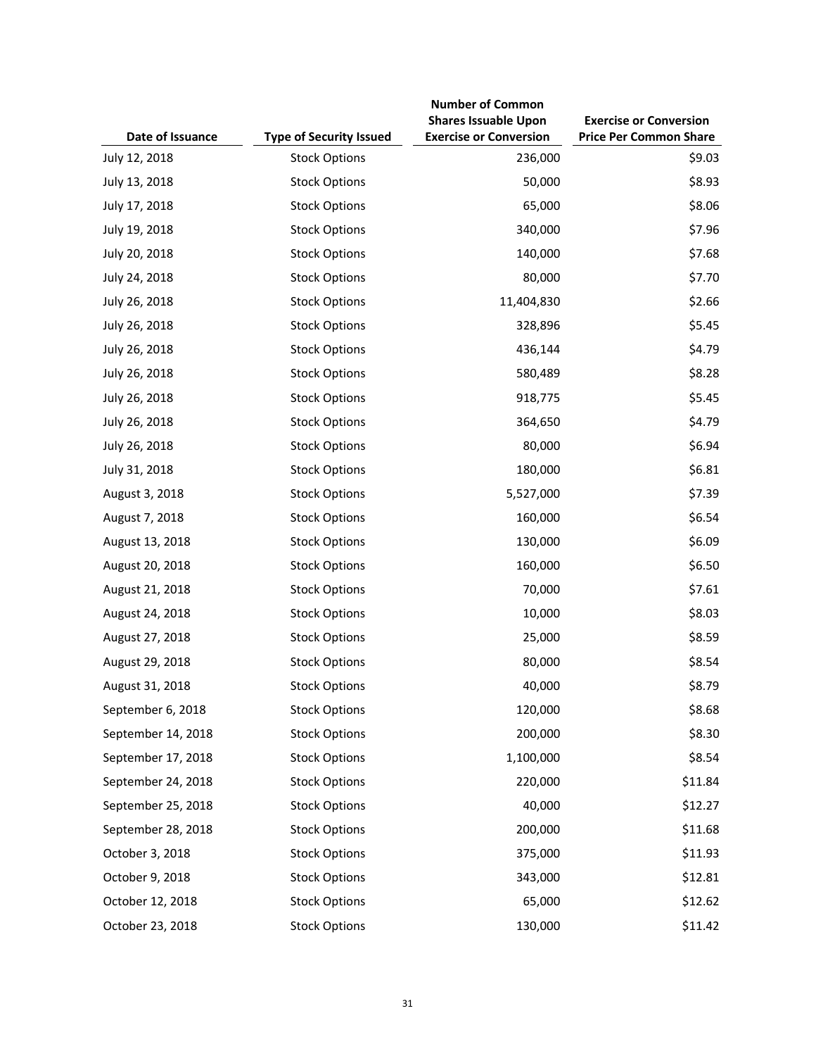| Date of Issuance   | <b>Type of Security Issued</b> | <b>Number of Common</b><br><b>Shares Issuable Upon</b><br><b>Exercise or Conversion</b> | <b>Exercise or Conversion</b><br><b>Price Per Common Share</b> |
|--------------------|--------------------------------|-----------------------------------------------------------------------------------------|----------------------------------------------------------------|
| July 12, 2018      | <b>Stock Options</b>           | 236,000                                                                                 | \$9.03                                                         |
| July 13, 2018      | <b>Stock Options</b>           | 50,000                                                                                  | \$8.93                                                         |
| July 17, 2018      | <b>Stock Options</b>           | 65,000                                                                                  | \$8.06                                                         |
| July 19, 2018      | <b>Stock Options</b>           | 340,000                                                                                 | \$7.96                                                         |
| July 20, 2018      | <b>Stock Options</b>           | 140,000                                                                                 | \$7.68                                                         |
| July 24, 2018      | <b>Stock Options</b>           | 80,000                                                                                  | \$7.70                                                         |
| July 26, 2018      | <b>Stock Options</b>           | 11,404,830                                                                              | \$2.66                                                         |
| July 26, 2018      | <b>Stock Options</b>           | 328,896                                                                                 | \$5.45                                                         |
| July 26, 2018      | <b>Stock Options</b>           | 436,144                                                                                 | \$4.79                                                         |
| July 26, 2018      | <b>Stock Options</b>           | 580,489                                                                                 | \$8.28                                                         |
| July 26, 2018      | <b>Stock Options</b>           | 918,775                                                                                 | \$5.45                                                         |
| July 26, 2018      | <b>Stock Options</b>           | 364,650                                                                                 | \$4.79                                                         |
| July 26, 2018      | <b>Stock Options</b>           | 80,000                                                                                  | \$6.94                                                         |
| July 31, 2018      | <b>Stock Options</b>           | 180,000                                                                                 | \$6.81                                                         |
| August 3, 2018     | <b>Stock Options</b>           | 5,527,000                                                                               | \$7.39                                                         |
| August 7, 2018     | <b>Stock Options</b>           | 160,000                                                                                 | \$6.54                                                         |
| August 13, 2018    | <b>Stock Options</b>           | 130,000                                                                                 | \$6.09                                                         |
| August 20, 2018    | <b>Stock Options</b>           | 160,000                                                                                 | \$6.50                                                         |
| August 21, 2018    | <b>Stock Options</b>           | 70,000                                                                                  | \$7.61                                                         |
| August 24, 2018    | <b>Stock Options</b>           | 10,000                                                                                  | \$8.03                                                         |
| August 27, 2018    | <b>Stock Options</b>           | 25,000                                                                                  | \$8.59                                                         |
| August 29, 2018    | <b>Stock Options</b>           | 80,000                                                                                  | \$8.54                                                         |
| August 31, 2018    | <b>Stock Options</b>           | 40,000                                                                                  | \$8.79                                                         |
| September 6, 2018  | <b>Stock Options</b>           | 120,000                                                                                 | \$8.68                                                         |
| September 14, 2018 | <b>Stock Options</b>           | 200,000                                                                                 | \$8.30                                                         |
| September 17, 2018 | <b>Stock Options</b>           | 1,100,000                                                                               | \$8.54                                                         |
| September 24, 2018 | <b>Stock Options</b>           | 220,000                                                                                 | \$11.84                                                        |
| September 25, 2018 | <b>Stock Options</b>           | 40,000                                                                                  | \$12.27                                                        |
| September 28, 2018 | <b>Stock Options</b>           | 200,000                                                                                 | \$11.68                                                        |
| October 3, 2018    | <b>Stock Options</b>           | 375,000                                                                                 | \$11.93                                                        |
| October 9, 2018    | <b>Stock Options</b>           | 343,000                                                                                 | \$12.81                                                        |
| October 12, 2018   | <b>Stock Options</b>           | 65,000                                                                                  | \$12.62                                                        |
| October 23, 2018   | <b>Stock Options</b>           | 130,000                                                                                 | \$11.42                                                        |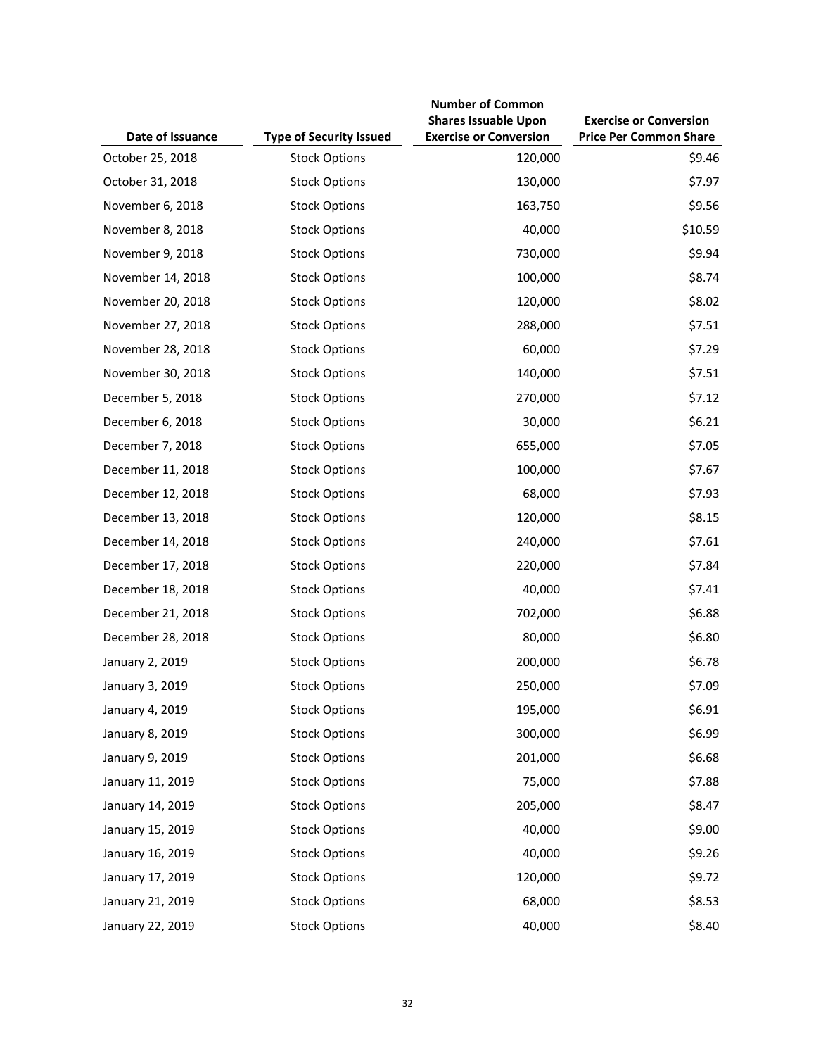| Date of Issuance  | <b>Type of Security Issued</b> | <b>Number of Common</b><br><b>Shares Issuable Upon</b><br><b>Exercise or Conversion</b> | <b>Exercise or Conversion</b><br><b>Price Per Common Share</b> |
|-------------------|--------------------------------|-----------------------------------------------------------------------------------------|----------------------------------------------------------------|
| October 25, 2018  | <b>Stock Options</b>           | 120,000                                                                                 | \$9.46                                                         |
| October 31, 2018  | <b>Stock Options</b>           | 130,000                                                                                 | \$7.97                                                         |
| November 6, 2018  | <b>Stock Options</b>           | 163,750                                                                                 | \$9.56                                                         |
| November 8, 2018  | <b>Stock Options</b>           | 40,000                                                                                  | \$10.59                                                        |
| November 9, 2018  | <b>Stock Options</b>           | 730,000                                                                                 | \$9.94                                                         |
| November 14, 2018 | <b>Stock Options</b>           | 100,000                                                                                 | \$8.74                                                         |
| November 20, 2018 | <b>Stock Options</b>           | 120,000                                                                                 | \$8.02                                                         |
| November 27, 2018 | <b>Stock Options</b>           | 288,000                                                                                 | \$7.51                                                         |
| November 28, 2018 | <b>Stock Options</b>           | 60,000                                                                                  | \$7.29                                                         |
| November 30, 2018 | <b>Stock Options</b>           | 140,000                                                                                 | \$7.51                                                         |
| December 5, 2018  | <b>Stock Options</b>           | 270,000                                                                                 | \$7.12                                                         |
| December 6, 2018  | <b>Stock Options</b>           | 30,000                                                                                  | \$6.21                                                         |
| December 7, 2018  | <b>Stock Options</b>           | 655,000                                                                                 | \$7.05                                                         |
| December 11, 2018 | <b>Stock Options</b>           | 100,000                                                                                 | \$7.67                                                         |
| December 12, 2018 | <b>Stock Options</b>           | 68,000                                                                                  | \$7.93                                                         |
| December 13, 2018 | <b>Stock Options</b>           | 120,000                                                                                 | \$8.15                                                         |
| December 14, 2018 | <b>Stock Options</b>           | 240,000                                                                                 | \$7.61                                                         |
| December 17, 2018 | <b>Stock Options</b>           | 220,000                                                                                 | \$7.84                                                         |
| December 18, 2018 | <b>Stock Options</b>           | 40,000                                                                                  | \$7.41                                                         |
| December 21, 2018 | <b>Stock Options</b>           | 702,000                                                                                 | \$6.88                                                         |
| December 28, 2018 | <b>Stock Options</b>           | 80,000                                                                                  | \$6.80                                                         |
| January 2, 2019   | <b>Stock Options</b>           | 200,000                                                                                 | \$6.78                                                         |
| January 3, 2019   | <b>Stock Options</b>           | 250,000                                                                                 | \$7.09                                                         |
| January 4, 2019   | <b>Stock Options</b>           | 195,000                                                                                 | \$6.91                                                         |
| January 8, 2019   | <b>Stock Options</b>           | 300,000                                                                                 | \$6.99                                                         |
| January 9, 2019   | <b>Stock Options</b>           | 201,000                                                                                 | \$6.68                                                         |
| January 11, 2019  | <b>Stock Options</b>           | 75,000                                                                                  | \$7.88                                                         |
| January 14, 2019  | <b>Stock Options</b>           | 205,000                                                                                 | \$8.47                                                         |
| January 15, 2019  | <b>Stock Options</b>           | 40,000                                                                                  | \$9.00                                                         |
| January 16, 2019  | <b>Stock Options</b>           | 40,000                                                                                  | \$9.26                                                         |
| January 17, 2019  | <b>Stock Options</b>           | 120,000                                                                                 | \$9.72                                                         |
| January 21, 2019  | <b>Stock Options</b>           | 68,000                                                                                  | \$8.53                                                         |
| January 22, 2019  | <b>Stock Options</b>           | 40,000                                                                                  | \$8.40                                                         |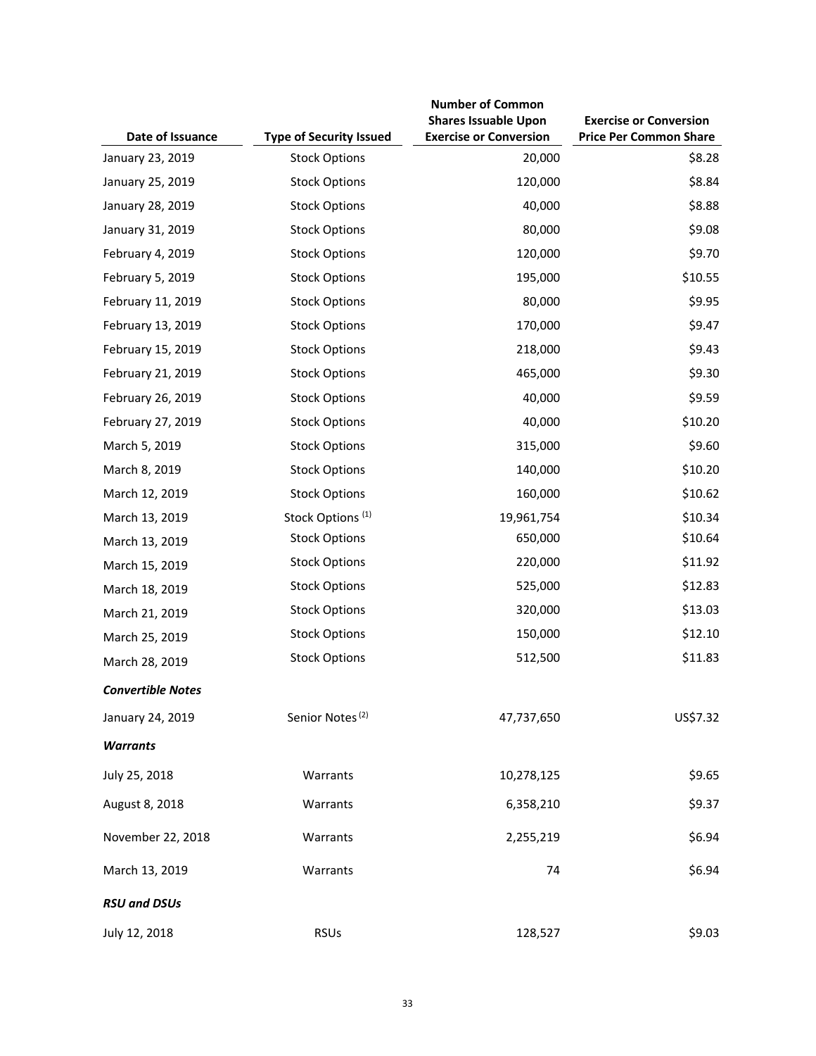| Date of Issuance         | <b>Type of Security Issued</b> | <b>Number of Common</b><br><b>Shares Issuable Upon</b><br><b>Exercise or Conversion</b> | <b>Exercise or Conversion</b><br><b>Price Per Common Share</b> |
|--------------------------|--------------------------------|-----------------------------------------------------------------------------------------|----------------------------------------------------------------|
| January 23, 2019         | <b>Stock Options</b>           | 20,000                                                                                  | \$8.28                                                         |
| January 25, 2019         | <b>Stock Options</b>           | 120,000                                                                                 | \$8.84                                                         |
| January 28, 2019         | <b>Stock Options</b>           | 40,000                                                                                  | \$8.88                                                         |
| January 31, 2019         | <b>Stock Options</b>           | 80,000                                                                                  | \$9.08                                                         |
| February 4, 2019         | <b>Stock Options</b>           | 120,000                                                                                 | \$9.70                                                         |
| February 5, 2019         | <b>Stock Options</b>           | 195,000                                                                                 | \$10.55                                                        |
| February 11, 2019        | <b>Stock Options</b>           | 80,000                                                                                  | \$9.95                                                         |
| February 13, 2019        | <b>Stock Options</b>           | 170,000                                                                                 | \$9.47                                                         |
| February 15, 2019        | <b>Stock Options</b>           | 218,000                                                                                 | \$9.43                                                         |
| February 21, 2019        | <b>Stock Options</b>           | 465,000                                                                                 | \$9.30                                                         |
| February 26, 2019        | <b>Stock Options</b>           | 40,000                                                                                  | \$9.59                                                         |
| February 27, 2019        | <b>Stock Options</b>           | 40,000                                                                                  | \$10.20                                                        |
| March 5, 2019            | <b>Stock Options</b>           | 315,000                                                                                 | \$9.60                                                         |
| March 8, 2019            | <b>Stock Options</b>           | 140,000                                                                                 | \$10.20                                                        |
| March 12, 2019           | <b>Stock Options</b>           | 160,000                                                                                 | \$10.62                                                        |
| March 13, 2019           | Stock Options <sup>(1)</sup>   | 19,961,754                                                                              | \$10.34                                                        |
| March 13, 2019           | <b>Stock Options</b>           | 650,000                                                                                 | \$10.64                                                        |
| March 15, 2019           | <b>Stock Options</b>           | 220,000                                                                                 | \$11.92                                                        |
| March 18, 2019           | <b>Stock Options</b>           | 525,000                                                                                 | \$12.83                                                        |
| March 21, 2019           | <b>Stock Options</b>           | 320,000                                                                                 | \$13.03                                                        |
| March 25, 2019           | <b>Stock Options</b>           | 150,000                                                                                 | \$12.10                                                        |
| March 28, 2019           | <b>Stock Options</b>           | 512,500                                                                                 | \$11.83                                                        |
| <b>Convertible Notes</b> |                                |                                                                                         |                                                                |
| January 24, 2019         | Senior Notes <sup>(2)</sup>    | 47,737,650                                                                              | US\$7.32                                                       |
| <b>Warrants</b>          |                                |                                                                                         |                                                                |
| July 25, 2018            | Warrants                       | 10,278,125                                                                              | \$9.65                                                         |
| August 8, 2018           | Warrants                       | 6,358,210                                                                               | \$9.37                                                         |
| November 22, 2018        | Warrants                       | 2,255,219                                                                               | \$6.94                                                         |
| March 13, 2019           | Warrants                       | 74                                                                                      | \$6.94                                                         |
| <b>RSU and DSUs</b>      |                                |                                                                                         |                                                                |
| July 12, 2018            | <b>RSUs</b>                    | 128,527                                                                                 | \$9.03                                                         |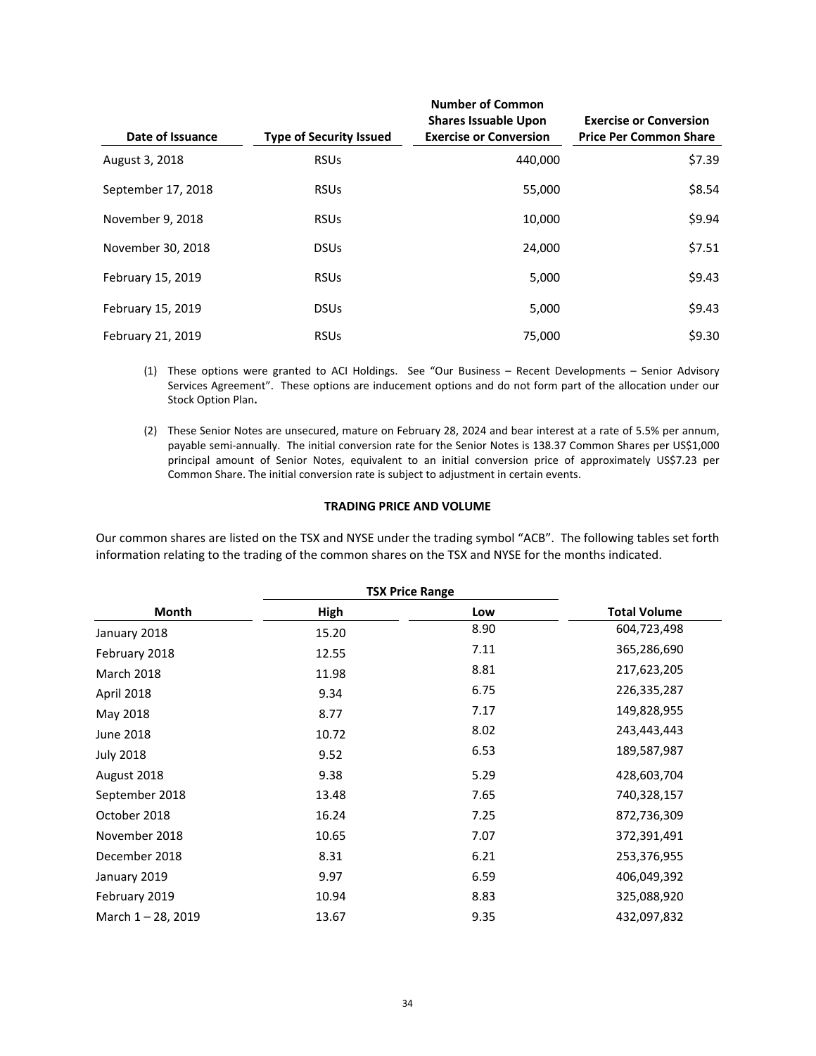| Date of Issuance   | <b>Type of Security Issued</b> | <b>Number of Common</b><br><b>Shares Issuable Upon</b><br><b>Exercise or Conversion</b> | <b>Exercise or Conversion</b><br><b>Price Per Common Share</b> |
|--------------------|--------------------------------|-----------------------------------------------------------------------------------------|----------------------------------------------------------------|
| August 3, 2018     | <b>RSUs</b>                    | 440.000                                                                                 | \$7.39                                                         |
| September 17, 2018 | <b>RSUs</b>                    | 55,000                                                                                  | \$8.54                                                         |
| November 9, 2018   | <b>RSUs</b>                    | 10,000                                                                                  | \$9.94                                                         |
| November 30, 2018  | <b>DSUs</b>                    | 24.000                                                                                  | \$7.51                                                         |
| February 15, 2019  | <b>RSUs</b>                    | 5,000                                                                                   | \$9.43                                                         |
| February 15, 2019  | <b>DSUs</b>                    | 5,000                                                                                   | \$9.43                                                         |
| February 21, 2019  | <b>RSUs</b>                    | 75.000                                                                                  | \$9.30                                                         |

- (1) These options were granted to ACI Holdings. See "Our Business Recent Developments Senior Advisory Services Agreement". These options are inducement options and do not form part of the allocation under our Stock Option Plan**.**
- (2) These Senior Notes are unsecured, mature on February 28, 2024 and bear interest at a rate of 5.5% per annum, payable semi‐annually. The initial conversion rate for the Senior Notes is 138.37 Common Shares per US\$1,000 principal amount of Senior Notes, equivalent to an initial conversion price of approximately US\$7.23 per Common Share. The initial conversion rate is subject to adjustment in certain events.

# **TRADING PRICE AND VOLUME**

Our common shares are listed on the TSX and NYSE under the trading symbol "ACB". The following tables set forth information relating to the trading of the common shares on the TSX and NYSE for the months indicated.

| Month              | <b>TSX Price Range</b> |      |                     |
|--------------------|------------------------|------|---------------------|
|                    | High                   | Low  | <b>Total Volume</b> |
| January 2018       | 15.20                  | 8.90 | 604,723,498         |
| February 2018      | 12.55                  | 7.11 | 365,286,690         |
| <b>March 2018</b>  | 11.98                  | 8.81 | 217,623,205         |
| April 2018         | 9.34                   | 6.75 | 226,335,287         |
| May 2018           | 8.77                   | 7.17 | 149,828,955         |
| June 2018          | 10.72                  | 8.02 | 243,443,443         |
| <b>July 2018</b>   | 9.52                   | 6.53 | 189,587,987         |
| August 2018        | 9.38                   | 5.29 | 428,603,704         |
| September 2018     | 13.48                  | 7.65 | 740,328,157         |
| October 2018       | 16.24                  | 7.25 | 872,736,309         |
| November 2018      | 10.65                  | 7.07 | 372,391,491         |
| December 2018      | 8.31                   | 6.21 | 253,376,955         |
| January 2019       | 9.97                   | 6.59 | 406,049,392         |
| February 2019      | 10.94                  | 8.83 | 325,088,920         |
| March 1 - 28, 2019 | 13.67                  | 9.35 | 432,097,832         |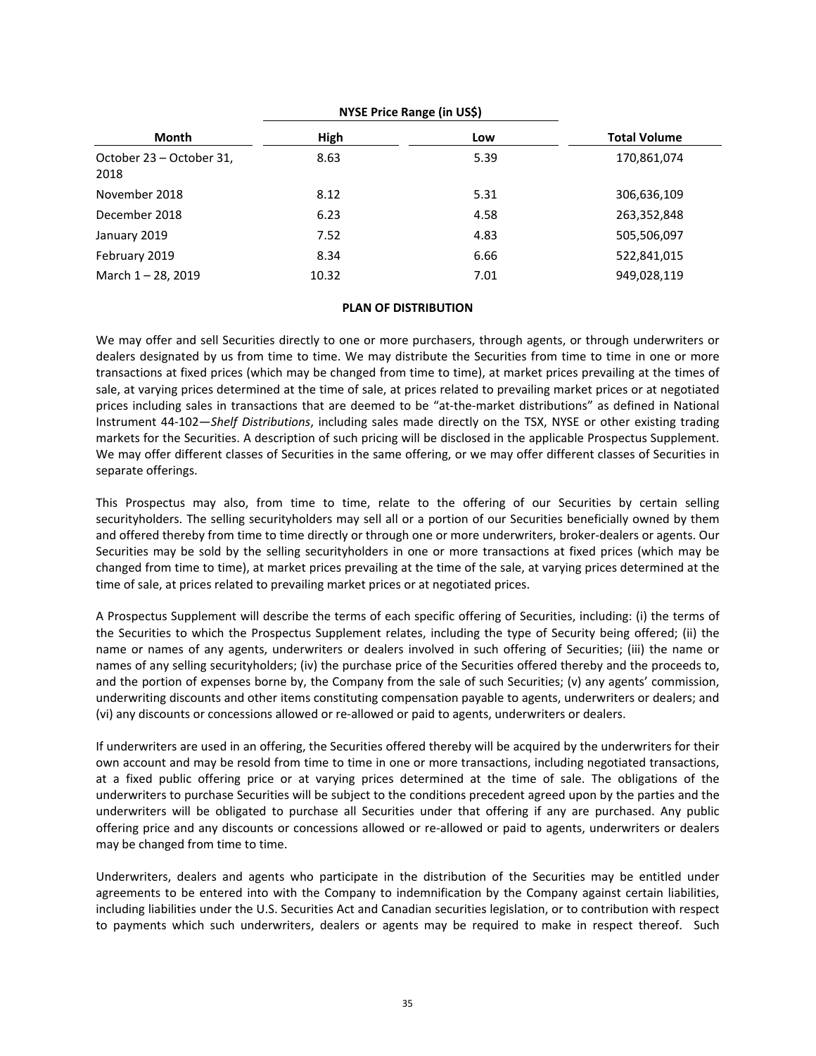|                                  | NYSE Price Range (in US\$) |      |                     |
|----------------------------------|----------------------------|------|---------------------|
| Month                            | High                       | Low  | <b>Total Volume</b> |
| October 23 – October 31,<br>2018 | 8.63                       | 5.39 | 170,861,074         |
| November 2018                    | 8.12                       | 5.31 | 306,636,109         |
| December 2018                    | 6.23                       | 4.58 | 263,352,848         |
| January 2019                     | 7.52                       | 4.83 | 505,506,097         |
| February 2019                    | 8.34                       | 6.66 | 522,841,015         |
| March 1-28, 2019                 | 10.32                      | 7.01 | 949,028,119         |

## **PLAN OF DISTRIBUTION**

We may offer and sell Securities directly to one or more purchasers, through agents, or through underwriters or dealers designated by us from time to time. We may distribute the Securities from time to time in one or more transactions at fixed prices (which may be changed from time to time), at market prices prevailing at the times of sale, at varying prices determined at the time of sale, at prices related to prevailing market prices or at negotiated prices including sales in transactions that are deemed to be "at‐the‐market distributions" as defined in National Instrument 44‐102—*Shelf Distributions*, including sales made directly on the TSX, NYSE or other existing trading markets for the Securities. A description of such pricing will be disclosed in the applicable Prospectus Supplement. We may offer different classes of Securities in the same offering, or we may offer different classes of Securities in separate offerings.

This Prospectus may also, from time to time, relate to the offering of our Securities by certain selling securityholders. The selling securityholders may sell all or a portion of our Securities beneficially owned by them and offered thereby from time to time directly or through one or more underwriters, broker-dealers or agents. Our Securities may be sold by the selling securityholders in one or more transactions at fixed prices (which may be changed from time to time), at market prices prevailing at the time of the sale, at varying prices determined at the time of sale, at prices related to prevailing market prices or at negotiated prices.

A Prospectus Supplement will describe the terms of each specific offering of Securities, including: (i) the terms of the Securities to which the Prospectus Supplement relates, including the type of Security being offered; (ii) the name or names of any agents, underwriters or dealers involved in such offering of Securities; (iii) the name or names of any selling securityholders; (iv) the purchase price of the Securities offered thereby and the proceeds to, and the portion of expenses borne by, the Company from the sale of such Securities; (v) any agents' commission, underwriting discounts and other items constituting compensation payable to agents, underwriters or dealers; and (vi) any discounts or concessions allowed or re‐allowed or paid to agents, underwriters or dealers.

If underwriters are used in an offering, the Securities offered thereby will be acquired by the underwriters for their own account and may be resold from time to time in one or more transactions, including negotiated transactions, at a fixed public offering price or at varying prices determined at the time of sale. The obligations of the underwriters to purchase Securities will be subject to the conditions precedent agreed upon by the parties and the underwriters will be obligated to purchase all Securities under that offering if any are purchased. Any public offering price and any discounts or concessions allowed or re‐allowed or paid to agents, underwriters or dealers may be changed from time to time.

Underwriters, dealers and agents who participate in the distribution of the Securities may be entitled under agreements to be entered into with the Company to indemnification by the Company against certain liabilities, including liabilities under the U.S. Securities Act and Canadian securities legislation, or to contribution with respect to payments which such underwriters, dealers or agents may be required to make in respect thereof. Such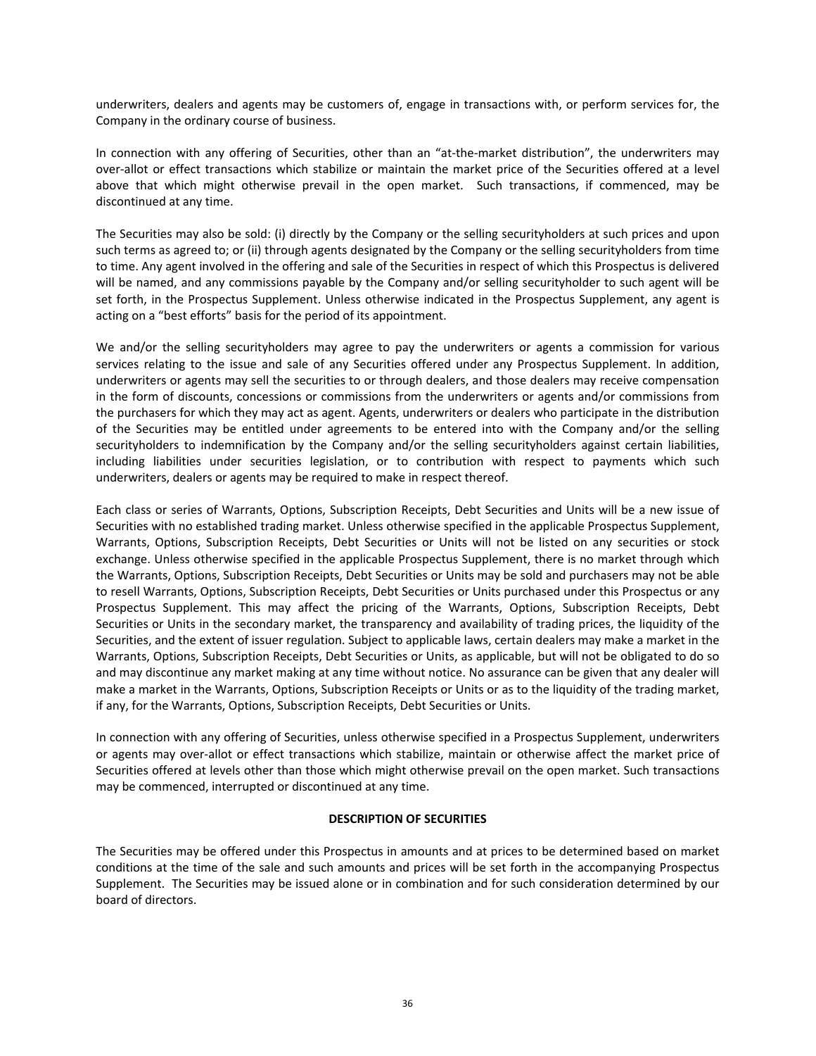underwriters, dealers and agents may be customers of, engage in transactions with, or perform services for, the Company in the ordinary course of business.

In connection with any offering of Securities, other than an "at-the-market distribution", the underwriters may over‐allot or effect transactions which stabilize or maintain the market price of the Securities offered at a level above that which might otherwise prevail in the open market. Such transactions, if commenced, may be discontinued at any time.

The Securities may also be sold: (i) directly by the Company or the selling securityholders at such prices and upon such terms as agreed to; or (ii) through agents designated by the Company or the selling securityholders from time to time. Any agent involved in the offering and sale of the Securities in respect of which this Prospectus is delivered will be named, and any commissions payable by the Company and/or selling securityholder to such agent will be set forth, in the Prospectus Supplement. Unless otherwise indicated in the Prospectus Supplement, any agent is acting on a "best efforts" basis for the period of its appointment.

We and/or the selling securityholders may agree to pay the underwriters or agents a commission for various services relating to the issue and sale of any Securities offered under any Prospectus Supplement. In addition, underwriters or agents may sell the securities to or through dealers, and those dealers may receive compensation in the form of discounts, concessions or commissions from the underwriters or agents and/or commissions from the purchasers for which they may act as agent. Agents, underwriters or dealers who participate in the distribution of the Securities may be entitled under agreements to be entered into with the Company and/or the selling securityholders to indemnification by the Company and/or the selling securityholders against certain liabilities, including liabilities under securities legislation, or to contribution with respect to payments which such underwriters, dealers or agents may be required to make in respect thereof.

Each class or series of Warrants, Options, Subscription Receipts, Debt Securities and Units will be a new issue of Securities with no established trading market. Unless otherwise specified in the applicable Prospectus Supplement, Warrants, Options, Subscription Receipts, Debt Securities or Units will not be listed on any securities or stock exchange. Unless otherwise specified in the applicable Prospectus Supplement, there is no market through which the Warrants, Options, Subscription Receipts, Debt Securities or Units may be sold and purchasers may not be able to resell Warrants, Options, Subscription Receipts, Debt Securities or Units purchased under this Prospectus or any Prospectus Supplement. This may affect the pricing of the Warrants, Options, Subscription Receipts, Debt Securities or Units in the secondary market, the transparency and availability of trading prices, the liquidity of the Securities, and the extent of issuer regulation. Subject to applicable laws, certain dealers may make a market in the Warrants, Options, Subscription Receipts, Debt Securities or Units, as applicable, but will not be obligated to do so and may discontinue any market making at any time without notice. No assurance can be given that any dealer will make a market in the Warrants, Options, Subscription Receipts or Units or as to the liquidity of the trading market, if any, for the Warrants, Options, Subscription Receipts, Debt Securities or Units.

In connection with any offering of Securities, unless otherwise specified in a Prospectus Supplement, underwriters or agents may over-allot or effect transactions which stabilize, maintain or otherwise affect the market price of Securities offered at levels other than those which might otherwise prevail on the open market. Such transactions may be commenced, interrupted or discontinued at any time.

#### **DESCRIPTION OF SECURITIES**

The Securities may be offered under this Prospectus in amounts and at prices to be determined based on market conditions at the time of the sale and such amounts and prices will be set forth in the accompanying Prospectus Supplement. The Securities may be issued alone or in combination and for such consideration determined by our board of directors.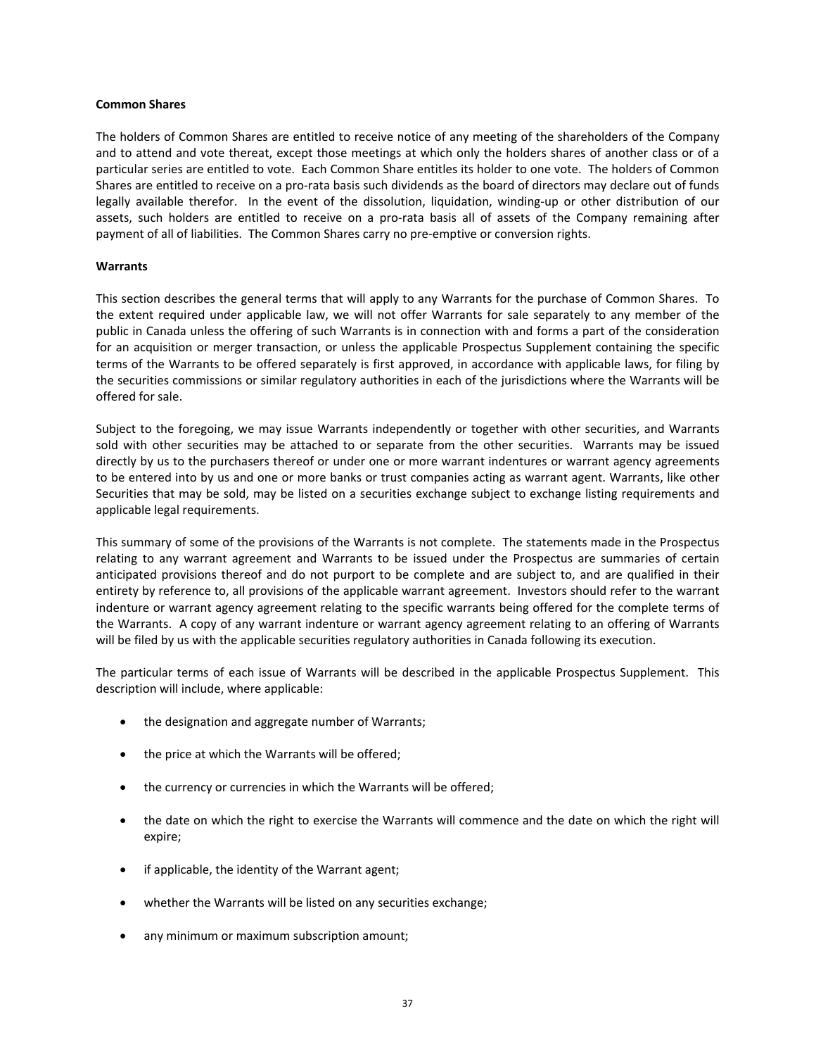#### **Common Shares**

The holders of Common Shares are entitled to receive notice of any meeting of the shareholders of the Company and to attend and vote thereat, except those meetings at which only the holders shares of another class or of a particular series are entitled to vote. Each Common Share entitles its holder to one vote. The holders of Common Shares are entitled to receive on a pro-rata basis such dividends as the board of directors may declare out of funds legally available therefor. In the event of the dissolution, liquidation, winding-up or other distribution of our assets, such holders are entitled to receive on a pro-rata basis all of assets of the Company remaining after payment of all of liabilities. The Common Shares carry no pre-emptive or conversion rights.

#### **Warrants**

This section describes the general terms that will apply to any Warrants for the purchase of Common Shares. To the extent required under applicable law, we will not offer Warrants for sale separately to any member of the public in Canada unless the offering of such Warrants is in connection with and forms a part of the consideration for an acquisition or merger transaction, or unless the applicable Prospectus Supplement containing the specific terms of the Warrants to be offered separately is first approved, in accordance with applicable laws, for filing by the securities commissions or similar regulatory authorities in each of the jurisdictions where the Warrants will be offered for sale.

Subject to the foregoing, we may issue Warrants independently or together with other securities, and Warrants sold with other securities may be attached to or separate from the other securities. Warrants may be issued directly by us to the purchasers thereof or under one or more warrant indentures or warrant agency agreements to be entered into by us and one or more banks or trust companies acting as warrant agent. Warrants, like other Securities that may be sold, may be listed on a securities exchange subject to exchange listing requirements and applicable legal requirements.

This summary of some of the provisions of the Warrants is not complete. The statements made in the Prospectus relating to any warrant agreement and Warrants to be issued under the Prospectus are summaries of certain anticipated provisions thereof and do not purport to be complete and are subject to, and are qualified in their entirety by reference to, all provisions of the applicable warrant agreement. Investors should refer to the warrant indenture or warrant agency agreement relating to the specific warrants being offered for the complete terms of the Warrants. A copy of any warrant indenture or warrant agency agreement relating to an offering of Warrants will be filed by us with the applicable securities regulatory authorities in Canada following its execution.

The particular terms of each issue of Warrants will be described in the applicable Prospectus Supplement. This description will include, where applicable:

- the designation and aggregate number of Warrants;
- the price at which the Warrants will be offered;
- the currency or currencies in which the Warrants will be offered;
- the date on which the right to exercise the Warrants will commence and the date on which the right will expire;
- if applicable, the identity of the Warrant agent;
- whether the Warrants will be listed on any securities exchange;
- any minimum or maximum subscription amount;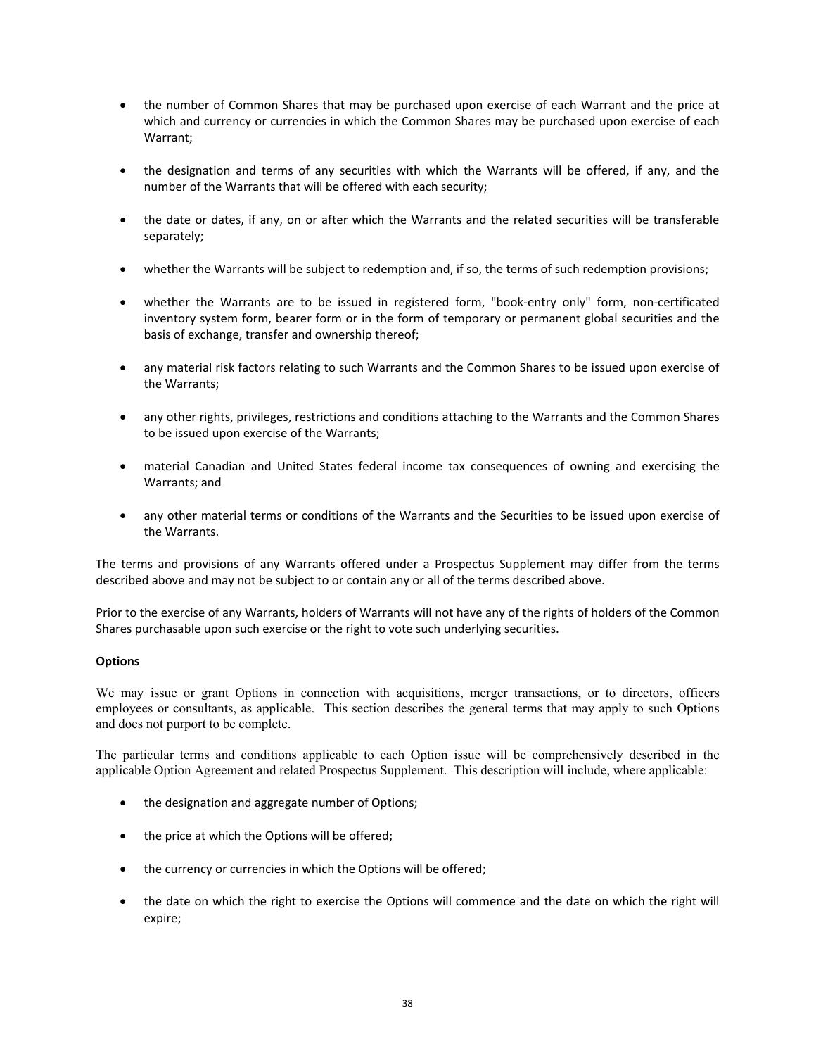- the number of Common Shares that may be purchased upon exercise of each Warrant and the price at which and currency or currencies in which the Common Shares may be purchased upon exercise of each Warrant;
- the designation and terms of any securities with which the Warrants will be offered, if any, and the number of the Warrants that will be offered with each security;
- the date or dates, if any, on or after which the Warrants and the related securities will be transferable separately;
- whether the Warrants will be subject to redemption and, if so, the terms of such redemption provisions;
- whether the Warrants are to be issued in registered form, "book-entry only" form, non-certificated inventory system form, bearer form or in the form of temporary or permanent global securities and the basis of exchange, transfer and ownership thereof;
- any material risk factors relating to such Warrants and the Common Shares to be issued upon exercise of the Warrants;
- any other rights, privileges, restrictions and conditions attaching to the Warrants and the Common Shares to be issued upon exercise of the Warrants;
- material Canadian and United States federal income tax consequences of owning and exercising the Warrants; and
- any other material terms or conditions of the Warrants and the Securities to be issued upon exercise of the Warrants.

The terms and provisions of any Warrants offered under a Prospectus Supplement may differ from the terms described above and may not be subject to or contain any or all of the terms described above.

Prior to the exercise of any Warrants, holders of Warrants will not have any of the rights of holders of the Common Shares purchasable upon such exercise or the right to vote such underlying securities.

# **Options**

We may issue or grant Options in connection with acquisitions, merger transactions, or to directors, officers employees or consultants, as applicable. This section describes the general terms that may apply to such Options and does not purport to be complete.

The particular terms and conditions applicable to each Option issue will be comprehensively described in the applicable Option Agreement and related Prospectus Supplement. This description will include, where applicable:

- the designation and aggregate number of Options;
- the price at which the Options will be offered;
- the currency or currencies in which the Options will be offered;
- the date on which the right to exercise the Options will commence and the date on which the right will expire;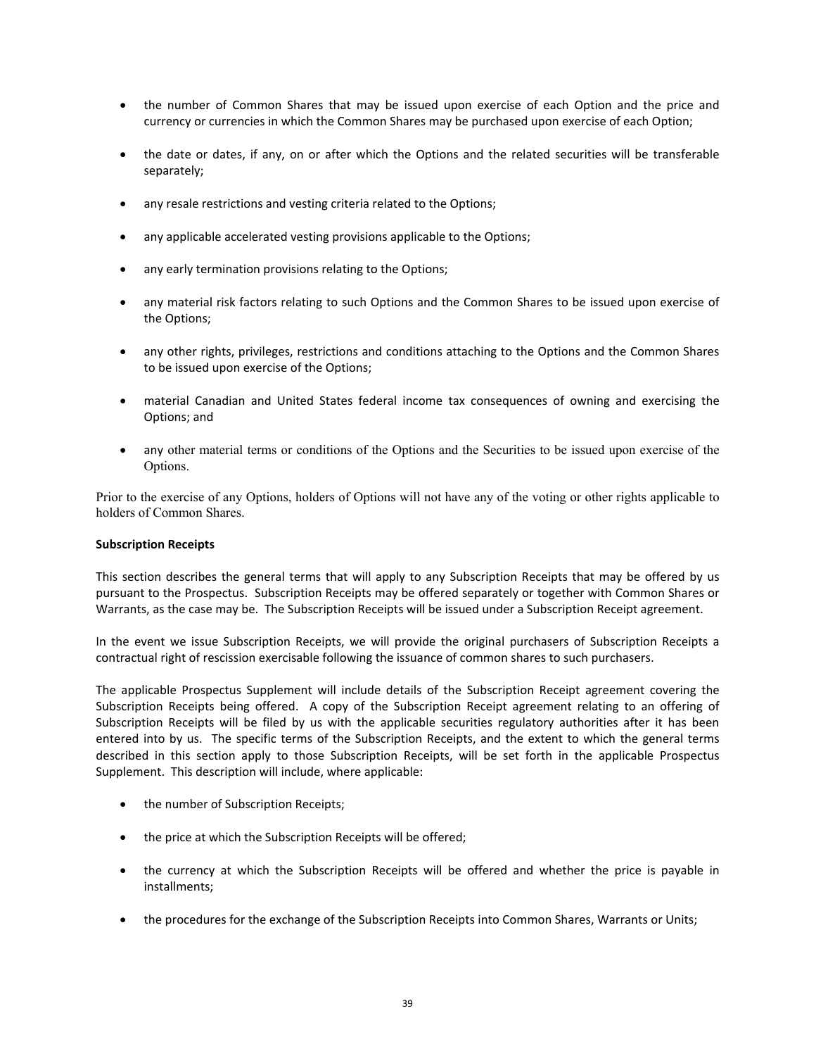- the number of Common Shares that may be issued upon exercise of each Option and the price and currency or currencies in which the Common Shares may be purchased upon exercise of each Option;
- the date or dates, if any, on or after which the Options and the related securities will be transferable separately;
- any resale restrictions and vesting criteria related to the Options;
- any applicable accelerated vesting provisions applicable to the Options;
- any early termination provisions relating to the Options;
- any material risk factors relating to such Options and the Common Shares to be issued upon exercise of the Options;
- any other rights, privileges, restrictions and conditions attaching to the Options and the Common Shares to be issued upon exercise of the Options;
- material Canadian and United States federal income tax consequences of owning and exercising the Options; and
- any other material terms or conditions of the Options and the Securities to be issued upon exercise of the Options.

Prior to the exercise of any Options, holders of Options will not have any of the voting or other rights applicable to holders of Common Shares.

# **Subscription Receipts**

This section describes the general terms that will apply to any Subscription Receipts that may be offered by us pursuant to the Prospectus. Subscription Receipts may be offered separately or together with Common Shares or Warrants, as the case may be. The Subscription Receipts will be issued under a Subscription Receipt agreement.

In the event we issue Subscription Receipts, we will provide the original purchasers of Subscription Receipts a contractual right of rescission exercisable following the issuance of common shares to such purchasers.

The applicable Prospectus Supplement will include details of the Subscription Receipt agreement covering the Subscription Receipts being offered. A copy of the Subscription Receipt agreement relating to an offering of Subscription Receipts will be filed by us with the applicable securities regulatory authorities after it has been entered into by us. The specific terms of the Subscription Receipts, and the extent to which the general terms described in this section apply to those Subscription Receipts, will be set forth in the applicable Prospectus Supplement. This description will include, where applicable:

- the number of Subscription Receipts;
- the price at which the Subscription Receipts will be offered;
- the currency at which the Subscription Receipts will be offered and whether the price is payable in installments;
- the procedures for the exchange of the Subscription Receipts into Common Shares, Warrants or Units;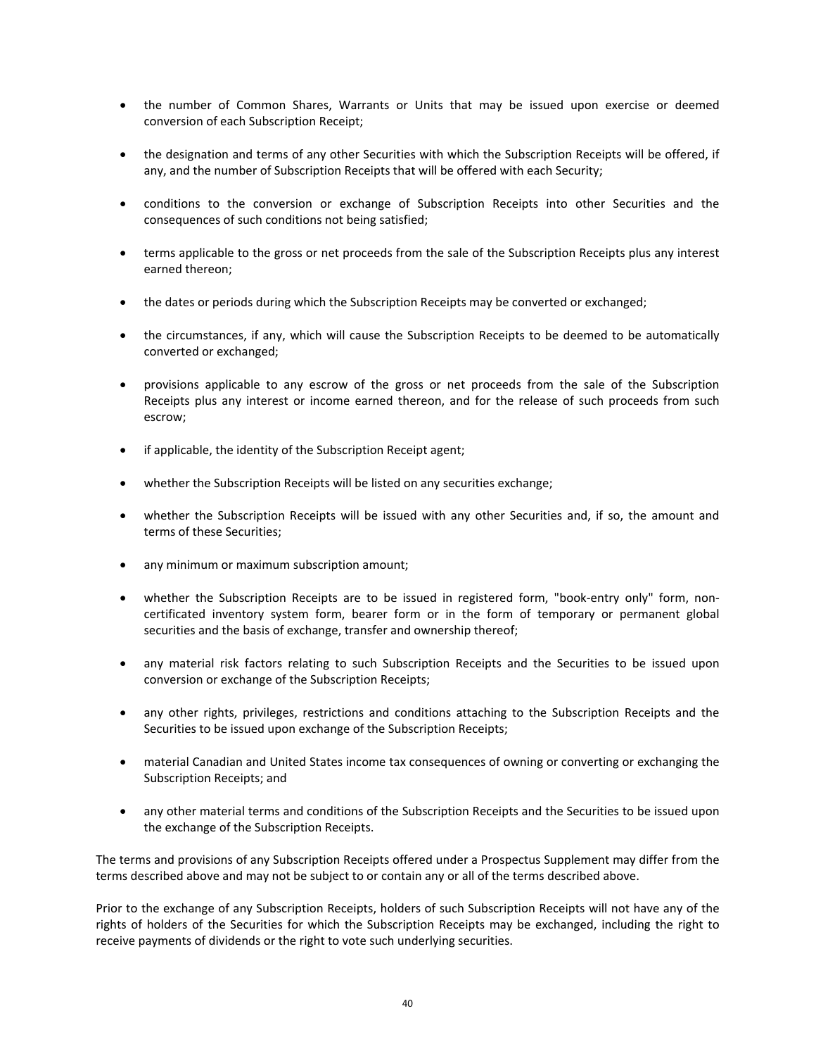- the number of Common Shares, Warrants or Units that may be issued upon exercise or deemed conversion of each Subscription Receipt;
- the designation and terms of any other Securities with which the Subscription Receipts will be offered, if any, and the number of Subscription Receipts that will be offered with each Security;
- conditions to the conversion or exchange of Subscription Receipts into other Securities and the consequences of such conditions not being satisfied;
- terms applicable to the gross or net proceeds from the sale of the Subscription Receipts plus any interest earned thereon;
- the dates or periods during which the Subscription Receipts may be converted or exchanged;
- the circumstances, if any, which will cause the Subscription Receipts to be deemed to be automatically converted or exchanged;
- provisions applicable to any escrow of the gross or net proceeds from the sale of the Subscription Receipts plus any interest or income earned thereon, and for the release of such proceeds from such escrow;
- if applicable, the identity of the Subscription Receipt agent;
- whether the Subscription Receipts will be listed on any securities exchange;
- whether the Subscription Receipts will be issued with any other Securities and, if so, the amount and terms of these Securities;
- any minimum or maximum subscription amount;
- whether the Subscription Receipts are to be issued in registered form, "book-entry only" form, noncertificated inventory system form, bearer form or in the form of temporary or permanent global securities and the basis of exchange, transfer and ownership thereof;
- any material risk factors relating to such Subscription Receipts and the Securities to be issued upon conversion or exchange of the Subscription Receipts;
- any other rights, privileges, restrictions and conditions attaching to the Subscription Receipts and the Securities to be issued upon exchange of the Subscription Receipts;
- material Canadian and United States income tax consequences of owning or converting or exchanging the Subscription Receipts; and
- any other material terms and conditions of the Subscription Receipts and the Securities to be issued upon the exchange of the Subscription Receipts.

The terms and provisions of any Subscription Receipts offered under a Prospectus Supplement may differ from the terms described above and may not be subject to or contain any or all of the terms described above.

Prior to the exchange of any Subscription Receipts, holders of such Subscription Receipts will not have any of the rights of holders of the Securities for which the Subscription Receipts may be exchanged, including the right to receive payments of dividends or the right to vote such underlying securities.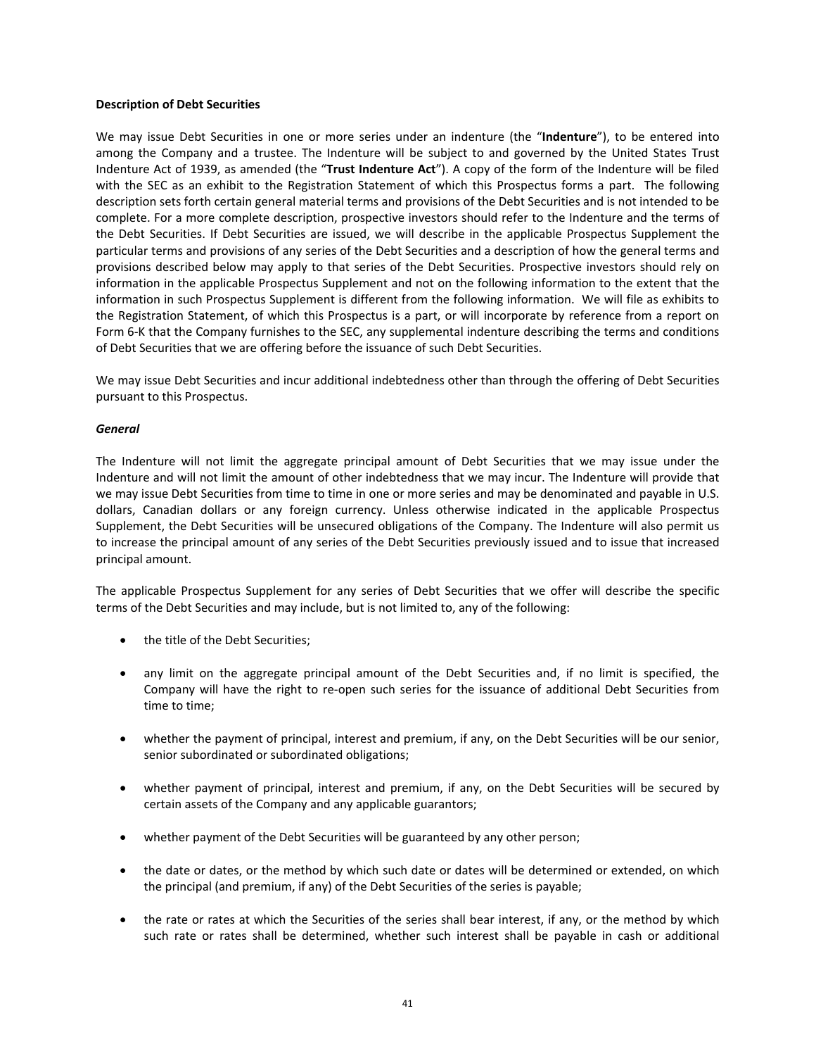#### **Description of Debt Securities**

We may issue Debt Securities in one or more series under an indenture (the "**Indenture**"), to be entered into among the Company and a trustee. The Indenture will be subject to and governed by the United States Trust Indenture Act of 1939, as amended (the "**Trust Indenture Act**"). A copy of the form of the Indenture will be filed with the SEC as an exhibit to the Registration Statement of which this Prospectus forms a part. The following description sets forth certain general material terms and provisions of the Debt Securities and is not intended to be complete. For a more complete description, prospective investors should refer to the Indenture and the terms of the Debt Securities. If Debt Securities are issued, we will describe in the applicable Prospectus Supplement the particular terms and provisions of any series of the Debt Securities and a description of how the general terms and provisions described below may apply to that series of the Debt Securities. Prospective investors should rely on information in the applicable Prospectus Supplement and not on the following information to the extent that the information in such Prospectus Supplement is different from the following information. We will file as exhibits to the Registration Statement, of which this Prospectus is a part, or will incorporate by reference from a report on Form 6‐K that the Company furnishes to the SEC, any supplemental indenture describing the terms and conditions of Debt Securities that we are offering before the issuance of such Debt Securities.

We may issue Debt Securities and incur additional indebtedness other than through the offering of Debt Securities pursuant to this Prospectus.

## *General*

The Indenture will not limit the aggregate principal amount of Debt Securities that we may issue under the Indenture and will not limit the amount of other indebtedness that we may incur. The Indenture will provide that we may issue Debt Securities from time to time in one or more series and may be denominated and payable in U.S. dollars, Canadian dollars or any foreign currency. Unless otherwise indicated in the applicable Prospectus Supplement, the Debt Securities will be unsecured obligations of the Company. The Indenture will also permit us to increase the principal amount of any series of the Debt Securities previously issued and to issue that increased principal amount.

The applicable Prospectus Supplement for any series of Debt Securities that we offer will describe the specific terms of the Debt Securities and may include, but is not limited to, any of the following:

- the title of the Debt Securities:
- any limit on the aggregate principal amount of the Debt Securities and, if no limit is specified, the Company will have the right to re-open such series for the issuance of additional Debt Securities from time to time;
- whether the payment of principal, interest and premium, if any, on the Debt Securities will be our senior, senior subordinated or subordinated obligations;
- whether payment of principal, interest and premium, if any, on the Debt Securities will be secured by certain assets of the Company and any applicable guarantors;
- whether payment of the Debt Securities will be guaranteed by any other person;
- the date or dates, or the method by which such date or dates will be determined or extended, on which the principal (and premium, if any) of the Debt Securities of the series is payable;
- the rate or rates at which the Securities of the series shall bear interest, if any, or the method by which such rate or rates shall be determined, whether such interest shall be payable in cash or additional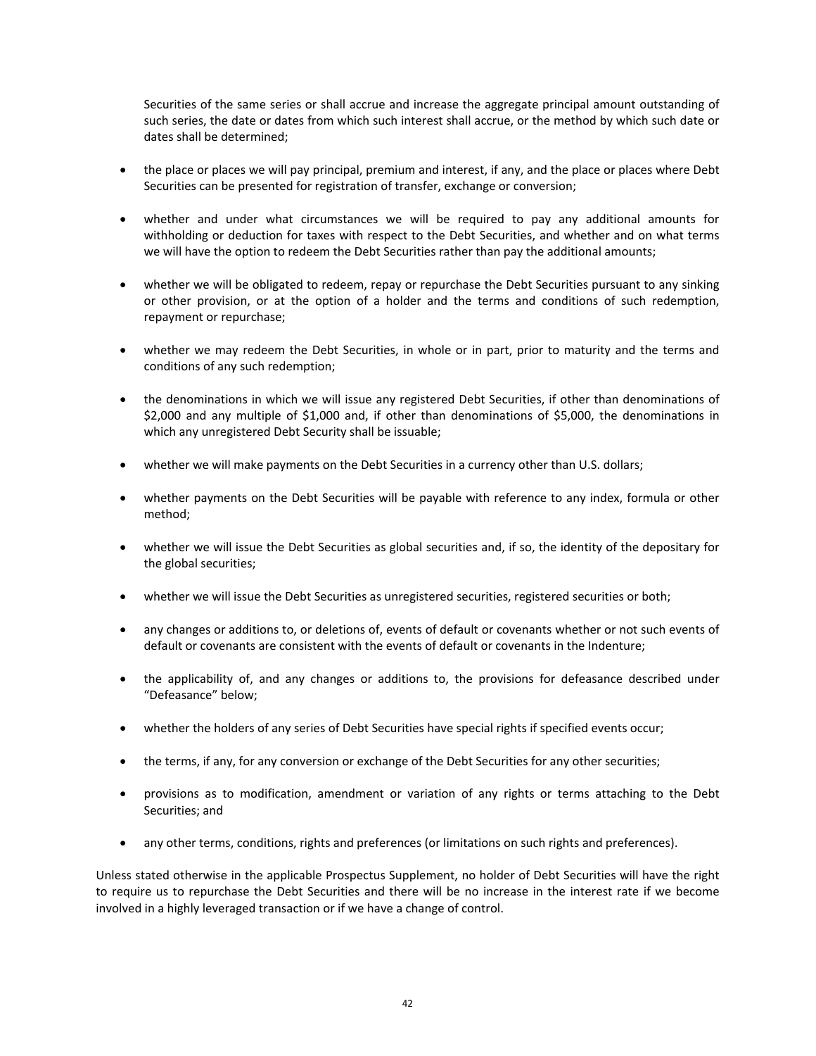Securities of the same series or shall accrue and increase the aggregate principal amount outstanding of such series, the date or dates from which such interest shall accrue, or the method by which such date or dates shall be determined;

- the place or places we will pay principal, premium and interest, if any, and the place or places where Debt Securities can be presented for registration of transfer, exchange or conversion;
- whether and under what circumstances we will be required to pay any additional amounts for withholding or deduction for taxes with respect to the Debt Securities, and whether and on what terms we will have the option to redeem the Debt Securities rather than pay the additional amounts;
- whether we will be obligated to redeem, repay or repurchase the Debt Securities pursuant to any sinking or other provision, or at the option of a holder and the terms and conditions of such redemption, repayment or repurchase;
- whether we may redeem the Debt Securities, in whole or in part, prior to maturity and the terms and conditions of any such redemption;
- the denominations in which we will issue any registered Debt Securities, if other than denominations of \$2,000 and any multiple of \$1,000 and, if other than denominations of \$5,000, the denominations in which any unregistered Debt Security shall be issuable;
- whether we will make payments on the Debt Securities in a currency other than U.S. dollars;
- whether payments on the Debt Securities will be payable with reference to any index, formula or other method;
- whether we will issue the Debt Securities as global securities and, if so, the identity of the depositary for the global securities;
- whether we will issue the Debt Securities as unregistered securities, registered securities or both;
- any changes or additions to, or deletions of, events of default or covenants whether or not such events of default or covenants are consistent with the events of default or covenants in the Indenture;
- the applicability of, and any changes or additions to, the provisions for defeasance described under "Defeasance" below;
- whether the holders of any series of Debt Securities have special rights if specified events occur;
- the terms, if any, for any conversion or exchange of the Debt Securities for any other securities;
- provisions as to modification, amendment or variation of any rights or terms attaching to the Debt Securities; and
- any other terms, conditions, rights and preferences (or limitations on such rights and preferences).

Unless stated otherwise in the applicable Prospectus Supplement, no holder of Debt Securities will have the right to require us to repurchase the Debt Securities and there will be no increase in the interest rate if we become involved in a highly leveraged transaction or if we have a change of control.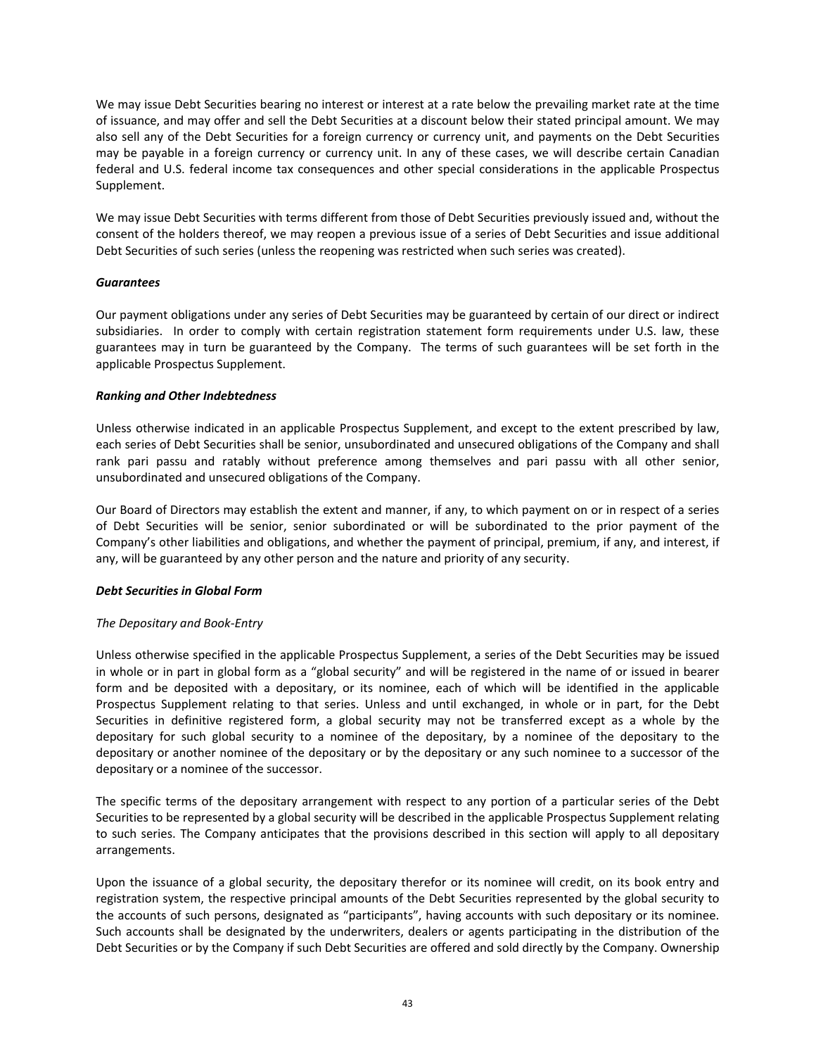We may issue Debt Securities bearing no interest or interest at a rate below the prevailing market rate at the time of issuance, and may offer and sell the Debt Securities at a discount below their stated principal amount. We may also sell any of the Debt Securities for a foreign currency or currency unit, and payments on the Debt Securities may be payable in a foreign currency or currency unit. In any of these cases, we will describe certain Canadian federal and U.S. federal income tax consequences and other special considerations in the applicable Prospectus Supplement.

We may issue Debt Securities with terms different from those of Debt Securities previously issued and, without the consent of the holders thereof, we may reopen a previous issue of a series of Debt Securities and issue additional Debt Securities of such series (unless the reopening was restricted when such series was created).

## *Guarantees*

Our payment obligations under any series of Debt Securities may be guaranteed by certain of our direct or indirect subsidiaries. In order to comply with certain registration statement form requirements under U.S. law, these guarantees may in turn be guaranteed by the Company. The terms of such guarantees will be set forth in the applicable Prospectus Supplement.

## *Ranking and Other Indebtedness*

Unless otherwise indicated in an applicable Prospectus Supplement, and except to the extent prescribed by law, each series of Debt Securities shall be senior, unsubordinated and unsecured obligations of the Company and shall rank pari passu and ratably without preference among themselves and pari passu with all other senior, unsubordinated and unsecured obligations of the Company.

Our Board of Directors may establish the extent and manner, if any, to which payment on or in respect of a series of Debt Securities will be senior, senior subordinated or will be subordinated to the prior payment of the Company's other liabilities and obligations, and whether the payment of principal, premium, if any, and interest, if any, will be guaranteed by any other person and the nature and priority of any security.

# *Debt Securities in Global Form*

# *The Depositary and Book‐Entry*

Unless otherwise specified in the applicable Prospectus Supplement, a series of the Debt Securities may be issued in whole or in part in global form as a "global security" and will be registered in the name of or issued in bearer form and be deposited with a depositary, or its nominee, each of which will be identified in the applicable Prospectus Supplement relating to that series. Unless and until exchanged, in whole or in part, for the Debt Securities in definitive registered form, a global security may not be transferred except as a whole by the depositary for such global security to a nominee of the depositary, by a nominee of the depositary to the depositary or another nominee of the depositary or by the depositary or any such nominee to a successor of the depositary or a nominee of the successor.

The specific terms of the depositary arrangement with respect to any portion of a particular series of the Debt Securities to be represented by a global security will be described in the applicable Prospectus Supplement relating to such series. The Company anticipates that the provisions described in this section will apply to all depositary arrangements.

Upon the issuance of a global security, the depositary therefor or its nominee will credit, on its book entry and registration system, the respective principal amounts of the Debt Securities represented by the global security to the accounts of such persons, designated as "participants", having accounts with such depositary or its nominee. Such accounts shall be designated by the underwriters, dealers or agents participating in the distribution of the Debt Securities or by the Company if such Debt Securities are offered and sold directly by the Company. Ownership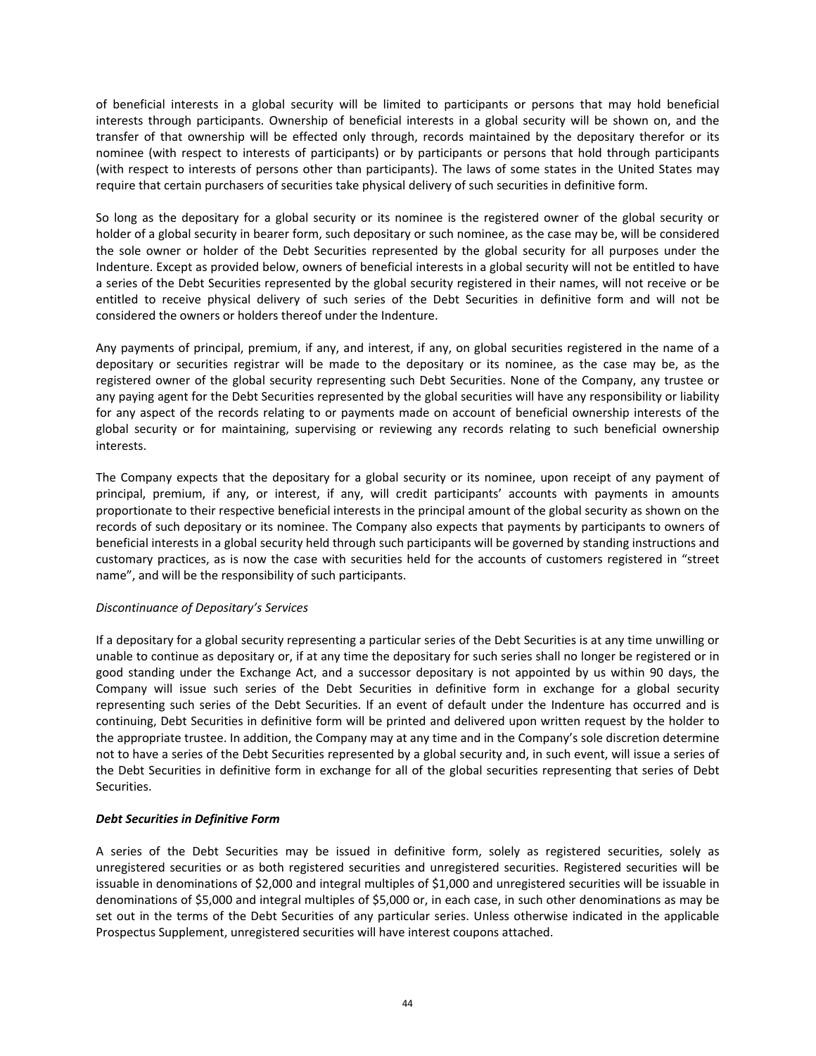of beneficial interests in a global security will be limited to participants or persons that may hold beneficial interests through participants. Ownership of beneficial interests in a global security will be shown on, and the transfer of that ownership will be effected only through, records maintained by the depositary therefor or its nominee (with respect to interests of participants) or by participants or persons that hold through participants (with respect to interests of persons other than participants). The laws of some states in the United States may require that certain purchasers of securities take physical delivery of such securities in definitive form.

So long as the depositary for a global security or its nominee is the registered owner of the global security or holder of a global security in bearer form, such depositary or such nominee, as the case may be, will be considered the sole owner or holder of the Debt Securities represented by the global security for all purposes under the Indenture. Except as provided below, owners of beneficial interests in a global security will not be entitled to have a series of the Debt Securities represented by the global security registered in their names, will not receive or be entitled to receive physical delivery of such series of the Debt Securities in definitive form and will not be considered the owners or holders thereof under the Indenture.

Any payments of principal, premium, if any, and interest, if any, on global securities registered in the name of a depositary or securities registrar will be made to the depositary or its nominee, as the case may be, as the registered owner of the global security representing such Debt Securities. None of the Company, any trustee or any paying agent for the Debt Securities represented by the global securities will have any responsibility or liability for any aspect of the records relating to or payments made on account of beneficial ownership interests of the global security or for maintaining, supervising or reviewing any records relating to such beneficial ownership interests.

The Company expects that the depositary for a global security or its nominee, upon receipt of any payment of principal, premium, if any, or interest, if any, will credit participants' accounts with payments in amounts proportionate to their respective beneficial interests in the principal amount of the global security as shown on the records of such depositary or its nominee. The Company also expects that payments by participants to owners of beneficial interests in a global security held through such participants will be governed by standing instructions and customary practices, as is now the case with securities held for the accounts of customers registered in "street name", and will be the responsibility of such participants.

# *Discontinuance of Depositary's Services*

If a depositary for a global security representing a particular series of the Debt Securities is at any time unwilling or unable to continue as depositary or, if at any time the depositary for such series shall no longer be registered or in good standing under the Exchange Act, and a successor depositary is not appointed by us within 90 days, the Company will issue such series of the Debt Securities in definitive form in exchange for a global security representing such series of the Debt Securities. If an event of default under the Indenture has occurred and is continuing, Debt Securities in definitive form will be printed and delivered upon written request by the holder to the appropriate trustee. In addition, the Company may at any time and in the Company's sole discretion determine not to have a series of the Debt Securities represented by a global security and, in such event, will issue a series of the Debt Securities in definitive form in exchange for all of the global securities representing that series of Debt Securities.

# *Debt Securities in Definitive Form*

A series of the Debt Securities may be issued in definitive form, solely as registered securities, solely as unregistered securities or as both registered securities and unregistered securities. Registered securities will be issuable in denominations of \$2,000 and integral multiples of \$1,000 and unregistered securities will be issuable in denominations of \$5,000 and integral multiples of \$5,000 or, in each case, in such other denominations as may be set out in the terms of the Debt Securities of any particular series. Unless otherwise indicated in the applicable Prospectus Supplement, unregistered securities will have interest coupons attached.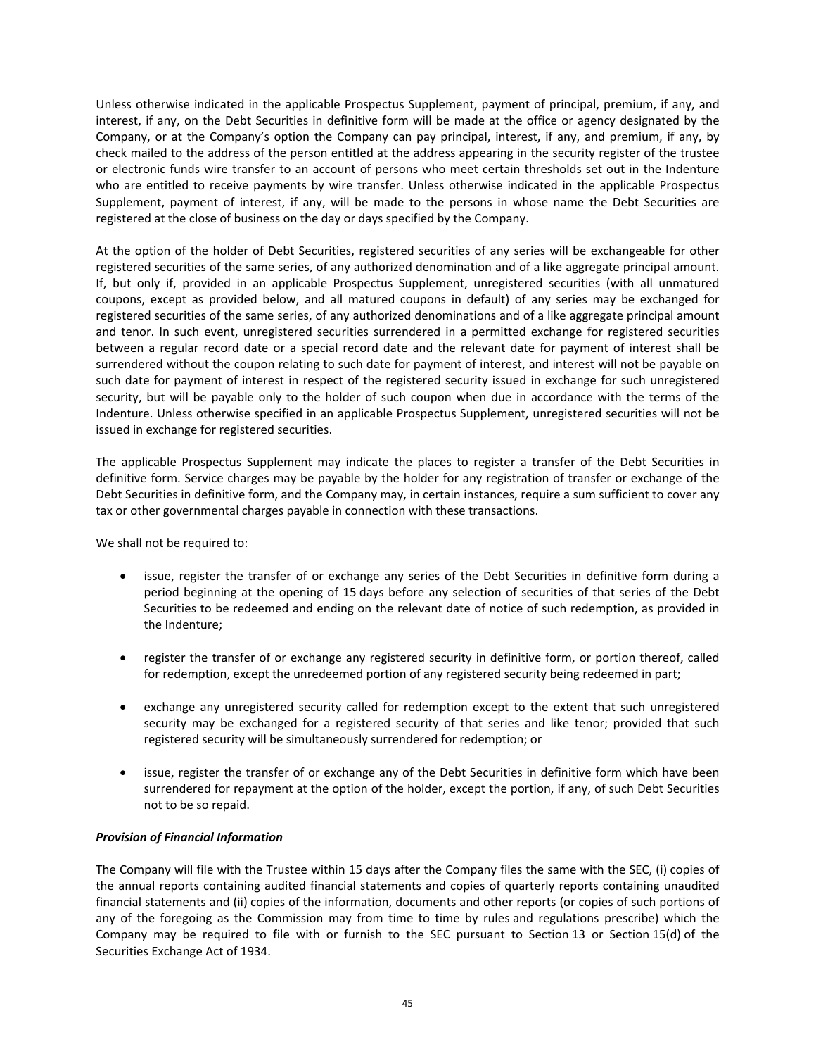Unless otherwise indicated in the applicable Prospectus Supplement, payment of principal, premium, if any, and interest, if any, on the Debt Securities in definitive form will be made at the office or agency designated by the Company, or at the Company's option the Company can pay principal, interest, if any, and premium, if any, by check mailed to the address of the person entitled at the address appearing in the security register of the trustee or electronic funds wire transfer to an account of persons who meet certain thresholds set out in the Indenture who are entitled to receive payments by wire transfer. Unless otherwise indicated in the applicable Prospectus Supplement, payment of interest, if any, will be made to the persons in whose name the Debt Securities are registered at the close of business on the day or days specified by the Company.

At the option of the holder of Debt Securities, registered securities of any series will be exchangeable for other registered securities of the same series, of any authorized denomination and of a like aggregate principal amount. If, but only if, provided in an applicable Prospectus Supplement, unregistered securities (with all unmatured coupons, except as provided below, and all matured coupons in default) of any series may be exchanged for registered securities of the same series, of any authorized denominations and of a like aggregate principal amount and tenor. In such event, unregistered securities surrendered in a permitted exchange for registered securities between a regular record date or a special record date and the relevant date for payment of interest shall be surrendered without the coupon relating to such date for payment of interest, and interest will not be payable on such date for payment of interest in respect of the registered security issued in exchange for such unregistered security, but will be payable only to the holder of such coupon when due in accordance with the terms of the Indenture. Unless otherwise specified in an applicable Prospectus Supplement, unregistered securities will not be issued in exchange for registered securities.

The applicable Prospectus Supplement may indicate the places to register a transfer of the Debt Securities in definitive form. Service charges may be payable by the holder for any registration of transfer or exchange of the Debt Securities in definitive form, and the Company may, in certain instances, require a sum sufficient to cover any tax or other governmental charges payable in connection with these transactions.

We shall not be required to:

- issue, register the transfer of or exchange any series of the Debt Securities in definitive form during a period beginning at the opening of 15 days before any selection of securities of that series of the Debt Securities to be redeemed and ending on the relevant date of notice of such redemption, as provided in the Indenture;
- register the transfer of or exchange any registered security in definitive form, or portion thereof, called for redemption, except the unredeemed portion of any registered security being redeemed in part;
- exchange any unregistered security called for redemption except to the extent that such unregistered security may be exchanged for a registered security of that series and like tenor; provided that such registered security will be simultaneously surrendered for redemption; or
- issue, register the transfer of or exchange any of the Debt Securities in definitive form which have been surrendered for repayment at the option of the holder, except the portion, if any, of such Debt Securities not to be so repaid.

# *Provision of Financial Information*

The Company will file with the Trustee within 15 days after the Company files the same with the SEC, (i) copies of the annual reports containing audited financial statements and copies of quarterly reports containing unaudited financial statements and (ii) copies of the information, documents and other reports (or copies of such portions of any of the foregoing as the Commission may from time to time by rules and regulations prescribe) which the Company may be required to file with or furnish to the SEC pursuant to Section 13 or Section 15(d) of the Securities Exchange Act of 1934.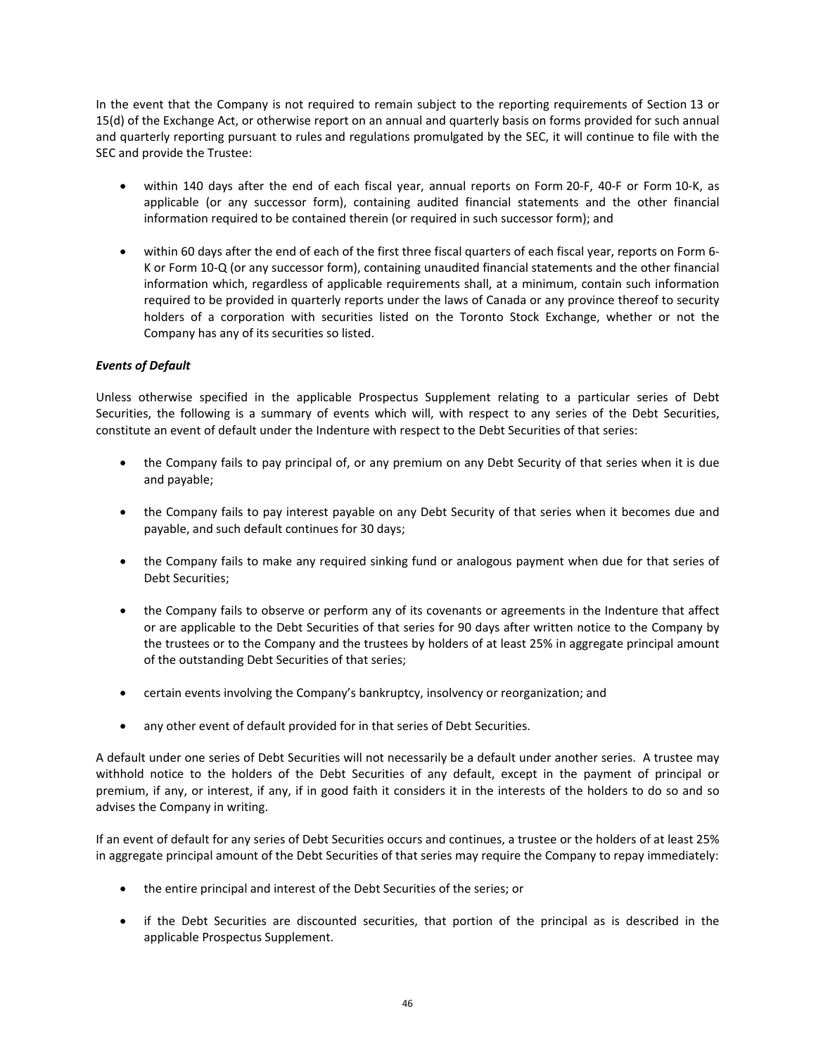In the event that the Company is not required to remain subject to the reporting requirements of Section 13 or 15(d) of the Exchange Act, or otherwise report on an annual and quarterly basis on forms provided for such annual and quarterly reporting pursuant to rules and regulations promulgated by the SEC, it will continue to file with the SEC and provide the Trustee:

- within 140 days after the end of each fiscal year, annual reports on Form 20-F, 40-F or Form 10-K, as applicable (or any successor form), containing audited financial statements and the other financial information required to be contained therein (or required in such successor form); and
- within 60 days after the end of each of the first three fiscal quarters of each fiscal year, reports on Form 6‐ K or Form 10‐Q (or any successor form), containing unaudited financial statements and the other financial information which, regardless of applicable requirements shall, at a minimum, contain such information required to be provided in quarterly reports under the laws of Canada or any province thereof to security holders of a corporation with securities listed on the Toronto Stock Exchange, whether or not the Company has any of its securities so listed.

# *Events of Default*

Unless otherwise specified in the applicable Prospectus Supplement relating to a particular series of Debt Securities, the following is a summary of events which will, with respect to any series of the Debt Securities, constitute an event of default under the Indenture with respect to the Debt Securities of that series:

- the Company fails to pay principal of, or any premium on any Debt Security of that series when it is due and payable;
- the Company fails to pay interest payable on any Debt Security of that series when it becomes due and payable, and such default continues for 30 days;
- the Company fails to make any required sinking fund or analogous payment when due for that series of Debt Securities;
- the Company fails to observe or perform any of its covenants or agreements in the Indenture that affect or are applicable to the Debt Securities of that series for 90 days after written notice to the Company by the trustees or to the Company and the trustees by holders of at least 25% in aggregate principal amount of the outstanding Debt Securities of that series;
- certain events involving the Company's bankruptcy, insolvency or reorganization; and
- any other event of default provided for in that series of Debt Securities.

A default under one series of Debt Securities will not necessarily be a default under another series. A trustee may withhold notice to the holders of the Debt Securities of any default, except in the payment of principal or premium, if any, or interest, if any, if in good faith it considers it in the interests of the holders to do so and so advises the Company in writing.

If an event of default for any series of Debt Securities occurs and continues, a trustee or the holders of at least 25% in aggregate principal amount of the Debt Securities of that series may require the Company to repay immediately:

- the entire principal and interest of the Debt Securities of the series; or
- if the Debt Securities are discounted securities, that portion of the principal as is described in the applicable Prospectus Supplement.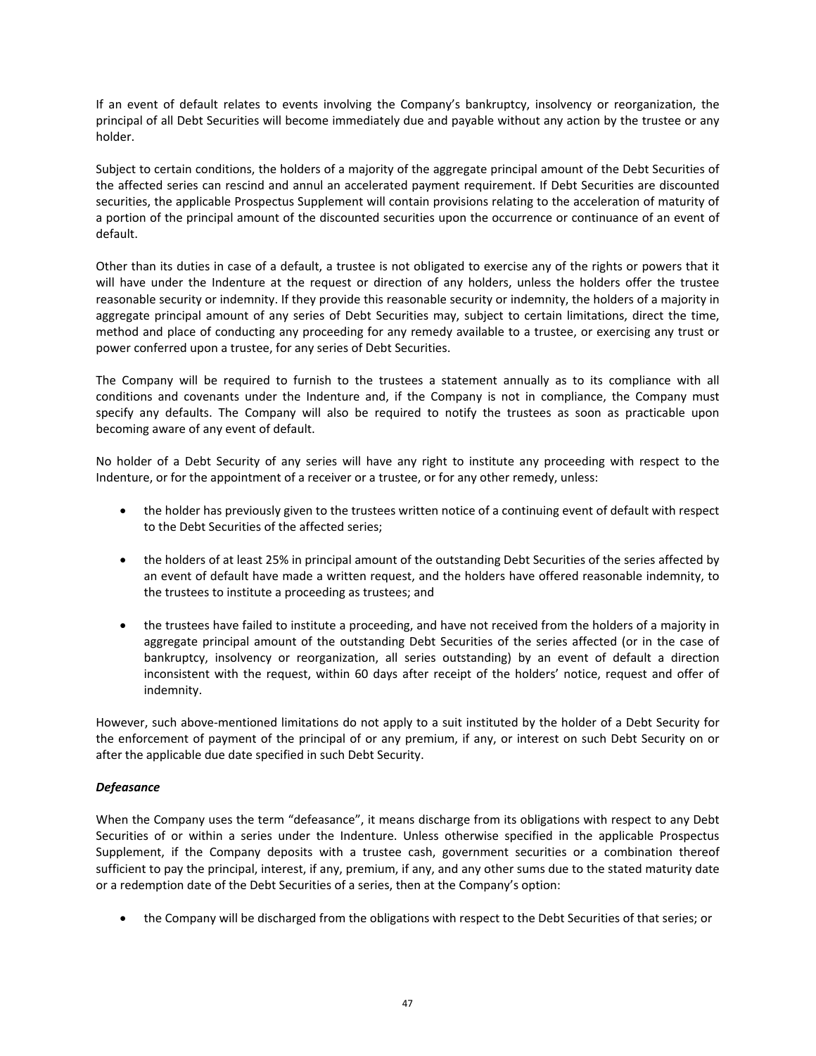If an event of default relates to events involving the Company's bankruptcy, insolvency or reorganization, the principal of all Debt Securities will become immediately due and payable without any action by the trustee or any holder.

Subject to certain conditions, the holders of a majority of the aggregate principal amount of the Debt Securities of the affected series can rescind and annul an accelerated payment requirement. If Debt Securities are discounted securities, the applicable Prospectus Supplement will contain provisions relating to the acceleration of maturity of a portion of the principal amount of the discounted securities upon the occurrence or continuance of an event of default.

Other than its duties in case of a default, a trustee is not obligated to exercise any of the rights or powers that it will have under the Indenture at the request or direction of any holders, unless the holders offer the trustee reasonable security or indemnity. If they provide this reasonable security or indemnity, the holders of a majority in aggregate principal amount of any series of Debt Securities may, subject to certain limitations, direct the time, method and place of conducting any proceeding for any remedy available to a trustee, or exercising any trust or power conferred upon a trustee, for any series of Debt Securities.

The Company will be required to furnish to the trustees a statement annually as to its compliance with all conditions and covenants under the Indenture and, if the Company is not in compliance, the Company must specify any defaults. The Company will also be required to notify the trustees as soon as practicable upon becoming aware of any event of default.

No holder of a Debt Security of any series will have any right to institute any proceeding with respect to the Indenture, or for the appointment of a receiver or a trustee, or for any other remedy, unless:

- the holder has previously given to the trustees written notice of a continuing event of default with respect to the Debt Securities of the affected series;
- the holders of at least 25% in principal amount of the outstanding Debt Securities of the series affected by an event of default have made a written request, and the holders have offered reasonable indemnity, to the trustees to institute a proceeding as trustees; and
- the trustees have failed to institute a proceeding, and have not received from the holders of a majority in aggregate principal amount of the outstanding Debt Securities of the series affected (or in the case of bankruptcy, insolvency or reorganization, all series outstanding) by an event of default a direction inconsistent with the request, within 60 days after receipt of the holders' notice, request and offer of indemnity.

However, such above‐mentioned limitations do not apply to a suit instituted by the holder of a Debt Security for the enforcement of payment of the principal of or any premium, if any, or interest on such Debt Security on or after the applicable due date specified in such Debt Security.

# *Defeasance*

When the Company uses the term "defeasance", it means discharge from its obligations with respect to any Debt Securities of or within a series under the Indenture. Unless otherwise specified in the applicable Prospectus Supplement, if the Company deposits with a trustee cash, government securities or a combination thereof sufficient to pay the principal, interest, if any, premium, if any, and any other sums due to the stated maturity date or a redemption date of the Debt Securities of a series, then at the Company's option:

• the Company will be discharged from the obligations with respect to the Debt Securities of that series; or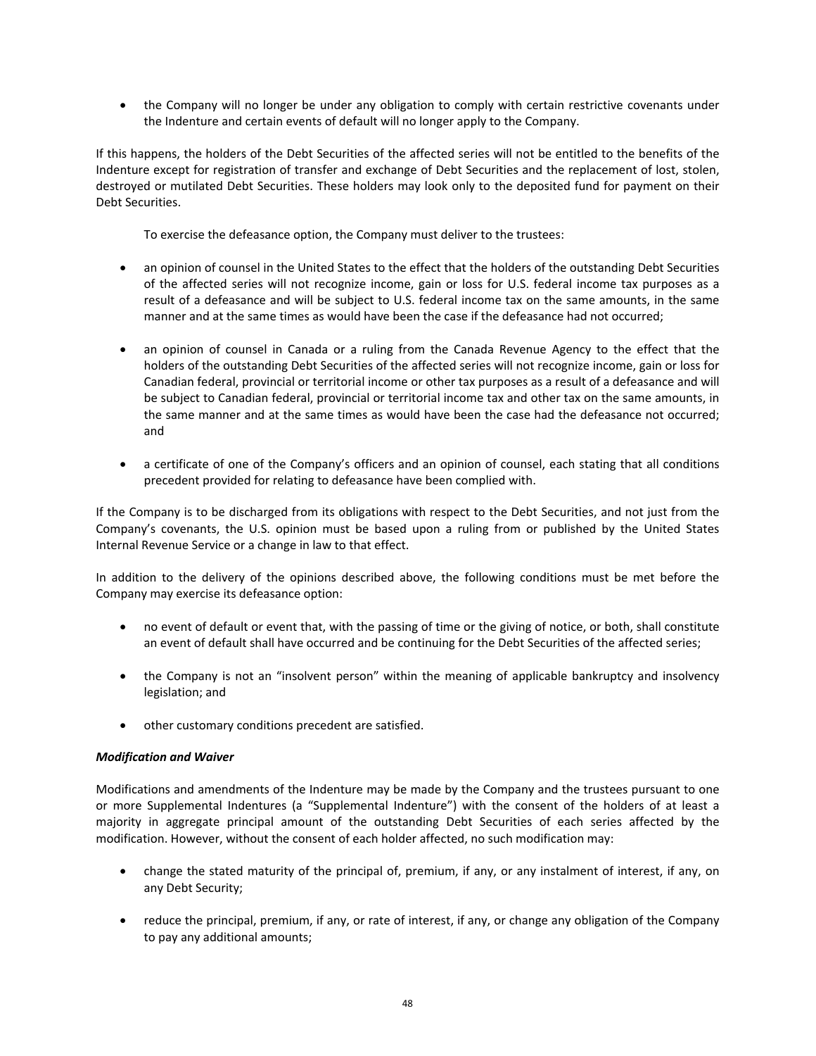• the Company will no longer be under any obligation to comply with certain restrictive covenants under the Indenture and certain events of default will no longer apply to the Company.

If this happens, the holders of the Debt Securities of the affected series will not be entitled to the benefits of the Indenture except for registration of transfer and exchange of Debt Securities and the replacement of lost, stolen, destroyed or mutilated Debt Securities. These holders may look only to the deposited fund for payment on their Debt Securities.

To exercise the defeasance option, the Company must deliver to the trustees:

- an opinion of counsel in the United States to the effect that the holders of the outstanding Debt Securities of the affected series will not recognize income, gain or loss for U.S. federal income tax purposes as a result of a defeasance and will be subject to U.S. federal income tax on the same amounts, in the same manner and at the same times as would have been the case if the defeasance had not occurred;
- an opinion of counsel in Canada or a ruling from the Canada Revenue Agency to the effect that the holders of the outstanding Debt Securities of the affected series will not recognize income, gain or loss for Canadian federal, provincial or territorial income or other tax purposes as a result of a defeasance and will be subject to Canadian federal, provincial or territorial income tax and other tax on the same amounts, in the same manner and at the same times as would have been the case had the defeasance not occurred; and
- a certificate of one of the Company's officers and an opinion of counsel, each stating that all conditions precedent provided for relating to defeasance have been complied with.

If the Company is to be discharged from its obligations with respect to the Debt Securities, and not just from the Company's covenants, the U.S. opinion must be based upon a ruling from or published by the United States Internal Revenue Service or a change in law to that effect.

In addition to the delivery of the opinions described above, the following conditions must be met before the Company may exercise its defeasance option:

- no event of default or event that, with the passing of time or the giving of notice, or both, shall constitute an event of default shall have occurred and be continuing for the Debt Securities of the affected series;
- the Company is not an "insolvent person" within the meaning of applicable bankruptcy and insolvency legislation; and
- other customary conditions precedent are satisfied.

# *Modification and Waiver*

Modifications and amendments of the Indenture may be made by the Company and the trustees pursuant to one or more Supplemental Indentures (a "Supplemental Indenture") with the consent of the holders of at least a majority in aggregate principal amount of the outstanding Debt Securities of each series affected by the modification. However, without the consent of each holder affected, no such modification may:

- change the stated maturity of the principal of, premium, if any, or any instalment of interest, if any, on any Debt Security;
- reduce the principal, premium, if any, or rate of interest, if any, or change any obligation of the Company to pay any additional amounts;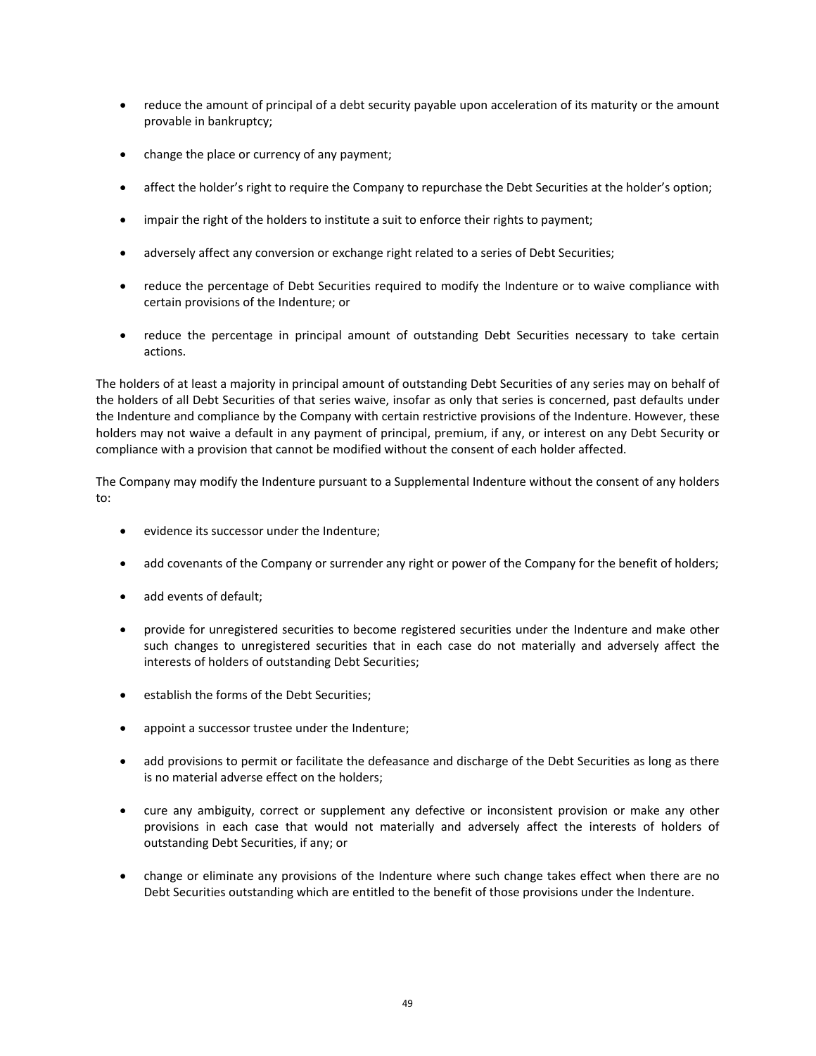- reduce the amount of principal of a debt security payable upon acceleration of its maturity or the amount provable in bankruptcy;
- change the place or currency of any payment;
- affect the holder's right to require the Company to repurchase the Debt Securities at the holder's option;
- impair the right of the holders to institute a suit to enforce their rights to payment;
- adversely affect any conversion or exchange right related to a series of Debt Securities;
- reduce the percentage of Debt Securities required to modify the Indenture or to waive compliance with certain provisions of the Indenture; or
- reduce the percentage in principal amount of outstanding Debt Securities necessary to take certain actions.

The holders of at least a majority in principal amount of outstanding Debt Securities of any series may on behalf of the holders of all Debt Securities of that series waive, insofar as only that series is concerned, past defaults under the Indenture and compliance by the Company with certain restrictive provisions of the Indenture. However, these holders may not waive a default in any payment of principal, premium, if any, or interest on any Debt Security or compliance with a provision that cannot be modified without the consent of each holder affected.

The Company may modify the Indenture pursuant to a Supplemental Indenture without the consent of any holders to:

- evidence its successor under the Indenture;
- add covenants of the Company or surrender any right or power of the Company for the benefit of holders;
- add events of default;
- provide for unregistered securities to become registered securities under the Indenture and make other such changes to unregistered securities that in each case do not materially and adversely affect the interests of holders of outstanding Debt Securities;
- establish the forms of the Debt Securities;
- appoint a successor trustee under the Indenture;
- add provisions to permit or facilitate the defeasance and discharge of the Debt Securities as long as there is no material adverse effect on the holders;
- cure any ambiguity, correct or supplement any defective or inconsistent provision or make any other provisions in each case that would not materially and adversely affect the interests of holders of outstanding Debt Securities, if any; or
- change or eliminate any provisions of the Indenture where such change takes effect when there are no Debt Securities outstanding which are entitled to the benefit of those provisions under the Indenture.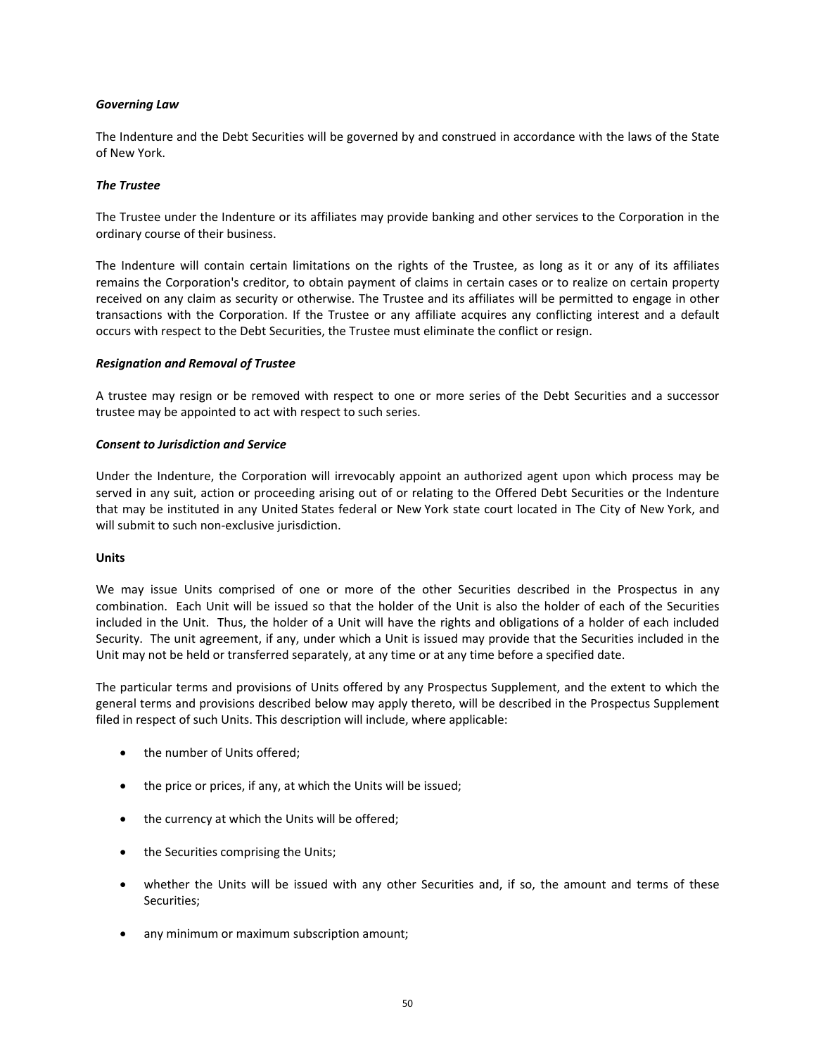## *Governing Law*

The Indenture and the Debt Securities will be governed by and construed in accordance with the laws of the State of New York.

## *The Trustee*

The Trustee under the Indenture or its affiliates may provide banking and other services to the Corporation in the ordinary course of their business.

The Indenture will contain certain limitations on the rights of the Trustee, as long as it or any of its affiliates remains the Corporation's creditor, to obtain payment of claims in certain cases or to realize on certain property received on any claim as security or otherwise. The Trustee and its affiliates will be permitted to engage in other transactions with the Corporation. If the Trustee or any affiliate acquires any conflicting interest and a default occurs with respect to the Debt Securities, the Trustee must eliminate the conflict or resign.

#### *Resignation and Removal of Trustee*

A trustee may resign or be removed with respect to one or more series of the Debt Securities and a successor trustee may be appointed to act with respect to such series.

#### *Consent to Jurisdiction and Service*

Under the Indenture, the Corporation will irrevocably appoint an authorized agent upon which process may be served in any suit, action or proceeding arising out of or relating to the Offered Debt Securities or the Indenture that may be instituted in any United States federal or New York state court located in The City of New York, and will submit to such non‐exclusive jurisdiction.

## **Units**

We may issue Units comprised of one or more of the other Securities described in the Prospectus in any combination. Each Unit will be issued so that the holder of the Unit is also the holder of each of the Securities included in the Unit. Thus, the holder of a Unit will have the rights and obligations of a holder of each included Security. The unit agreement, if any, under which a Unit is issued may provide that the Securities included in the Unit may not be held or transferred separately, at any time or at any time before a specified date.

The particular terms and provisions of Units offered by any Prospectus Supplement, and the extent to which the general terms and provisions described below may apply thereto, will be described in the Prospectus Supplement filed in respect of such Units. This description will include, where applicable:

- the number of Units offered;
- the price or prices, if any, at which the Units will be issued;
- the currency at which the Units will be offered;
- the Securities comprising the Units;
- whether the Units will be issued with any other Securities and, if so, the amount and terms of these Securities;
- any minimum or maximum subscription amount;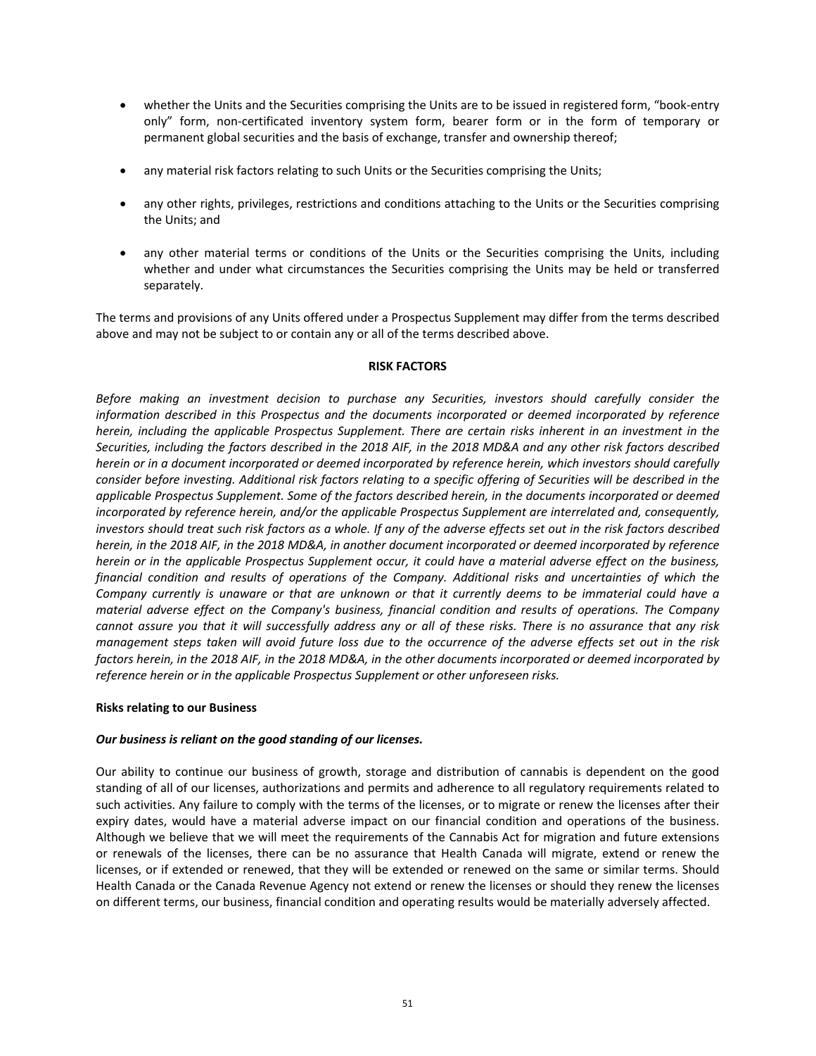- whether the Units and the Securities comprising the Units are to be issued in registered form, "book‐entry only" form, non-certificated inventory system form, bearer form or in the form of temporary or permanent global securities and the basis of exchange, transfer and ownership thereof;
- any material risk factors relating to such Units or the Securities comprising the Units;
- any other rights, privileges, restrictions and conditions attaching to the Units or the Securities comprising the Units; and
- any other material terms or conditions of the Units or the Securities comprising the Units, including whether and under what circumstances the Securities comprising the Units may be held or transferred separately.

The terms and provisions of any Units offered under a Prospectus Supplement may differ from the terms described above and may not be subject to or contain any or all of the terms described above.

## **RISK FACTORS**

*Before making an investment decision to purchase any Securities, investors should carefully consider the information described in this Prospectus and the documents incorporated or deemed incorporated by reference herein, including the applicable Prospectus Supplement. There are certain risks inherent in an investment in the Securities, including the factors described in the 2018 AIF, in the 2018 MD&A and any other risk factors described herein or in a document incorporated or deemed incorporated by reference herein, which investors should carefully consider before investing. Additional risk factors relating to a specific offering of Securities will be described in the applicable Prospectus Supplement. Some of the factors described herein, in the documents incorporated or deemed incorporated by reference herein, and/or the applicable Prospectus Supplement are interrelated and, consequently, investors should treat such risk factors as a whole. If any of the adverse effects set out in the risk factors described herein, in the 2018 AIF, in the 2018 MD&A, in another document incorporated or deemed incorporated by reference herein or in the applicable Prospectus Supplement occur, it could have a material adverse effect on the business, financial condition and results of operations of the Company. Additional risks and uncertainties of which the Company currently is unaware or that are unknown or that it currently deems to be immaterial could have a material adverse effect on the Company's business, financial condition and results of operations. The Company*  cannot assure you that it will successfully address any or all of these risks. There is no assurance that any risk *management steps taken will avoid future loss due to the occurrence of the adverse effects set out in the risk factors herein, in the 2018 AIF, in the 2018 MD&A, in the other documents incorporated or deemed incorporated by reference herein or in the applicable Prospectus Supplement or other unforeseen risks.* 

#### **Risks relating to our Business**

# *Our business is reliant on the good standing of our licenses.*

Our ability to continue our business of growth, storage and distribution of cannabis is dependent on the good standing of all of our licenses, authorizations and permits and adherence to all regulatory requirements related to such activities. Any failure to comply with the terms of the licenses, or to migrate or renew the licenses after their expiry dates, would have a material adverse impact on our financial condition and operations of the business. Although we believe that we will meet the requirements of the Cannabis Act for migration and future extensions or renewals of the licenses, there can be no assurance that Health Canada will migrate, extend or renew the licenses, or if extended or renewed, that they will be extended or renewed on the same or similar terms. Should Health Canada or the Canada Revenue Agency not extend or renew the licenses or should they renew the licenses on different terms, our business, financial condition and operating results would be materially adversely affected.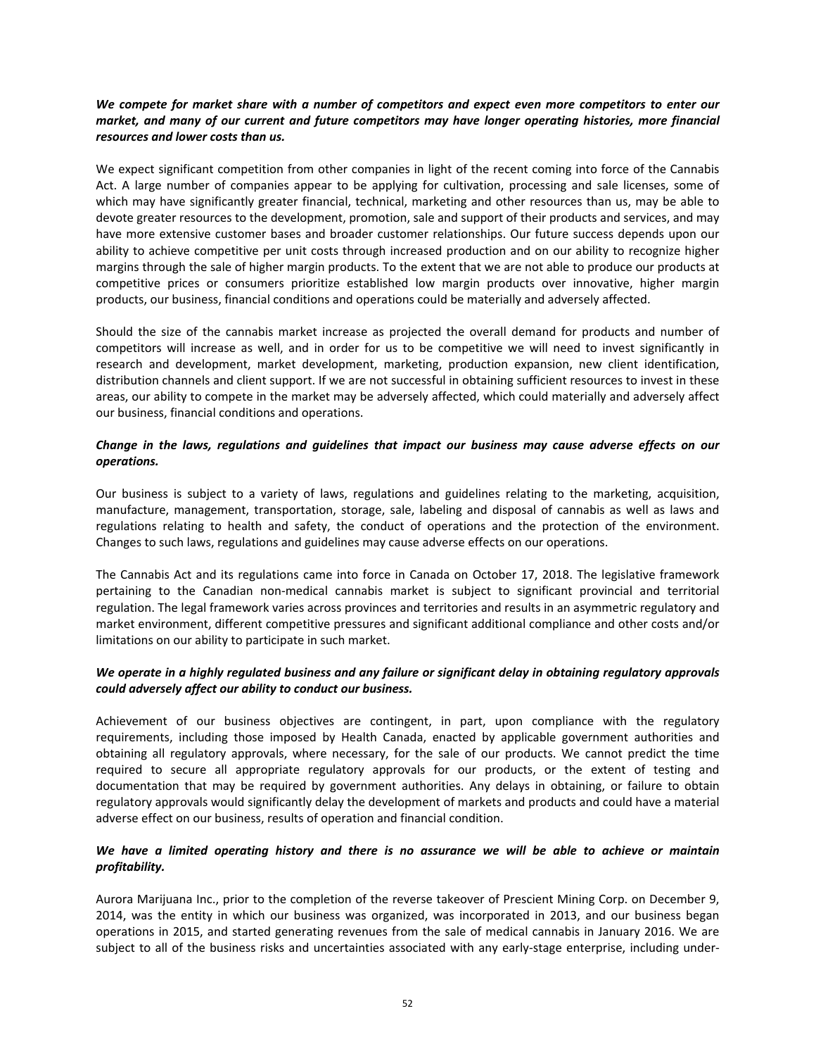# *We compete for market share with a number of competitors and expect even more competitors to enter our market, and many of our current and future competitors may have longer operating histories, more financial resources and lower costs than us.*

We expect significant competition from other companies in light of the recent coming into force of the Cannabis Act. A large number of companies appear to be applying for cultivation, processing and sale licenses, some of which may have significantly greater financial, technical, marketing and other resources than us, may be able to devote greater resources to the development, promotion, sale and support of their products and services, and may have more extensive customer bases and broader customer relationships. Our future success depends upon our ability to achieve competitive per unit costs through increased production and on our ability to recognize higher margins through the sale of higher margin products. To the extent that we are not able to produce our products at competitive prices or consumers prioritize established low margin products over innovative, higher margin products, our business, financial conditions and operations could be materially and adversely affected.

Should the size of the cannabis market increase as projected the overall demand for products and number of competitors will increase as well, and in order for us to be competitive we will need to invest significantly in research and development, market development, marketing, production expansion, new client identification, distribution channels and client support. If we are not successful in obtaining sufficient resources to invest in these areas, our ability to compete in the market may be adversely affected, which could materially and adversely affect our business, financial conditions and operations.

# *Change in the laws, regulations and guidelines that impact our business may cause adverse effects on our operations.*

Our business is subject to a variety of laws, regulations and guidelines relating to the marketing, acquisition, manufacture, management, transportation, storage, sale, labeling and disposal of cannabis as well as laws and regulations relating to health and safety, the conduct of operations and the protection of the environment. Changes to such laws, regulations and guidelines may cause adverse effects on our operations.

The Cannabis Act and its regulations came into force in Canada on October 17, 2018. The legislative framework pertaining to the Canadian non-medical cannabis market is subject to significant provincial and territorial regulation. The legal framework varies across provinces and territories and results in an asymmetric regulatory and market environment, different competitive pressures and significant additional compliance and other costs and/or limitations on our ability to participate in such market.

# *We operate in a highly regulated business and any failure or significant delay in obtaining regulatory approvals could adversely affect our ability to conduct our business.*

Achievement of our business objectives are contingent, in part, upon compliance with the regulatory requirements, including those imposed by Health Canada, enacted by applicable government authorities and obtaining all regulatory approvals, where necessary, for the sale of our products. We cannot predict the time required to secure all appropriate regulatory approvals for our products, or the extent of testing and documentation that may be required by government authorities. Any delays in obtaining, or failure to obtain regulatory approvals would significantly delay the development of markets and products and could have a material adverse effect on our business, results of operation and financial condition.

# *We have a limited operating history and there is no assurance we will be able to achieve or maintain profitability.*

Aurora Marijuana Inc., prior to the completion of the reverse takeover of Prescient Mining Corp. on December 9, 2014, was the entity in which our business was organized, was incorporated in 2013, and our business began operations in 2015, and started generating revenues from the sale of medical cannabis in January 2016. We are subject to all of the business risks and uncertainties associated with any early-stage enterprise, including under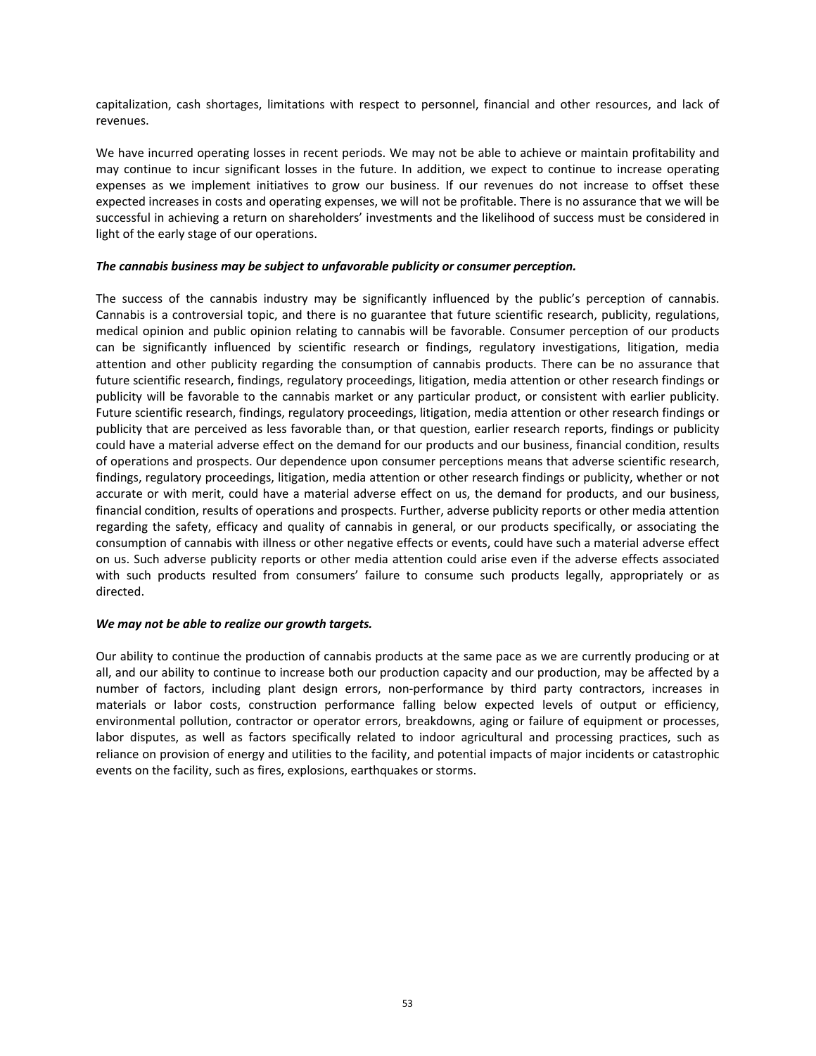capitalization, cash shortages, limitations with respect to personnel, financial and other resources, and lack of revenues.

We have incurred operating losses in recent periods. We may not be able to achieve or maintain profitability and may continue to incur significant losses in the future. In addition, we expect to continue to increase operating expenses as we implement initiatives to grow our business. If our revenues do not increase to offset these expected increases in costs and operating expenses, we will not be profitable. There is no assurance that we will be successful in achieving a return on shareholders' investments and the likelihood of success must be considered in light of the early stage of our operations.

## *The cannabis business may be subject to unfavorable publicity or consumer perception.*

The success of the cannabis industry may be significantly influenced by the public's perception of cannabis. Cannabis is a controversial topic, and there is no guarantee that future scientific research, publicity, regulations, medical opinion and public opinion relating to cannabis will be favorable. Consumer perception of our products can be significantly influenced by scientific research or findings, regulatory investigations, litigation, media attention and other publicity regarding the consumption of cannabis products. There can be no assurance that future scientific research, findings, regulatory proceedings, litigation, media attention or other research findings or publicity will be favorable to the cannabis market or any particular product, or consistent with earlier publicity. Future scientific research, findings, regulatory proceedings, litigation, media attention or other research findings or publicity that are perceived as less favorable than, or that question, earlier research reports, findings or publicity could have a material adverse effect on the demand for our products and our business, financial condition, results of operations and prospects. Our dependence upon consumer perceptions means that adverse scientific research, findings, regulatory proceedings, litigation, media attention or other research findings or publicity, whether or not accurate or with merit, could have a material adverse effect on us, the demand for products, and our business, financial condition, results of operations and prospects. Further, adverse publicity reports or other media attention regarding the safety, efficacy and quality of cannabis in general, or our products specifically, or associating the consumption of cannabis with illness or other negative effects or events, could have such a material adverse effect on us. Such adverse publicity reports or other media attention could arise even if the adverse effects associated with such products resulted from consumers' failure to consume such products legally, appropriately or as directed.

#### *We may not be able to realize our growth targets.*

Our ability to continue the production of cannabis products at the same pace as we are currently producing or at all, and our ability to continue to increase both our production capacity and our production, may be affected by a number of factors, including plant design errors, non-performance by third party contractors, increases in materials or labor costs, construction performance falling below expected levels of output or efficiency, environmental pollution, contractor or operator errors, breakdowns, aging or failure of equipment or processes, labor disputes, as well as factors specifically related to indoor agricultural and processing practices, such as reliance on provision of energy and utilities to the facility, and potential impacts of major incidents or catastrophic events on the facility, such as fires, explosions, earthquakes or storms.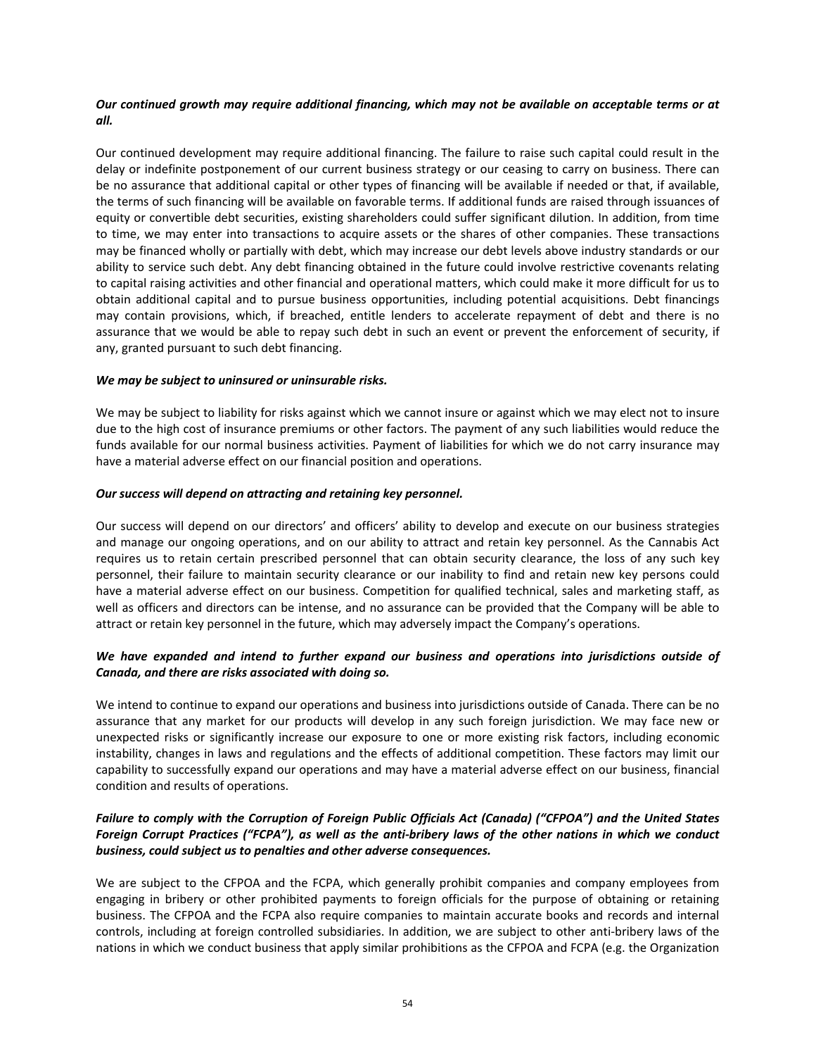# *Our continued growth may require additional financing, which may not be available on acceptable terms or at all.*

Our continued development may require additional financing. The failure to raise such capital could result in the delay or indefinite postponement of our current business strategy or our ceasing to carry on business. There can be no assurance that additional capital or other types of financing will be available if needed or that, if available, the terms of such financing will be available on favorable terms. If additional funds are raised through issuances of equity or convertible debt securities, existing shareholders could suffer significant dilution. In addition, from time to time, we may enter into transactions to acquire assets or the shares of other companies. These transactions may be financed wholly or partially with debt, which may increase our debt levels above industry standards or our ability to service such debt. Any debt financing obtained in the future could involve restrictive covenants relating to capital raising activities and other financial and operational matters, which could make it more difficult for us to obtain additional capital and to pursue business opportunities, including potential acquisitions. Debt financings may contain provisions, which, if breached, entitle lenders to accelerate repayment of debt and there is no assurance that we would be able to repay such debt in such an event or prevent the enforcement of security, if any, granted pursuant to such debt financing.

#### *We may be subject to uninsured or uninsurable risks.*

We may be subject to liability for risks against which we cannot insure or against which we may elect not to insure due to the high cost of insurance premiums or other factors. The payment of any such liabilities would reduce the funds available for our normal business activities. Payment of liabilities for which we do not carry insurance may have a material adverse effect on our financial position and operations.

#### *Our success will depend on attracting and retaining key personnel.*

Our success will depend on our directors' and officers' ability to develop and execute on our business strategies and manage our ongoing operations, and on our ability to attract and retain key personnel. As the Cannabis Act requires us to retain certain prescribed personnel that can obtain security clearance, the loss of any such key personnel, their failure to maintain security clearance or our inability to find and retain new key persons could have a material adverse effect on our business. Competition for qualified technical, sales and marketing staff, as well as officers and directors can be intense, and no assurance can be provided that the Company will be able to attract or retain key personnel in the future, which may adversely impact the Company's operations.

# *We have expanded and intend to further expand our business and operations into jurisdictions outside of Canada, and there are risks associated with doing so.*

We intend to continue to expand our operations and business into jurisdictions outside of Canada. There can be no assurance that any market for our products will develop in any such foreign jurisdiction. We may face new or unexpected risks or significantly increase our exposure to one or more existing risk factors, including economic instability, changes in laws and regulations and the effects of additional competition. These factors may limit our capability to successfully expand our operations and may have a material adverse effect on our business, financial condition and results of operations.

# *Failure to comply with the Corruption of Foreign Public Officials Act (Canada) ("CFPOA") and the United States Foreign Corrupt Practices ("FCPA"), as well as the anti‐bribery laws of the other nations in which we conduct business, could subject us to penalties and other adverse consequences.*

We are subject to the CFPOA and the FCPA, which generally prohibit companies and company employees from engaging in bribery or other prohibited payments to foreign officials for the purpose of obtaining or retaining business. The CFPOA and the FCPA also require companies to maintain accurate books and records and internal controls, including at foreign controlled subsidiaries. In addition, we are subject to other anti‐bribery laws of the nations in which we conduct business that apply similar prohibitions as the CFPOA and FCPA (e.g. the Organization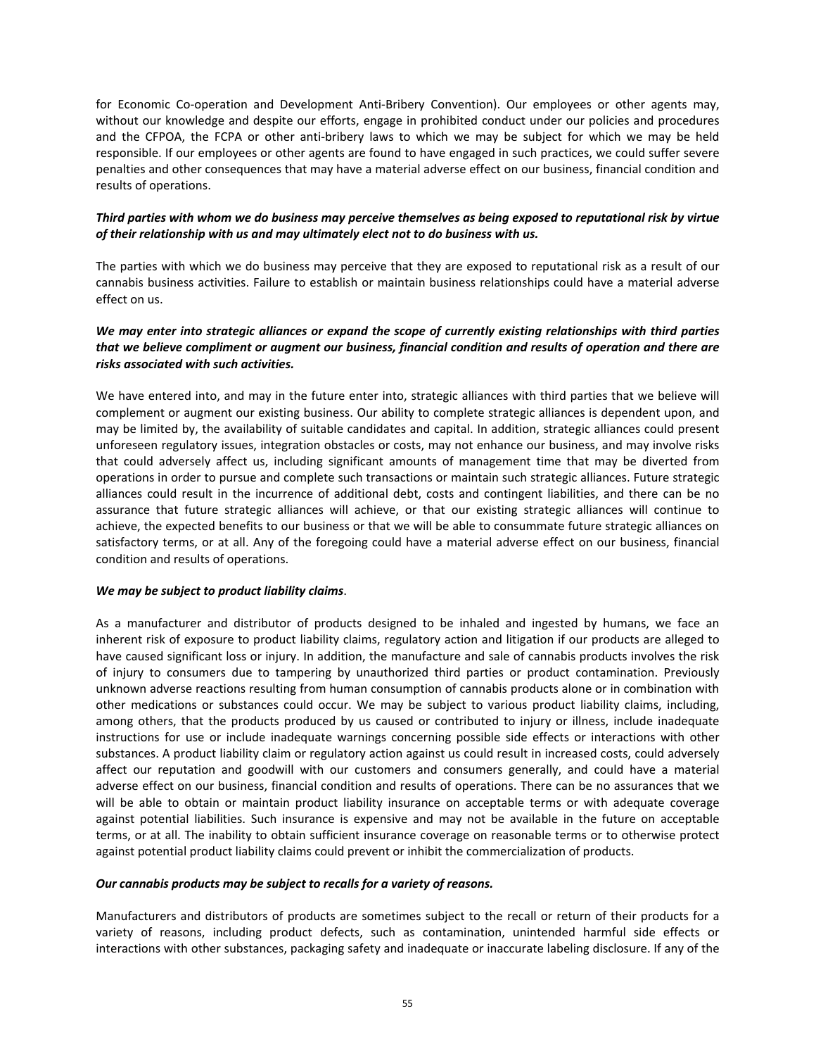for Economic Co-operation and Development Anti-Bribery Convention). Our employees or other agents may, without our knowledge and despite our efforts, engage in prohibited conduct under our policies and procedures and the CFPOA, the FCPA or other anti-bribery laws to which we may be subject for which we may be held responsible. If our employees or other agents are found to have engaged in such practices, we could suffer severe penalties and other consequences that may have a material adverse effect on our business, financial condition and results of operations.

# *Third parties with whom we do business may perceive themselves as being exposed to reputational risk by virtue of their relationship with us and may ultimately elect not to do business with us.*

The parties with which we do business may perceive that they are exposed to reputational risk as a result of our cannabis business activities. Failure to establish or maintain business relationships could have a material adverse effect on us.

# *We may enter into strategic alliances or expand the scope of currently existing relationships with third parties that we believe compliment or augment our business, financial condition and results of operation and there are risks associated with such activities.*

We have entered into, and may in the future enter into, strategic alliances with third parties that we believe will complement or augment our existing business. Our ability to complete strategic alliances is dependent upon, and may be limited by, the availability of suitable candidates and capital. In addition, strategic alliances could present unforeseen regulatory issues, integration obstacles or costs, may not enhance our business, and may involve risks that could adversely affect us, including significant amounts of management time that may be diverted from operations in order to pursue and complete such transactions or maintain such strategic alliances. Future strategic alliances could result in the incurrence of additional debt, costs and contingent liabilities, and there can be no assurance that future strategic alliances will achieve, or that our existing strategic alliances will continue to achieve, the expected benefits to our business or that we will be able to consummate future strategic alliances on satisfactory terms, or at all. Any of the foregoing could have a material adverse effect on our business, financial condition and results of operations.

# *We may be subject to product liability claims*.

As a manufacturer and distributor of products designed to be inhaled and ingested by humans, we face an inherent risk of exposure to product liability claims, regulatory action and litigation if our products are alleged to have caused significant loss or injury. In addition, the manufacture and sale of cannabis products involves the risk of injury to consumers due to tampering by unauthorized third parties or product contamination. Previously unknown adverse reactions resulting from human consumption of cannabis products alone or in combination with other medications or substances could occur. We may be subject to various product liability claims, including, among others, that the products produced by us caused or contributed to injury or illness, include inadequate instructions for use or include inadequate warnings concerning possible side effects or interactions with other substances. A product liability claim or regulatory action against us could result in increased costs, could adversely affect our reputation and goodwill with our customers and consumers generally, and could have a material adverse effect on our business, financial condition and results of operations. There can be no assurances that we will be able to obtain or maintain product liability insurance on acceptable terms or with adequate coverage against potential liabilities. Such insurance is expensive and may not be available in the future on acceptable terms, or at all. The inability to obtain sufficient insurance coverage on reasonable terms or to otherwise protect against potential product liability claims could prevent or inhibit the commercialization of products.

## *Our cannabis products may be subject to recalls for a variety of reasons.*

Manufacturers and distributors of products are sometimes subject to the recall or return of their products for a variety of reasons, including product defects, such as contamination, unintended harmful side effects or interactions with other substances, packaging safety and inadequate or inaccurate labeling disclosure. If any of the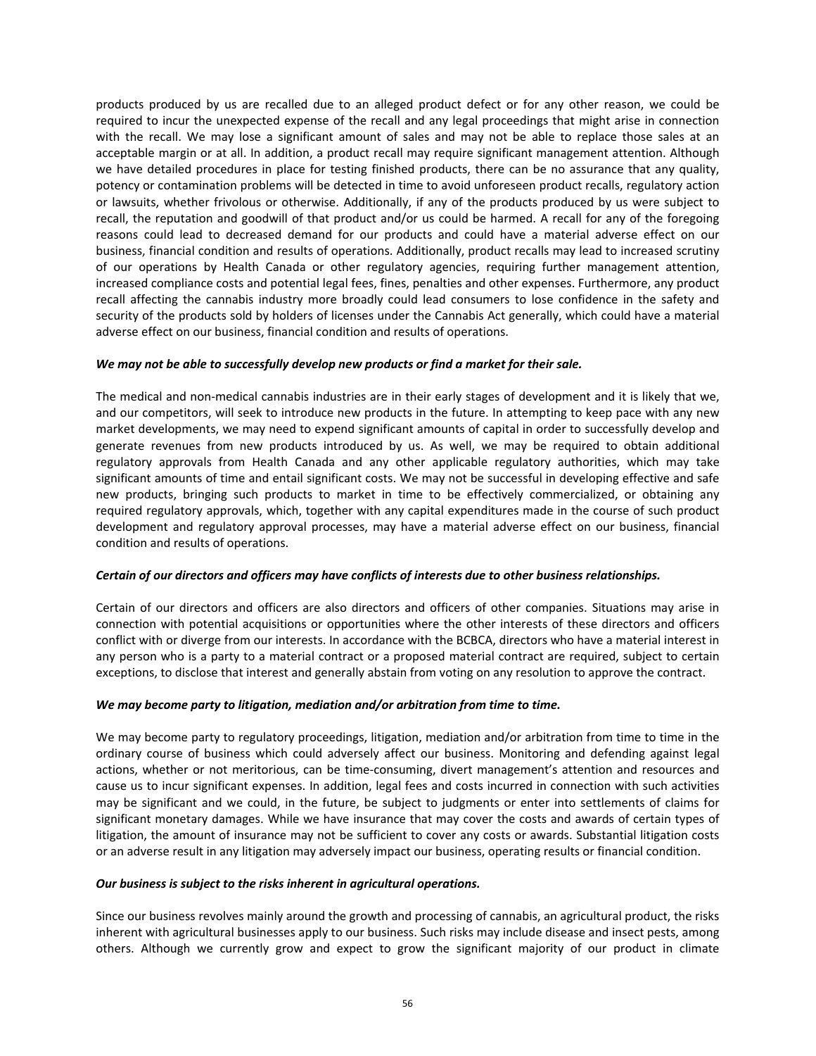products produced by us are recalled due to an alleged product defect or for any other reason, we could be required to incur the unexpected expense of the recall and any legal proceedings that might arise in connection with the recall. We may lose a significant amount of sales and may not be able to replace those sales at an acceptable margin or at all. In addition, a product recall may require significant management attention. Although we have detailed procedures in place for testing finished products, there can be no assurance that any quality, potency or contamination problems will be detected in time to avoid unforeseen product recalls, regulatory action or lawsuits, whether frivolous or otherwise. Additionally, if any of the products produced by us were subject to recall, the reputation and goodwill of that product and/or us could be harmed. A recall for any of the foregoing reasons could lead to decreased demand for our products and could have a material adverse effect on our business, financial condition and results of operations. Additionally, product recalls may lead to increased scrutiny of our operations by Health Canada or other regulatory agencies, requiring further management attention, increased compliance costs and potential legal fees, fines, penalties and other expenses. Furthermore, any product recall affecting the cannabis industry more broadly could lead consumers to lose confidence in the safety and security of the products sold by holders of licenses under the Cannabis Act generally, which could have a material adverse effect on our business, financial condition and results of operations.

## *We may not be able to successfully develop new products or find a market for their sale.*

The medical and non‐medical cannabis industries are in their early stages of development and it is likely that we, and our competitors, will seek to introduce new products in the future. In attempting to keep pace with any new market developments, we may need to expend significant amounts of capital in order to successfully develop and generate revenues from new products introduced by us. As well, we may be required to obtain additional regulatory approvals from Health Canada and any other applicable regulatory authorities, which may take significant amounts of time and entail significant costs. We may not be successful in developing effective and safe new products, bringing such products to market in time to be effectively commercialized, or obtaining any required regulatory approvals, which, together with any capital expenditures made in the course of such product development and regulatory approval processes, may have a material adverse effect on our business, financial condition and results of operations.

#### *Certain of our directors and officers may have conflicts of interests due to other business relationships.*

Certain of our directors and officers are also directors and officers of other companies. Situations may arise in connection with potential acquisitions or opportunities where the other interests of these directors and officers conflict with or diverge from our interests. In accordance with the BCBCA, directors who have a material interest in any person who is a party to a material contract or a proposed material contract are required, subject to certain exceptions, to disclose that interest and generally abstain from voting on any resolution to approve the contract.

#### *We may become party to litigation, mediation and/or arbitration from time to time.*

We may become party to regulatory proceedings, litigation, mediation and/or arbitration from time to time in the ordinary course of business which could adversely affect our business. Monitoring and defending against legal actions, whether or not meritorious, can be time‐consuming, divert management's attention and resources and cause us to incur significant expenses. In addition, legal fees and costs incurred in connection with such activities may be significant and we could, in the future, be subject to judgments or enter into settlements of claims for significant monetary damages. While we have insurance that may cover the costs and awards of certain types of litigation, the amount of insurance may not be sufficient to cover any costs or awards. Substantial litigation costs or an adverse result in any litigation may adversely impact our business, operating results or financial condition.

#### *Our business is subject to the risks inherent in agricultural operations.*

Since our business revolves mainly around the growth and processing of cannabis, an agricultural product, the risks inherent with agricultural businesses apply to our business. Such risks may include disease and insect pests, among others. Although we currently grow and expect to grow the significant majority of our product in climate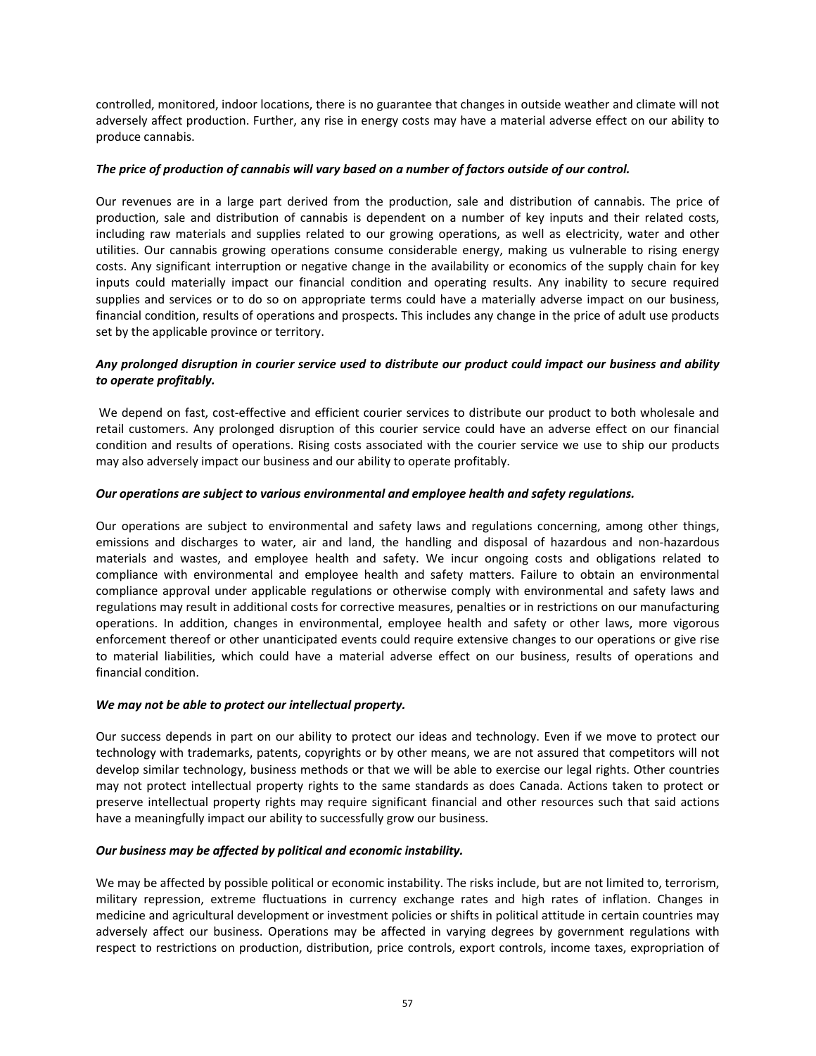controlled, monitored, indoor locations, there is no guarantee that changes in outside weather and climate will not adversely affect production. Further, any rise in energy costs may have a material adverse effect on our ability to produce cannabis.

## *The price of production of cannabis will vary based on a number of factors outside of our control.*

Our revenues are in a large part derived from the production, sale and distribution of cannabis. The price of production, sale and distribution of cannabis is dependent on a number of key inputs and their related costs, including raw materials and supplies related to our growing operations, as well as electricity, water and other utilities. Our cannabis growing operations consume considerable energy, making us vulnerable to rising energy costs. Any significant interruption or negative change in the availability or economics of the supply chain for key inputs could materially impact our financial condition and operating results. Any inability to secure required supplies and services or to do so on appropriate terms could have a materially adverse impact on our business, financial condition, results of operations and prospects. This includes any change in the price of adult use products set by the applicable province or territory.

# *Any prolonged disruption in courier service used to distribute our product could impact our business and ability to operate profitably.*

We depend on fast, cost-effective and efficient courier services to distribute our product to both wholesale and retail customers. Any prolonged disruption of this courier service could have an adverse effect on our financial condition and results of operations. Rising costs associated with the courier service we use to ship our products may also adversely impact our business and our ability to operate profitably.

#### *Our operations are subject to various environmental and employee health and safety regulations.*

Our operations are subject to environmental and safety laws and regulations concerning, among other things, emissions and discharges to water, air and land, the handling and disposal of hazardous and non-hazardous materials and wastes, and employee health and safety. We incur ongoing costs and obligations related to compliance with environmental and employee health and safety matters. Failure to obtain an environmental compliance approval under applicable regulations or otherwise comply with environmental and safety laws and regulations may result in additional costs for corrective measures, penalties or in restrictions on our manufacturing operations. In addition, changes in environmental, employee health and safety or other laws, more vigorous enforcement thereof or other unanticipated events could require extensive changes to our operations or give rise to material liabilities, which could have a material adverse effect on our business, results of operations and financial condition.

# *We may not be able to protect our intellectual property.*

Our success depends in part on our ability to protect our ideas and technology. Even if we move to protect our technology with trademarks, patents, copyrights or by other means, we are not assured that competitors will not develop similar technology, business methods or that we will be able to exercise our legal rights. Other countries may not protect intellectual property rights to the same standards as does Canada. Actions taken to protect or preserve intellectual property rights may require significant financial and other resources such that said actions have a meaningfully impact our ability to successfully grow our business.

# *Our business may be affected by political and economic instability.*

We may be affected by possible political or economic instability. The risks include, but are not limited to, terrorism, military repression, extreme fluctuations in currency exchange rates and high rates of inflation. Changes in medicine and agricultural development or investment policies or shifts in political attitude in certain countries may adversely affect our business. Operations may be affected in varying degrees by government regulations with respect to restrictions on production, distribution, price controls, export controls, income taxes, expropriation of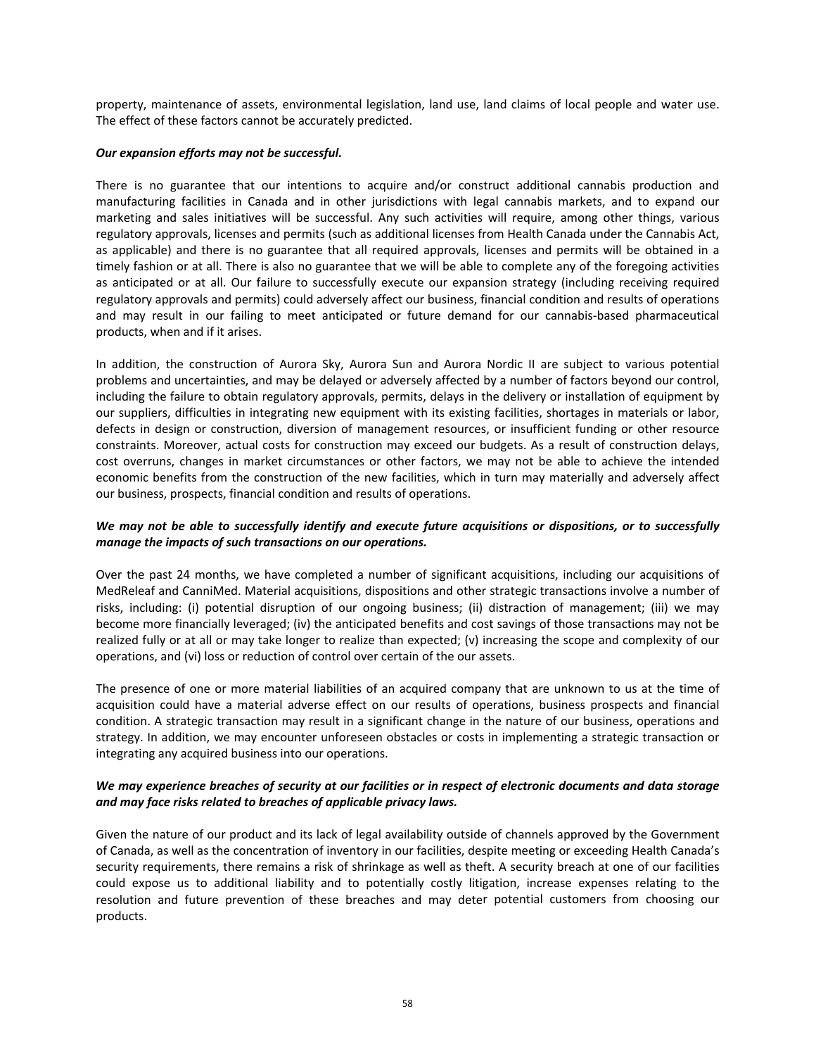property, maintenance of assets, environmental legislation, land use, land claims of local people and water use. The effect of these factors cannot be accurately predicted.

#### *Our expansion efforts may not be successful.*

There is no guarantee that our intentions to acquire and/or construct additional cannabis production and manufacturing facilities in Canada and in other jurisdictions with legal cannabis markets, and to expand our marketing and sales initiatives will be successful. Any such activities will require, among other things, various regulatory approvals, licenses and permits (such as additional licenses from Health Canada under the Cannabis Act, as applicable) and there is no guarantee that all required approvals, licenses and permits will be obtained in a timely fashion or at all. There is also no guarantee that we will be able to complete any of the foregoing activities as anticipated or at all. Our failure to successfully execute our expansion strategy (including receiving required regulatory approvals and permits) could adversely affect our business, financial condition and results of operations and may result in our failing to meet anticipated or future demand for our cannabis-based pharmaceutical products, when and if it arises.

In addition, the construction of Aurora Sky, Aurora Sun and Aurora Nordic II are subject to various potential problems and uncertainties, and may be delayed or adversely affected by a number of factors beyond our control, including the failure to obtain regulatory approvals, permits, delays in the delivery or installation of equipment by our suppliers, difficulties in integrating new equipment with its existing facilities, shortages in materials or labor, defects in design or construction, diversion of management resources, or insufficient funding or other resource constraints. Moreover, actual costs for construction may exceed our budgets. As a result of construction delays, cost overruns, changes in market circumstances or other factors, we may not be able to achieve the intended economic benefits from the construction of the new facilities, which in turn may materially and adversely affect our business, prospects, financial condition and results of operations.

# *We may not be able to successfully identify and execute future acquisitions or dispositions, or to successfully manage the impacts of such transactions on our operations.*

Over the past 24 months, we have completed a number of significant acquisitions, including our acquisitions of MedReleaf and CanniMed. Material acquisitions, dispositions and other strategic transactions involve a number of risks, including: (i) potential disruption of our ongoing business; (ii) distraction of management; (iii) we may become more financially leveraged; (iv) the anticipated benefits and cost savings of those transactions may not be realized fully or at all or may take longer to realize than expected; (v) increasing the scope and complexity of our operations, and (vi) loss or reduction of control over certain of the our assets.

The presence of one or more material liabilities of an acquired company that are unknown to us at the time of acquisition could have a material adverse effect on our results of operations, business prospects and financial condition. A strategic transaction may result in a significant change in the nature of our business, operations and strategy. In addition, we may encounter unforeseen obstacles or costs in implementing a strategic transaction or integrating any acquired business into our operations.

# *We may experience breaches of security at our facilities or in respect of electronic documents and data storage and may face risks related to breaches of applicable privacy laws.*

Given the nature of our product and its lack of legal availability outside of channels approved by the Government of Canada, as well as the concentration of inventory in our facilities, despite meeting or exceeding Health Canada's security requirements, there remains a risk of shrinkage as well as theft. A security breach at one of our facilities could expose us to additional liability and to potentially costly litigation, increase expenses relating to the resolution and future prevention of these breaches and may deter potential customers from choosing our products.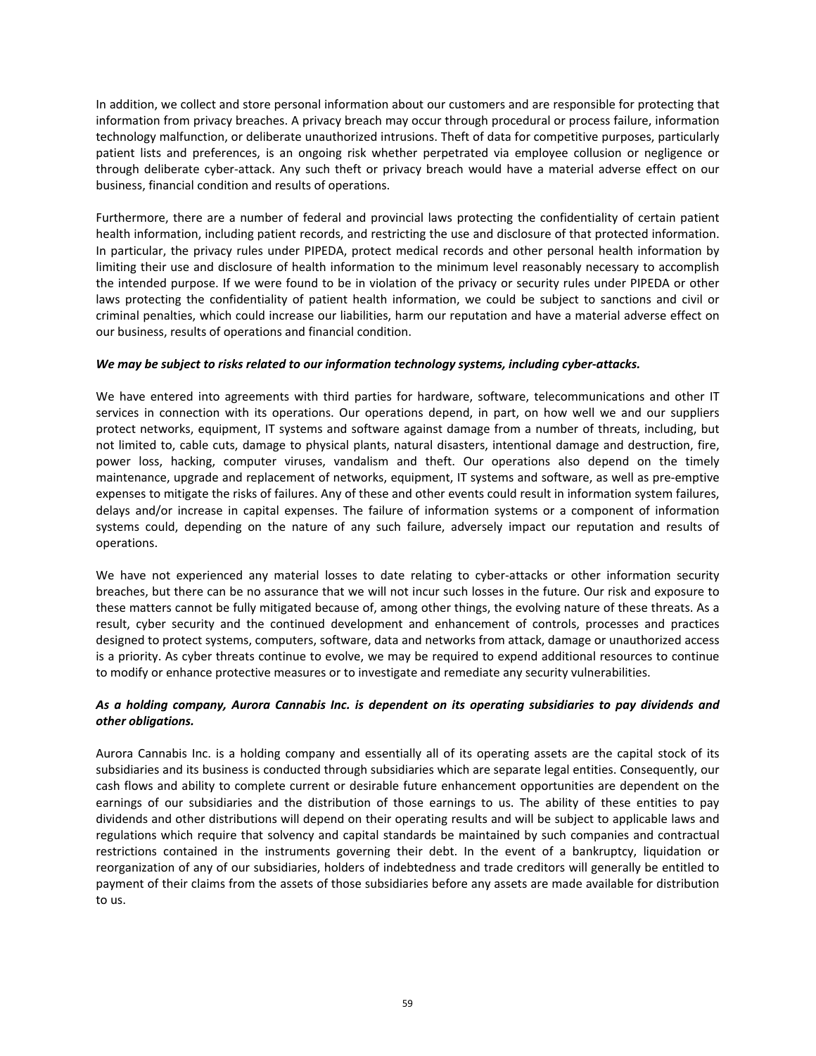In addition, we collect and store personal information about our customers and are responsible for protecting that information from privacy breaches. A privacy breach may occur through procedural or process failure, information technology malfunction, or deliberate unauthorized intrusions. Theft of data for competitive purposes, particularly patient lists and preferences, is an ongoing risk whether perpetrated via employee collusion or negligence or through deliberate cyber-attack. Any such theft or privacy breach would have a material adverse effect on our business, financial condition and results of operations.

Furthermore, there are a number of federal and provincial laws protecting the confidentiality of certain patient health information, including patient records, and restricting the use and disclosure of that protected information. In particular, the privacy rules under PIPEDA, protect medical records and other personal health information by limiting their use and disclosure of health information to the minimum level reasonably necessary to accomplish the intended purpose. If we were found to be in violation of the privacy or security rules under PIPEDA or other laws protecting the confidentiality of patient health information, we could be subject to sanctions and civil or criminal penalties, which could increase our liabilities, harm our reputation and have a material adverse effect on our business, results of operations and financial condition.

# *We may be subject to risks related to our information technology systems, including cyber‐attacks.*

We have entered into agreements with third parties for hardware, software, telecommunications and other IT services in connection with its operations. Our operations depend, in part, on how well we and our suppliers protect networks, equipment, IT systems and software against damage from a number of threats, including, but not limited to, cable cuts, damage to physical plants, natural disasters, intentional damage and destruction, fire, power loss, hacking, computer viruses, vandalism and theft. Our operations also depend on the timely maintenance, upgrade and replacement of networks, equipment, IT systems and software, as well as pre‐emptive expenses to mitigate the risks of failures. Any of these and other events could result in information system failures, delays and/or increase in capital expenses. The failure of information systems or a component of information systems could, depending on the nature of any such failure, adversely impact our reputation and results of operations.

We have not experienced any material losses to date relating to cyber-attacks or other information security breaches, but there can be no assurance that we will not incur such losses in the future. Our risk and exposure to these matters cannot be fully mitigated because of, among other things, the evolving nature of these threats. As a result, cyber security and the continued development and enhancement of controls, processes and practices designed to protect systems, computers, software, data and networks from attack, damage or unauthorized access is a priority. As cyber threats continue to evolve, we may be required to expend additional resources to continue to modify or enhance protective measures or to investigate and remediate any security vulnerabilities.

# *As a holding company, Aurora Cannabis Inc. is dependent on its operating subsidiaries to pay dividends and other obligations.*

Aurora Cannabis Inc. is a holding company and essentially all of its operating assets are the capital stock of its subsidiaries and its business is conducted through subsidiaries which are separate legal entities. Consequently, our cash flows and ability to complete current or desirable future enhancement opportunities are dependent on the earnings of our subsidiaries and the distribution of those earnings to us. The ability of these entities to pay dividends and other distributions will depend on their operating results and will be subject to applicable laws and regulations which require that solvency and capital standards be maintained by such companies and contractual restrictions contained in the instruments governing their debt. In the event of a bankruptcy, liquidation or reorganization of any of our subsidiaries, holders of indebtedness and trade creditors will generally be entitled to payment of their claims from the assets of those subsidiaries before any assets are made available for distribution to us.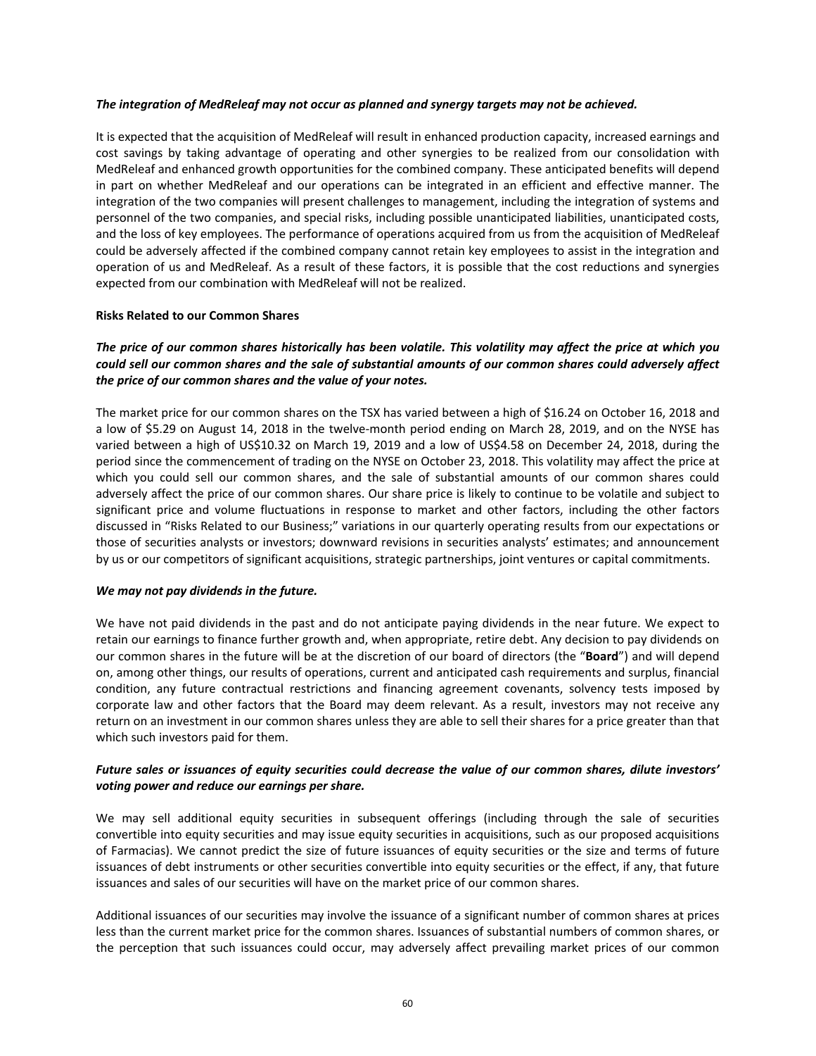#### *The integration of MedReleaf may not occur as planned and synergy targets may not be achieved.*

It is expected that the acquisition of MedReleaf will result in enhanced production capacity, increased earnings and cost savings by taking advantage of operating and other synergies to be realized from our consolidation with MedReleaf and enhanced growth opportunities for the combined company. These anticipated benefits will depend in part on whether MedReleaf and our operations can be integrated in an efficient and effective manner. The integration of the two companies will present challenges to management, including the integration of systems and personnel of the two companies, and special risks, including possible unanticipated liabilities, unanticipated costs, and the loss of key employees. The performance of operations acquired from us from the acquisition of MedReleaf could be adversely affected if the combined company cannot retain key employees to assist in the integration and operation of us and MedReleaf. As a result of these factors, it is possible that the cost reductions and synergies expected from our combination with MedReleaf will not be realized.

#### **Risks Related to our Common Shares**

## *The price of our common shares historically has been volatile. This volatility may affect the price at which you could sell our common shares and the sale of substantial amounts of our common shares could adversely affect the price of our common shares and the value of your notes.*

The market price for our common shares on the TSX has varied between a high of \$16.24 on October 16, 2018 and a low of \$5.29 on August 14, 2018 in the twelve‐month period ending on March 28, 2019, and on the NYSE has varied between a high of US\$10.32 on March 19, 2019 and a low of US\$4.58 on December 24, 2018, during the period since the commencement of trading on the NYSE on October 23, 2018. This volatility may affect the price at which you could sell our common shares, and the sale of substantial amounts of our common shares could adversely affect the price of our common shares. Our share price is likely to continue to be volatile and subject to significant price and volume fluctuations in response to market and other factors, including the other factors discussed in "Risks Related to our Business;" variations in our quarterly operating results from our expectations or those of securities analysts or investors; downward revisions in securities analysts' estimates; and announcement by us or our competitors of significant acquisitions, strategic partnerships, joint ventures or capital commitments.

#### *We may not pay dividends in the future.*

We have not paid dividends in the past and do not anticipate paying dividends in the near future. We expect to retain our earnings to finance further growth and, when appropriate, retire debt. Any decision to pay dividends on our common shares in the future will be at the discretion of our board of directors (the "**Board**") and will depend on, among other things, our results of operations, current and anticipated cash requirements and surplus, financial condition, any future contractual restrictions and financing agreement covenants, solvency tests imposed by corporate law and other factors that the Board may deem relevant. As a result, investors may not receive any return on an investment in our common shares unless they are able to sell their shares for a price greater than that which such investors paid for them.

## *Future sales or issuances of equity securities could decrease the value of our common shares, dilute investors' voting power and reduce our earnings per share.*

We may sell additional equity securities in subsequent offerings (including through the sale of securities convertible into equity securities and may issue equity securities in acquisitions, such as our proposed acquisitions of Farmacias). We cannot predict the size of future issuances of equity securities or the size and terms of future issuances of debt instruments or other securities convertible into equity securities or the effect, if any, that future issuances and sales of our securities will have on the market price of our common shares.

Additional issuances of our securities may involve the issuance of a significant number of common shares at prices less than the current market price for the common shares. Issuances of substantial numbers of common shares, or the perception that such issuances could occur, may adversely affect prevailing market prices of our common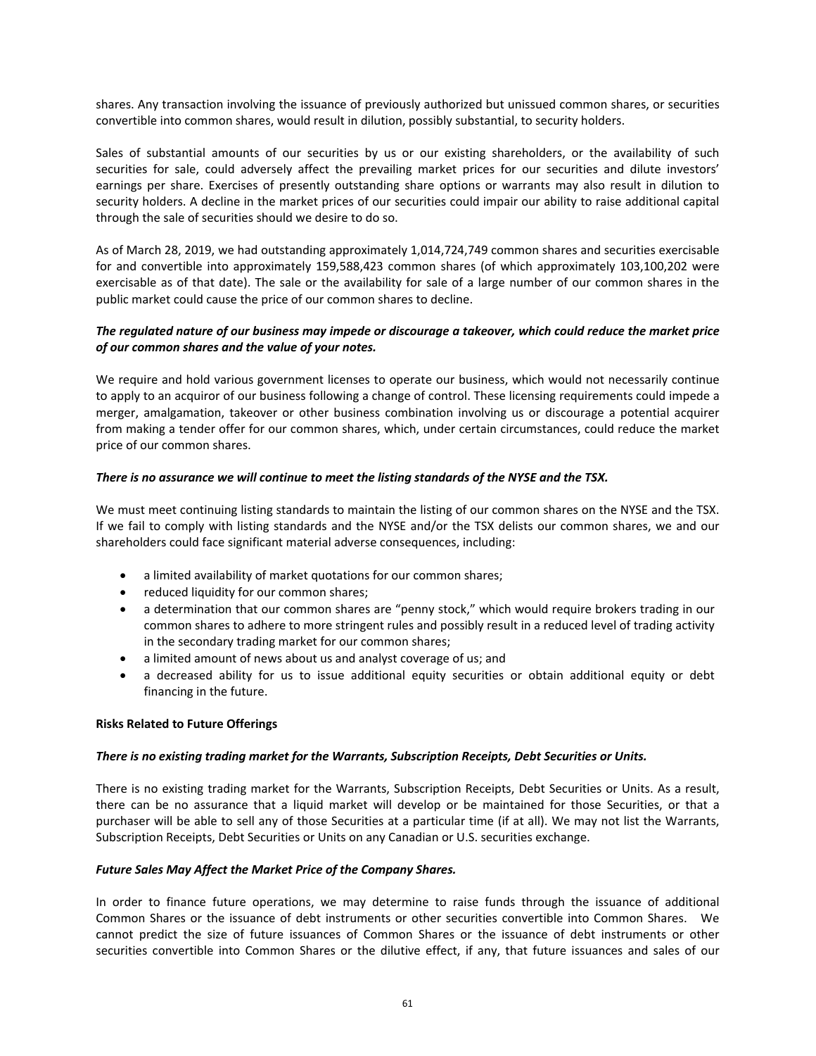shares. Any transaction involving the issuance of previously authorized but unissued common shares, or securities convertible into common shares, would result in dilution, possibly substantial, to security holders.

Sales of substantial amounts of our securities by us or our existing shareholders, or the availability of such securities for sale, could adversely affect the prevailing market prices for our securities and dilute investors' earnings per share. Exercises of presently outstanding share options or warrants may also result in dilution to security holders. A decline in the market prices of our securities could impair our ability to raise additional capital through the sale of securities should we desire to do so.

As of March 28, 2019, we had outstanding approximately 1,014,724,749 common shares and securities exercisable for and convertible into approximately 159,588,423 common shares (of which approximately 103,100,202 were exercisable as of that date). The sale or the availability for sale of a large number of our common shares in the public market could cause the price of our common shares to decline.

# *The regulated nature of our business may impede or discourage a takeover, which could reduce the market price of our common shares and the value of your notes.*

We require and hold various government licenses to operate our business, which would not necessarily continue to apply to an acquiror of our business following a change of control. These licensing requirements could impede a merger, amalgamation, takeover or other business combination involving us or discourage a potential acquirer from making a tender offer for our common shares, which, under certain circumstances, could reduce the market price of our common shares.

# *There is no assurance we will continue to meet the listing standards of the NYSE and the TSX.*

We must meet continuing listing standards to maintain the listing of our common shares on the NYSE and the TSX. If we fail to comply with listing standards and the NYSE and/or the TSX delists our common shares, we and our shareholders could face significant material adverse consequences, including:

- a limited availability of market quotations for our common shares;
- reduced liquidity for our common shares;
- a determination that our common shares are "penny stock," which would require brokers trading in our common shares to adhere to more stringent rules and possibly result in a reduced level of trading activity in the secondary trading market for our common shares;
- a limited amount of news about us and analyst coverage of us; and
- a decreased ability for us to issue additional equity securities or obtain additional equity or debt financing in the future.

#### **Risks Related to Future Offerings**

#### *There is no existing trading market for the Warrants, Subscription Receipts, Debt Securities or Units.*

There is no existing trading market for the Warrants, Subscription Receipts, Debt Securities or Units. As a result, there can be no assurance that a liquid market will develop or be maintained for those Securities, or that a purchaser will be able to sell any of those Securities at a particular time (if at all). We may not list the Warrants, Subscription Receipts, Debt Securities or Units on any Canadian or U.S. securities exchange.

#### *Future Sales May Affect the Market Price of the Company Shares.*

In order to finance future operations, we may determine to raise funds through the issuance of additional Common Shares or the issuance of debt instruments or other securities convertible into Common Shares. We cannot predict the size of future issuances of Common Shares or the issuance of debt instruments or other securities convertible into Common Shares or the dilutive effect, if any, that future issuances and sales of our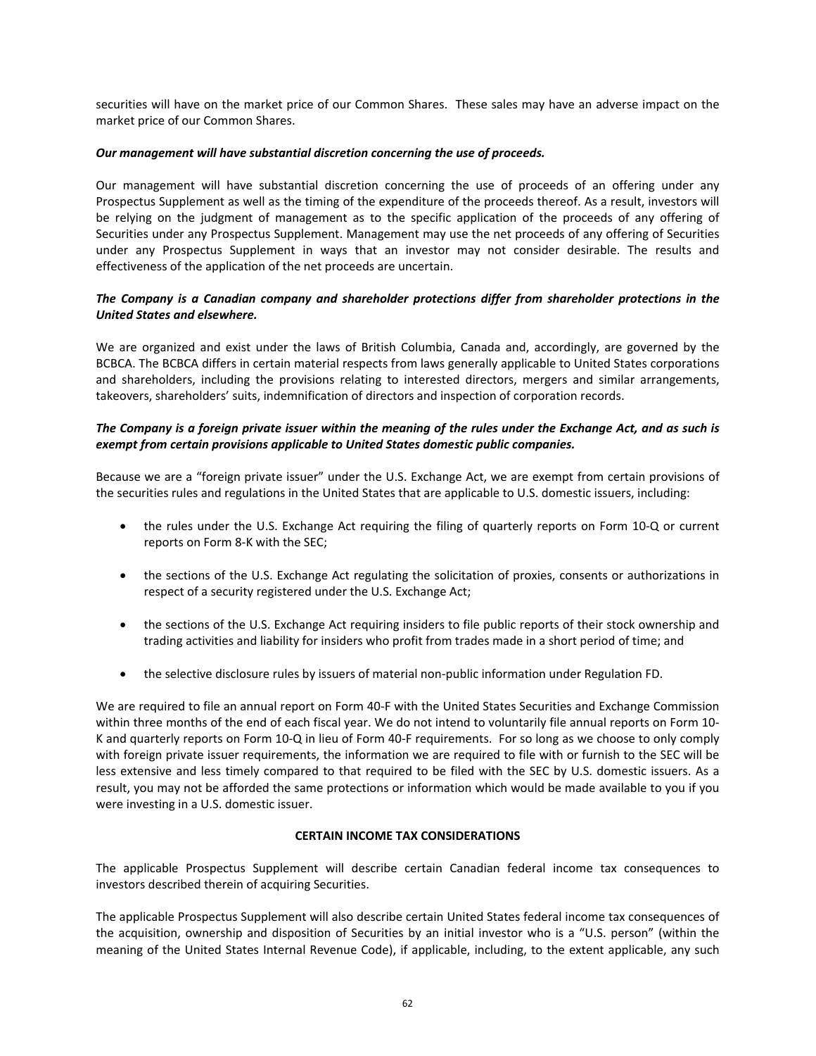securities will have on the market price of our Common Shares. These sales may have an adverse impact on the market price of our Common Shares.

#### *Our management will have substantial discretion concerning the use of proceeds.*

Our management will have substantial discretion concerning the use of proceeds of an offering under any Prospectus Supplement as well as the timing of the expenditure of the proceeds thereof. As a result, investors will be relying on the judgment of management as to the specific application of the proceeds of any offering of Securities under any Prospectus Supplement. Management may use the net proceeds of any offering of Securities under any Prospectus Supplement in ways that an investor may not consider desirable. The results and effectiveness of the application of the net proceeds are uncertain.

# *The Company is a Canadian company and shareholder protections differ from shareholder protections in the United States and elsewhere.*

We are organized and exist under the laws of British Columbia, Canada and, accordingly, are governed by the BCBCA. The BCBCA differs in certain material respects from laws generally applicable to United States corporations and shareholders, including the provisions relating to interested directors, mergers and similar arrangements, takeovers, shareholders' suits, indemnification of directors and inspection of corporation records.

# *The Company is a foreign private issuer within the meaning of the rules under the Exchange Act, and as such is exempt from certain provisions applicable to United States domestic public companies.*

Because we are a "foreign private issuer" under the U.S. Exchange Act, we are exempt from certain provisions of the securities rules and regulations in the United States that are applicable to U.S. domestic issuers, including:

- the rules under the U.S. Exchange Act requiring the filing of quarterly reports on Form 10-Q or current reports on Form 8‐K with the SEC;
- the sections of the U.S. Exchange Act regulating the solicitation of proxies, consents or authorizations in respect of a security registered under the U.S. Exchange Act;
- the sections of the U.S. Exchange Act requiring insiders to file public reports of their stock ownership and trading activities and liability for insiders who profit from trades made in a short period of time; and
- the selective disclosure rules by issuers of material non‐public information under Regulation FD.

We are required to file an annual report on Form 40‐F with the United States Securities and Exchange Commission within three months of the end of each fiscal year. We do not intend to voluntarily file annual reports on Form 10-K and quarterly reports on Form 10‐Q in lieu of Form 40‐F requirements. For so long as we choose to only comply with foreign private issuer requirements, the information we are required to file with or furnish to the SEC will be less extensive and less timely compared to that required to be filed with the SEC by U.S. domestic issuers. As a result, you may not be afforded the same protections or information which would be made available to you if you were investing in a U.S. domestic issuer.

# **CERTAIN INCOME TAX CONSIDERATIONS**

The applicable Prospectus Supplement will describe certain Canadian federal income tax consequences to investors described therein of acquiring Securities.

The applicable Prospectus Supplement will also describe certain United States federal income tax consequences of the acquisition, ownership and disposition of Securities by an initial investor who is a "U.S. person" (within the meaning of the United States Internal Revenue Code), if applicable, including, to the extent applicable, any such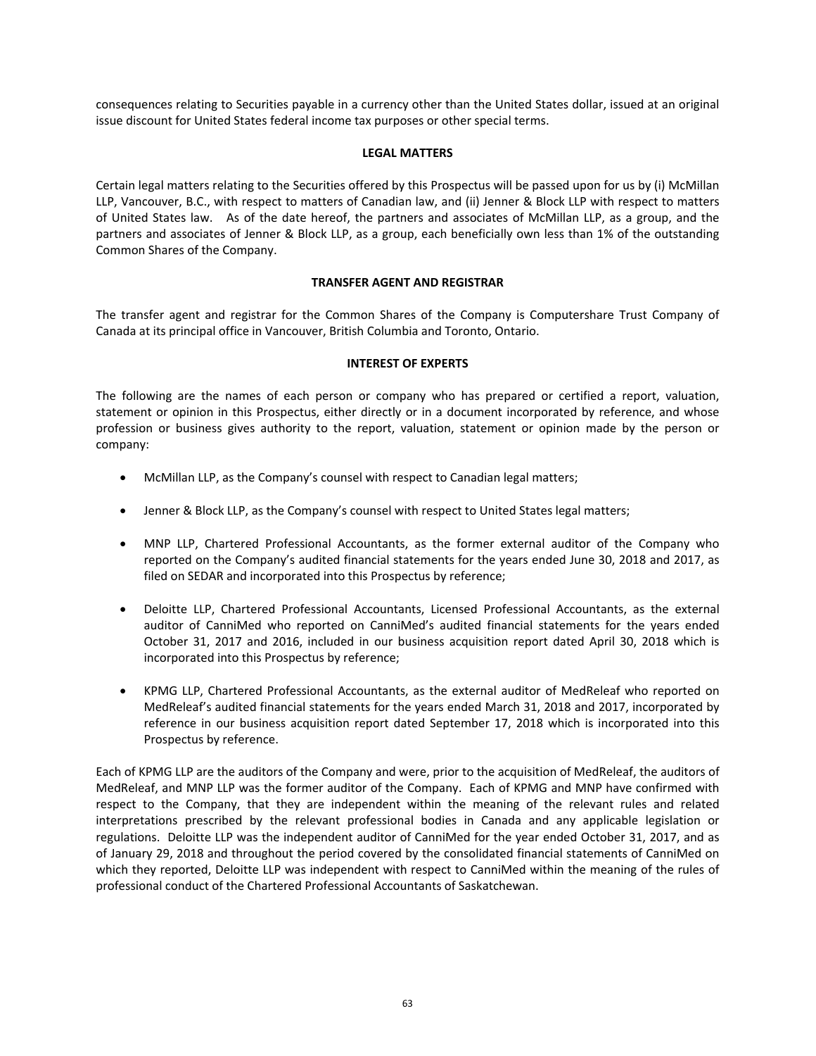consequences relating to Securities payable in a currency other than the United States dollar, issued at an original issue discount for United States federal income tax purposes or other special terms.

## **LEGAL MATTERS**

Certain legal matters relating to the Securities offered by this Prospectus will be passed upon for us by (i) McMillan LLP, Vancouver, B.C., with respect to matters of Canadian law, and (ii) Jenner & Block LLP with respect to matters of United States law. As of the date hereof, the partners and associates of McMillan LLP, as a group, and the partners and associates of Jenner & Block LLP, as a group, each beneficially own less than 1% of the outstanding Common Shares of the Company.

## **TRANSFER AGENT AND REGISTRAR**

The transfer agent and registrar for the Common Shares of the Company is Computershare Trust Company of Canada at its principal office in Vancouver, British Columbia and Toronto, Ontario.

## **INTEREST OF EXPERTS**

The following are the names of each person or company who has prepared or certified a report, valuation, statement or opinion in this Prospectus, either directly or in a document incorporated by reference, and whose profession or business gives authority to the report, valuation, statement or opinion made by the person or company:

- McMillan LLP, as the Company's counsel with respect to Canadian legal matters;
- Jenner & Block LLP, as the Company's counsel with respect to United States legal matters;
- MNP LLP, Chartered Professional Accountants, as the former external auditor of the Company who reported on the Company's audited financial statements for the years ended June 30, 2018 and 2017, as filed on SEDAR and incorporated into this Prospectus by reference;
- Deloitte LLP, Chartered Professional Accountants, Licensed Professional Accountants, as the external auditor of CanniMed who reported on CanniMed's audited financial statements for the years ended October 31, 2017 and 2016, included in our business acquisition report dated April 30, 2018 which is incorporated into this Prospectus by reference;
- KPMG LLP, Chartered Professional Accountants, as the external auditor of MedReleaf who reported on MedReleaf's audited financial statements for the years ended March 31, 2018 and 2017, incorporated by reference in our business acquisition report dated September 17, 2018 which is incorporated into this Prospectus by reference.

Each of KPMG LLP are the auditors of the Company and were, prior to the acquisition of MedReleaf, the auditors of MedReleaf, and MNP LLP was the former auditor of the Company. Each of KPMG and MNP have confirmed with respect to the Company, that they are independent within the meaning of the relevant rules and related interpretations prescribed by the relevant professional bodies in Canada and any applicable legislation or regulations. Deloitte LLP was the independent auditor of CanniMed for the year ended October 31, 2017, and as of January 29, 2018 and throughout the period covered by the consolidated financial statements of CanniMed on which they reported, Deloitte LLP was independent with respect to CanniMed within the meaning of the rules of professional conduct of the Chartered Professional Accountants of Saskatchewan.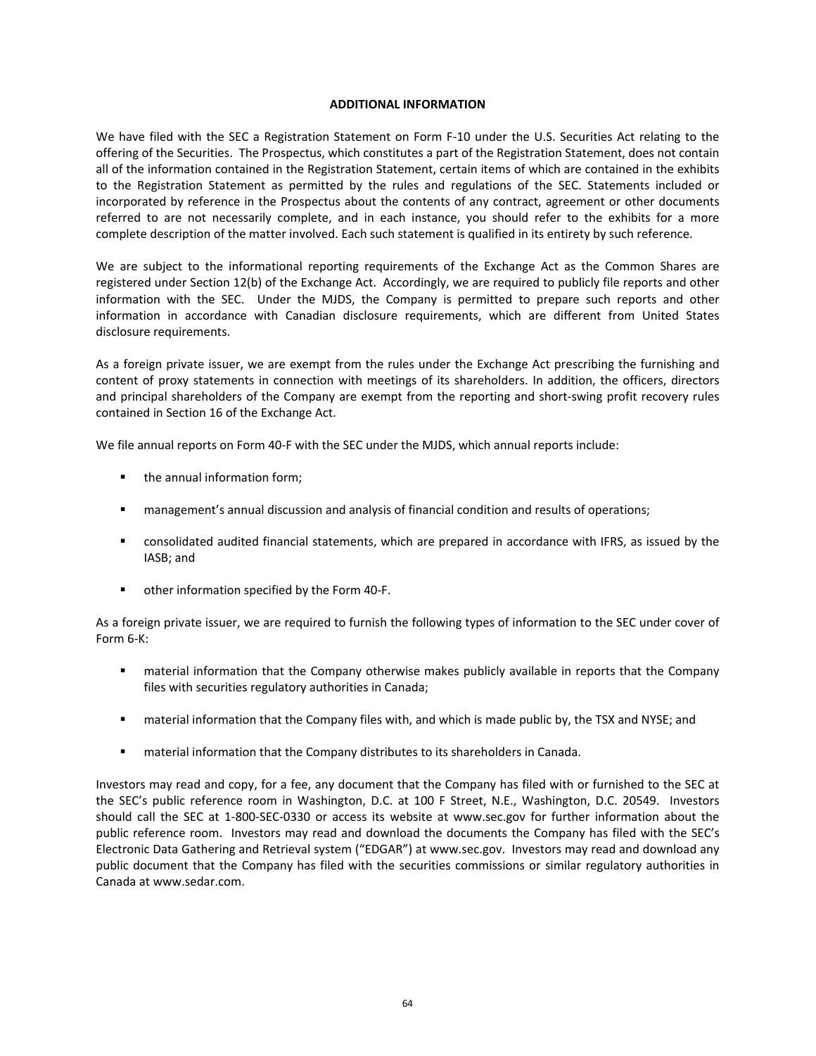#### **ADDITIONAL INFORMATION**

We have filed with the SEC a Registration Statement on Form F-10 under the U.S. Securities Act relating to the offering of the Securities. The Prospectus, which constitutes a part of the Registration Statement, does not contain all of the information contained in the Registration Statement, certain items of which are contained in the exhibits to the Registration Statement as permitted by the rules and regulations of the SEC. Statements included or incorporated by reference in the Prospectus about the contents of any contract, agreement or other documents referred to are not necessarily complete, and in each instance, you should refer to the exhibits for a more complete description of the matter involved. Each such statement is qualified in its entirety by such reference.

We are subject to the informational reporting requirements of the Exchange Act as the Common Shares are registered under Section 12(b) of the Exchange Act. Accordingly, we are required to publicly file reports and other information with the SEC. Under the MJDS, the Company is permitted to prepare such reports and other information in accordance with Canadian disclosure requirements, which are different from United States disclosure requirements.

As a foreign private issuer, we are exempt from the rules under the Exchange Act prescribing the furnishing and content of proxy statements in connection with meetings of its shareholders. In addition, the officers, directors and principal shareholders of the Company are exempt from the reporting and short-swing profit recovery rules contained in Section 16 of the Exchange Act.

We file annual reports on Form 40-F with the SEC under the MJDS, which annual reports include:

- the annual information form;
- management's annual discussion and analysis of financial condition and results of operations;
- consolidated audited financial statements, which are prepared in accordance with IFRS, as issued by the IASB; and
- other information specified by the Form 40-F.

As a foreign private issuer, we are required to furnish the following types of information to the SEC under cover of Form 6‐K:

- **EXTED 11** material information that the Company otherwise makes publicly available in reports that the Company files with securities regulatory authorities in Canada;
- **EXED** material information that the Company files with, and which is made public by, the TSX and NYSE; and
- material information that the Company distributes to its shareholders in Canada.

Investors may read and copy, for a fee, any document that the Company has filed with or furnished to the SEC at the SEC's public reference room in Washington, D.C. at 100 F Street, N.E., Washington, D.C. 20549. Investors should call the SEC at 1-800-SEC-0330 or access its website at www.sec.gov for further information about the public reference room. Investors may read and download the documents the Company has filed with the SEC's Electronic Data Gathering and Retrieval system ("EDGAR") at www.sec.gov. Investors may read and download any public document that the Company has filed with the securities commissions or similar regulatory authorities in Canada at www.sedar.com.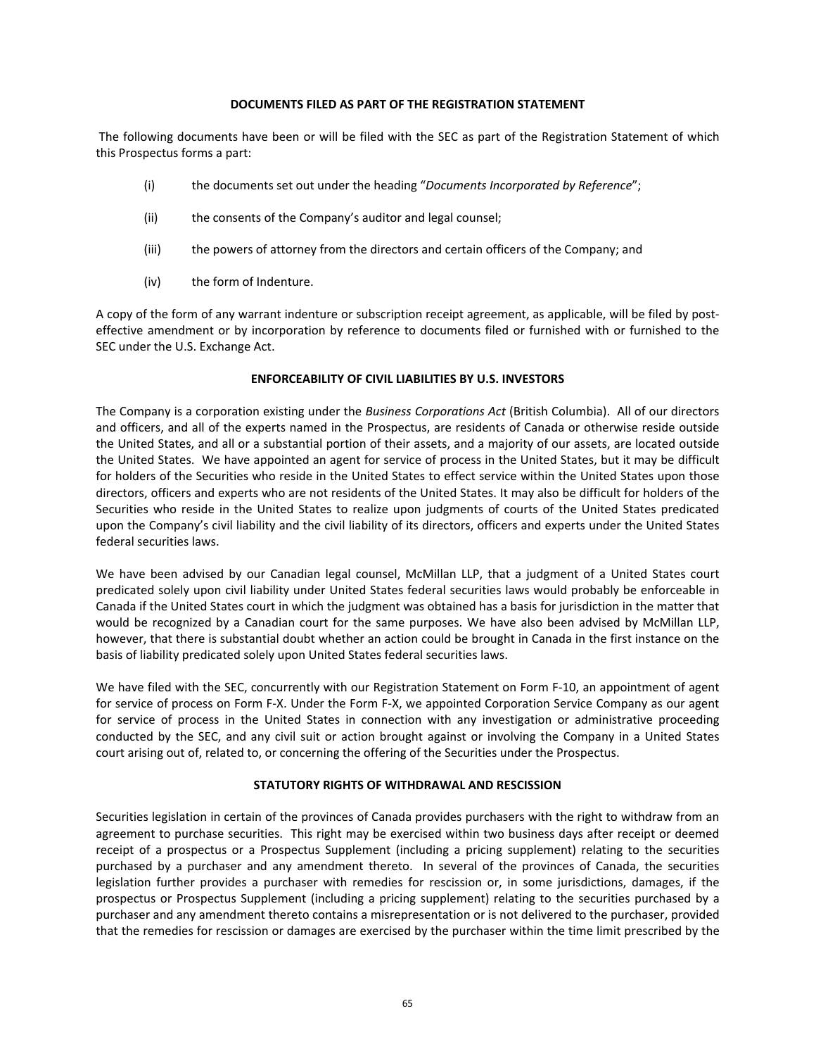#### **DOCUMENTS FILED AS PART OF THE REGISTRATION STATEMENT**

 The following documents have been or will be filed with the SEC as part of the Registration Statement of which this Prospectus forms a part:

- (i) the documents set out under the heading "*Documents Incorporated by Reference*";
- (ii) the consents of the Company's auditor and legal counsel;
- (iii) the powers of attorney from the directors and certain officers of the Company; and
- (iv) the form of Indenture.

A copy of the form of any warrant indenture or subscription receipt agreement, as applicable, will be filed by post‐ effective amendment or by incorporation by reference to documents filed or furnished with or furnished to the SEC under the U.S. Exchange Act.

## **ENFORCEABILITY OF CIVIL LIABILITIES BY U.S. INVESTORS**

The Company is a corporation existing under the *Business Corporations Act* (British Columbia). All of our directors and officers, and all of the experts named in the Prospectus, are residents of Canada or otherwise reside outside the United States, and all or a substantial portion of their assets, and a majority of our assets, are located outside the United States. We have appointed an agent for service of process in the United States, but it may be difficult for holders of the Securities who reside in the United States to effect service within the United States upon those directors, officers and experts who are not residents of the United States. It may also be difficult for holders of the Securities who reside in the United States to realize upon judgments of courts of the United States predicated upon the Company's civil liability and the civil liability of its directors, officers and experts under the United States federal securities laws.

We have been advised by our Canadian legal counsel, McMillan LLP, that a judgment of a United States court predicated solely upon civil liability under United States federal securities laws would probably be enforceable in Canada if the United States court in which the judgment was obtained has a basis for jurisdiction in the matter that would be recognized by a Canadian court for the same purposes. We have also been advised by McMillan LLP, however, that there is substantial doubt whether an action could be brought in Canada in the first instance on the basis of liability predicated solely upon United States federal securities laws.

We have filed with the SEC, concurrently with our Registration Statement on Form F‐10, an appointment of agent for service of process on Form F‐X. Under the Form F‐X, we appointed Corporation Service Company as our agent for service of process in the United States in connection with any investigation or administrative proceeding conducted by the SEC, and any civil suit or action brought against or involving the Company in a United States court arising out of, related to, or concerning the offering of the Securities under the Prospectus.

# **STATUTORY RIGHTS OF WITHDRAWAL AND RESCISSION**

Securities legislation in certain of the provinces of Canada provides purchasers with the right to withdraw from an agreement to purchase securities. This right may be exercised within two business days after receipt or deemed receipt of a prospectus or a Prospectus Supplement (including a pricing supplement) relating to the securities purchased by a purchaser and any amendment thereto. In several of the provinces of Canada, the securities legislation further provides a purchaser with remedies for rescission or, in some jurisdictions, damages, if the prospectus or Prospectus Supplement (including a pricing supplement) relating to the securities purchased by a purchaser and any amendment thereto contains a misrepresentation or is not delivered to the purchaser, provided that the remedies for rescission or damages are exercised by the purchaser within the time limit prescribed by the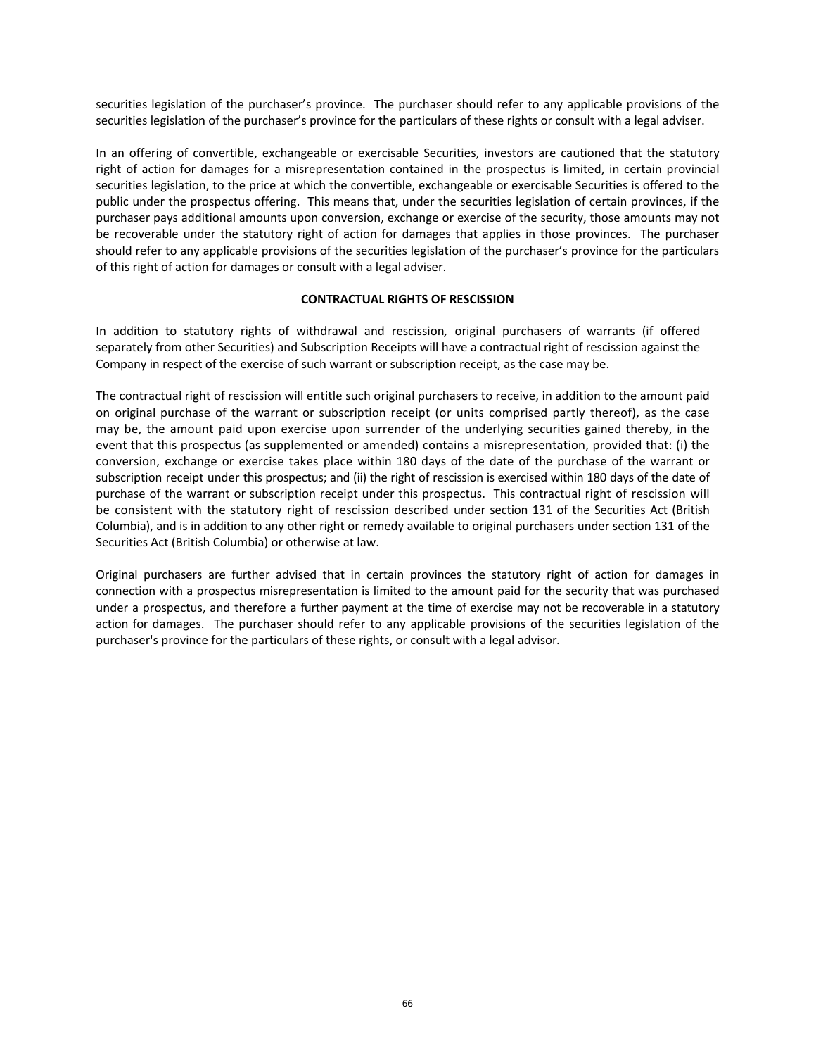securities legislation of the purchaser's province. The purchaser should refer to any applicable provisions of the securities legislation of the purchaser's province for the particulars of these rights or consult with a legal adviser.

In an offering of convertible, exchangeable or exercisable Securities, investors are cautioned that the statutory right of action for damages for a misrepresentation contained in the prospectus is limited, in certain provincial securities legislation, to the price at which the convertible, exchangeable or exercisable Securities is offered to the public under the prospectus offering. This means that, under the securities legislation of certain provinces, if the purchaser pays additional amounts upon conversion, exchange or exercise of the security, those amounts may not be recoverable under the statutory right of action for damages that applies in those provinces. The purchaser should refer to any applicable provisions of the securities legislation of the purchaser's province for the particulars of this right of action for damages or consult with a legal adviser.

## **CONTRACTUAL RIGHTS OF RESCISSION**

In addition to statutory rights of withdrawal and rescission*,*  original purchasers of warrants (if offered separately from other Securities) and Subscription Receipts will have a contractual right of rescission against the Company in respect of the exercise of such warrant or subscription receipt, as the case may be.

The contractual right of rescission will entitle such original purchasers to receive, in addition to the amount paid on original purchase of the warrant or subscription receipt (or units comprised partly thereof), as the case may be, the amount paid upon exercise upon surrender of the underlying securities gained thereby, in the event that this prospectus (as supplemented or amended) contains a misrepresentation, provided that: (i) the conversion, exchange or exercise takes place within 180 days of the date of the purchase of the warrant or subscription receipt under this prospectus; and (ii) the right of rescission is exercised within 180 days of the date of purchase of the warrant or subscription receipt under this prospectus. This contractual right of rescission will be consistent with the statutory right of rescission described under section 131 of the Securities Act (British Columbia), and is in addition to any other right or remedy available to original purchasers under section 131 of the Securities Act (British Columbia) or otherwise at law.

Original purchasers are further advised that in certain provinces the statutory right of action for damages in connection with a prospectus misrepresentation is limited to the amount paid for the security that was purchased under a prospectus, and therefore a further payment at the time of exercise may not be recoverable in a statutory action for damages. The purchaser should refer to any applicable provisions of the securities legislation of the purchaser's province for the particulars of these rights, or consult with a legal advisor*.*